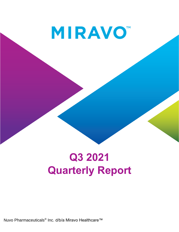**MIRAVO** 

# **Q3 2021 Quarterly Report**

Nuvo Pharmaceuticals® Inc. d/b/a Miravo Healthcare™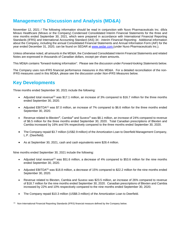# **Management's Discussion and Analysis (MD&A)**

November 12, 2021 / The following information should be read in conjunction with Nuvo Pharmaceuticals Inc. d/b/a Miravo Healthcare (Miravo or the Company) Condensed Consolidated Interim Financial Statements for the three and nine months ended September 30, 2021, which were prepared in accordance with International Financial Reporting Standards (IFRS) and International Accounting Standard (IAS) 34 - *Interim Financial Reporting*. Additional information about the Company, including the annual Consolidated Financial Statements and Annual Information Form (AIF) for the year ended December 31, 2020, can be found on SEDAR at [www.sedar.com](http://www.sedar.com/) (under Nuvo Pharmaceuticals Inc.).

Unless otherwise noted, all amounts in the MD&A, the Condensed Consolidated Interim Financial Statements and related Notes are expressed in thousands of Canadian dollars, except per share amounts.

This MD&A contains "forward-looking information". Please see the discussion under *Forward-looking Statements* below.

The Company uses non-IFRS financial performance measures in this MD&A. For a detailed reconciliation of the non-IFRS measures used in this MD&A, please see the discussion under *Non-IFRS Measures* below.

# **Key Developments**

Three months ended September 30, 2021 include the following:

- Adjusted total revenue<sup>(1)</sup> was \$17.1 million, an increase of 3% compared to \$16.7 million for the three months ended September 30, 2020.
- Adjusted EBITDA<sup>(1)</sup> was \$7.0 million, an increase of 7% compared to \$6.6 million for the three months ended September 30, 2020.
- Revenue related to Blexten<sup>®</sup>, Cambia® and Suvexx<sup>®</sup> was \$8.1 million, an increase of 24% compared to revenue of \$6.5 million for the three months ended September 30, 2020. Total Canadian prescriptions of Blexten and Cambia increased by 16% and 5% respectively compared to the three months ended September 30, 2020.
- The Company repaid \$3.7 million (US\$2.9 million) of the Amortization Loan to Deerfield Management Company, L.P. (Deerfield).
- As at September 30, 2021, cash and cash equivalents were \$28.4 million.

Nine months ended September 30, 2021 include the following:

- Adjusted total revenue<sup>(1)</sup> was \$51.6 million, a decrease of 4% compared to \$53.6 million for the nine months ended September 30, 2020.
- Adjusted EBITDA<sup>(1)</sup> was \$18.8 million, a decrease of 15% compared to \$22.2 million for the nine months ended September 30, 2020.
- Revenue related to Blexten, Cambia and Suvexx was \$23.5 million, an increase of 26% compared to revenue of \$18.7 million for the nine months ended September 30, 2020. Canadian prescriptions of Blexten and Cambia increased by 22% and 10% respectively compared to the nine months ended September 30, 2020.
- The Company repaid \$10.3 million (US\$8.3 million) of the Amortization Loan to Deerfield.

(1) Non-International Financial Reporting Standards (IFRS) financial measure defined by the Company below.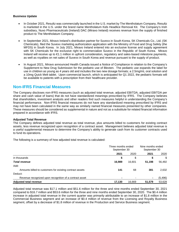#### **Business Update**

- In October 2021, Resultz was commercially launched in the U.S. market by The Mentholatum Company, Resultz is marketed in the U.S. under the brand name Mentholatum Kids Headlice Removal Kit. The Company's Irish subsidiary, Nuvo Pharmaceuticals (Ireland) DAC (Miravo Ireland) receives revenue from the supply of finished product to The Mentholatum Company.
- In September 2021, Miravo Ireland's distribution partner for Suvexx in South Korea, SK Chemicals Co., Ltd. (SK Chemicals), filed the Suvexx marketing authorization application with the Ministry of Food and Drug Safety (the MFDS) in South Korea. In July 2021, Miravo Ireland entered into an exclusive license and supply agreement with SK Chemicals for the exclusive right to commercialize Suvexx in the Republic of South Korea. Miravo Ireland will receive up to €1.1 million in upfront consideration, regulatory and sales-based milestone payments, as well as royalties on net sales of Suvexx in South Korea and revenue pursuant to the supply of product.
- In August 2021, Miravo announced Health Canada issued a Notice of Compliance in relation to the Company's Supplement to New Drug Submission for the pediatric use of Blexten. The pediatric use expands the label for use in children as young as 4 years old and includes the two new dosage formats; a 2.5mg/mL oral solution and a 10mg Quick Melt tablet. Upon commercial launch, which is anticipated for Q1 2022, the pediatric formats will be available to patients with a prescription from their healthcare provider.

# **Non-IFRS Financial Measures**

The Company discloses non-IFRS measures (such as adjusted total revenue, adjusted EBITDA, adjusted EBITDA per share and cash value of loans) that do not have standardized meanings prescribed by IFRS. The Company believes that shareholders, investment analysts and other readers find such measures helpful in understanding the Company's financial performance. Non-IFRS financial measures do not have any standardized meaning prescribed by IFRS and may not have been calculated in the same way as similarly named financial measures presented by other companies. These measures should be considered as supplemental in nature and not as a substitute for related financial information prepared in accordance with IFRS.

#### **Adjusted Total Revenue**

The Company defines adjusted total revenue as total revenue, plus amounts billed to customers for existing contract assets, less revenue recognized upon recognition of a contract asset. Management believes adjusted total revenue is a useful supplemental measure to determine the Company's ability to generate cash from its customer contracts used to fund its operations.

The following is a summary of how adjusted total revenue is calculated:

|                                                          | Three months ended<br>September 30 |        | Nine months ended<br>September 30 |         |
|----------------------------------------------------------|------------------------------------|--------|-----------------------------------|---------|
|                                                          | 2021                               | 2020   | 2021                              | 2020    |
| in thousands                                             | \$                                 | \$     | P                                 | \$      |
| <b>Total revenue</b>                                     | 16.989                             | 16.601 | 51,198                            | 56,492  |
| Add:                                                     |                                    |        |                                   |         |
| Amounts billed to customers for existing contract assets | 141                                | 68     | 381                               | 2,632   |
| Deduct:                                                  |                                    |        |                                   |         |
| Revenue recognized upon recognition of a contract asset  | $\blacksquare$                     |        | ۰                                 | (5,496) |
| <b>Adjusted total revenue</b>                            | 17.130                             | 16.669 | 51,579                            | 53,628  |

Adjusted total revenue was \$17.1 million and \$51.6 million for the three and nine months ended September 30, 2021 compared to \$16.7 million and \$53.6 million for the three and nine months ended September 30, 2020. The \$0.4 million increase in adjusted total revenue in the current quarter was primarily attributable to an increase of \$1.8 million in the Commercial Business segment and an increase of \$0.4 million of revenue from the Licensing and Royalty Business segment, offset by a decrease of \$1.8 million of revenue in the Production and Service Business segment.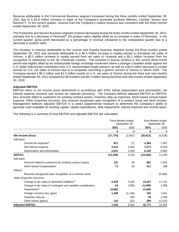Revenue attributable to the Commercial Business segment increased during the three months ended September 30, 2021 due to a \$1.8 million increase in sales of the Company's promoted products (Blexten, Cambia, Suvexx and Neovisc<sup>®</sup>). In the current quarter, revenue from the Company's mature products was consistent with the three months ended September 30, 2020.

The Production and Service Business segment revenue decreased during the three months ended September 30, 2021, primarily due to a decrease in Pennsaid® 2% product sales, slightly offset by an increase in sales of Pennsaid. In the current quarter, gross profit decreased as a percentage of revenue compared to the comparative quarter due to a decrease in product sales.

The increase in revenue attributable to the License and Royalty business segment during the three months ended September 30, 2021 was primarily attributable to a \$0.5 million increase in royalty earned on European net sales of Vimovo, a \$0.2 million increase in royalty earned from net sales of Yosprala and a \$0.2 million increase from the recognition of milestones in the SK Chemicals contract. The increase in license revenue in the current three-month period was slightly offset by an unfavourable foreign exchange movement where a stronger Canadian dollar against the U.S. dollar reduced the contribution from U.S. denominated royalty streams, as well as a \$0.6 million decrease in royalty earned on U.S. net sales of Vimovo due to a competitor launching a generic version of Vimovo in March 2020. The Company earned a \$0.2 million and \$1.0 million royalty on U.S. net sales of Vimovo during the three and nine months ended September 30, 2021 compared to \$0.8 million and \$4.4 million during the three and nine months ended September 30, 2020.

## **Adjusted EBITDA**

EBITDA refers to net income (loss) determined in accordance with IFRS, before depreciation and amortization, net interest expense (income) and income tax expense (recovery). The Company defines adjusted EBITDA as EBITDA, plus amounts billed to customers for existing contract assets, inventory step-up expenses, stock-based compensation expense, Other Expenses (Income), less revenue recognized upon recognition of a contract asset and other income. Management believes adjusted EBITDA is a useful supplemental measure to determine the Company's ability to generate cash available for working capital, capital expenditures, debt repayments, interest expense and income taxes.

The following is a summary of how EBITDA and adjusted EBITDA are calculated:

|                                                               | Three Months ended<br>September 30 |          |           | Nine Months ended<br>September 30 |
|---------------------------------------------------------------|------------------------------------|----------|-----------|-----------------------------------|
|                                                               | 2021                               | 2020     | 2021      | 2020                              |
|                                                               | \$                                 | \$       | \$        | $\frac{1}{2}$                     |
| Net income (loss)                                             | (17, 770)                          | (2,832)  | (26, 612) | (6, 528)                          |
| Add back:                                                     |                                    |          |           |                                   |
| Income tax expense $(1)$                                      | 811                                | (7)      | 2,384     | 1,587                             |
| Net interest expense                                          | 2,512                              | 2,904    | 7,577     | 9,019                             |
| Depreciation and amortization                                 | 2,021                              | 2,250    | 6,125     | 6,965                             |
| <b>EBITDA</b>                                                 | (12, 426)                          | 2,315    | (10, 526) | 11,043                            |
| Add back:                                                     |                                    |          |           |                                   |
| Amounts billed to customers for existing contract assets      | 141                                | 68       | 381       | 2,632                             |
| Stock-based compensation                                      | 71                                 | 50       | 311       | 208                               |
| Deduct:                                                       |                                    |          |           |                                   |
| Revenue recognized upon recognition of a contract asset       |                                    |          |           | (5, 496)                          |
| Other Expenses (Income):                                      |                                    |          |           |                                   |
| Change in fair value of derivative liabilities <sup>(2)</sup> | 2,929                              | 5,240    | 14,447    | 11,141                            |
| Change in fair value of contingent and variable consideration | 94                                 | (289)    | (1,005)   | 1,586                             |
| Impairment <sup>(3)</sup>                                     | 14,682                             |          | 14,682    |                                   |
| Foreign currency loss (gain)                                  | 1,439                              | (1, 146) | 162       | 1,441                             |
| Inventory step-up                                             |                                    | 358      | 35        | 1,059                             |
| Other losses (gains)                                          | 110                                | (31)     | 284       | (1, 413)                          |
| <b>Adjusted EBITDA</b>                                        | 7,040                              | 6,565    | 18,771    | 22,201                            |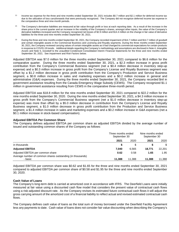- (1) Income tax expense for the three and nine months ended September 30, 2021 includes \$0.7 million and \$2.1 million for deferred income tax due to the utilization of loss carryforwards that were previously recognized. The Company did not recognize deferred income tax expense in the comparative three and nine-month periods.
- <sup>(2)</sup> The Company's derivative liabilities are measured at fair value through profit or loss at each reporting date. As a result of the increase in the share price in the current quarter and an increase in the volatility of the Company's shares, amongst other inputs, the value of the Company's derivative liabilities increased and the Company recognized net losses of \$2.9 million and \$14.4 million on the change in fair value of derivative liabilities for the three and nine months ended September 30, 2021.
- During the three and nine months ended September 30, 2021, the Company recorded impairment of \$14.7 million and \$14.7 million of goodwill and certain intangible assets in the Commercial Business and Licensing and Royalty segments. During the three months ended September 30, 2021, the Company reviewed carrying values of certain intangible assets as it had changed its commercial expectations for certain products in response to COVID-19 trends. Additional details regarding the Company's methodology and assumptions are disclosed in Note 4, *Intangible Assets* and Note 5, *Goodwill* to the unaudited Condensed Consolidated Interim Financial Statements for the three and nine months ended September 30, 2021. See *Impairment* and *Risk Factors* below.

Adjusted EBITDA was \$7.0 million for the three months ended September 30, 2021 compared to \$6.6 million for the comparative quarter. During the three months ended September 30, 2021, a \$2.3 million increase in gross profit contribution from the Company's Commercial Business segment (net a \$0.4 million decrease in inventory step-up expense) and a \$0.3 million increase in gross profit from the Company's License and Royalty Business segment was offset by a \$1.2 million decrease in gross profit contribution from the Company's Production and Service Business segment, a \$0.8 million increase in sales and marketing expenses and a \$0.2 million increase in general and administrative (G&A) expenses. During the three months ended September 30, 2021, the Company recorded \$nil in government assistance resulting from the Canada Emergency Wage Subsidy (CEWS). The Company recognized \$1.1 million in government assistance resulting from CEWS in the comparative three-month period.

Adjusted EBITDA was \$18.8 million for the nine months ended September 30, 2021 compared to \$22.2 million for the nine months ended September 30, 2020. During the nine months ended September 30, 2021, a \$4.3 million increase in gross profit from the Company's Commercial Business segment (net a \$1.0 million decrease in inventory step-up expense) was more than offset by a \$5.0 million decrease in contribution from the Company's License and Royalty Business segment, a \$1.0 million decrease in gross profit contribution from the Production and Service Business segment, a \$1.4 million increase in sales and marketing expenses and a \$0.2 million increase in G&A expenses (net a \$0.1 million increase in stock-based compensation).

#### **Adjusted EBITDA Per Common Share**

The Company defines adjusted EBITDA per common share as adjusted EBITDA divided by the average number of issued and outstanding common shares of the Company as follows:

|                                                                       |        | Three months ended<br>September 30 |        | Nine months ended<br>September 30 |
|-----------------------------------------------------------------------|--------|------------------------------------|--------|-----------------------------------|
|                                                                       | 2021   | 2020                               | 2021   | 2020                              |
| in thousands                                                          | S      | \$                                 |        | S.                                |
| <b>Adjusted EBITDA</b>                                                | 7.040  | 6.565                              | 18.771 | 22.201                            |
| Adjusted EBITDA per common share                                      | 0.62   | 0.58                               | 1.65   | 1.95                              |
| Average number of common shares outstanding (in thousands)<br>- basic | 11.388 | 11.388                             | 11.388 | 11,388                            |

Adjusted EBITDA per common share was \$0.62 and \$1.65 for the three and nine months ended September 30, 2021 compared to adjusted EBITDA per common share of \$0.58 and \$1.95 for the three and nine months ended September 30, 2020.

#### **Cash Value of Loans**

The Company's long-term debt is carried at amortized cost in accordance with IFRS. The Deerfield Loans were initially measured at fair value using a discounted cash flow model that considers the present value of contractual cash flows using a risk-adjusted discount rate. As the Company revises its estimated future contractual cash flows it will adjust the gross carrying amount of the amortized cost of a financial liability to reflect actual and revised estimated contractual cash flows.

The Company defines cash value of loans as the total sum of money borrowed under the Deerfield Facility Agreement less any payments to date. Cash value of loans does not consider fair value discounting when describing the Company's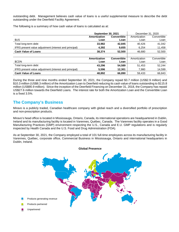outstanding debt. Management believes cash value of loans is a useful supplemental measure to describe the debt outstanding under the Deerfield Facility Agreement.

The following is a summary of how cash value of loans is calculated as at:

|                                                        | <b>September 30, 2021</b> |                    | December 31, 2020 |             |
|--------------------------------------------------------|---------------------------|--------------------|-------------------|-------------|
|                                                        | Amortization              | <b>Convertible</b> | Amortization      | Convertible |
| \$US                                                   | Loan                      | Loan               | Loan              | Loan        |
| Total long-term debt                                   | 33,982                    | 42,845             | 40.426            | 41,042      |
| IFRS present value adjustment (interest and principal) | 4,392                     | 9,655              | 6.254             | 11,458      |
| <b>Cash Value of Loans</b>                             | 38,374                    | 52.500             | 46,680            | 52,500      |
|                                                        |                           |                    |                   |             |
|                                                        | Amortization              | <b>Convertible</b> | Amortization      | Convertible |
| \$CDN                                                  | Loan                      | Loan               | Loan              | Loan        |
| Total long-term debt                                   | 43,296                    | 54,589             | 51,453            | 52,244      |
| IFRS present value adjustment (interest and principal) | 5,596                     | 12.301             | 7,980             | 14,599      |
| <b>Cash Value of Loans</b>                             | 48.892                    | 66.890             | 59.433            | 66.843      |

During the three and nine months ended September 30, 2021, the Company repaid \$3.7 million (US\$2.9 million) and \$10.3 million (US\$8.3 million) of the Amortization Loan to Deerfield reducing its cash value of loans outstanding to \$115.8 million (US\$90.9 million). Since the inception of the Deerfield Financing on December 31, 2018, the Company has repaid US\$27.6 million towards the Deerfield Loans. The interest rate for both the Amortization Loan and the Convertible Loan is a fixed 3.5%.

# **The Company's Business**

Miravo is a publicly traded, Canadian healthcare company with global reach and a diversified portfolio of prescription and non-prescription products.

Miravo's head office is located in Mississauga, Ontario, Canada, its international operations are headquartered in Dublin, Ireland and its manufacturing facility is located in Varennes, Québec, Canada. The Varennes facility operates in a Good Manufacturing Practices (GMP) environment respecting the U.S., Canada and E.U. GMP regulations and is regularly inspected by Health Canada and the U.S. Food and Drug Administration (FDA).

As at September 30, 2021, the Company employed a total of 101 full-time employees across its manufacturing facility in Varennes, Québec, corporate office, Commercial Business in Mississauga, Ontario and international headquarters in Dublin, Ireland.

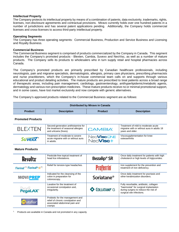#### **Intellectual Property**

The Company protects its intellectual property by means of a combination of patents, data exclusivity, trademarks, rights, licenses, non-disclosure agreements and contractual provisions. Miravo currently holds over one hundred patents in a number of jurisdictions and has several patent applications pending. Additionally, the Company holds commercial licenses and cross-licenses to access third-party intellectual property.

#### **Operating Segments**

The Company has three operating segments: Commercial Business, Production and Service Business and Licensing and Royalty Business.

#### **Commercial Business**

The Commercial Business segment is comprised of products commercialized by the Company in Canada. This segment includes the Company's promoted products - Blexten, Cambia, Suvexx and NeoVisc, as well as a number of mature products. The Company sells its products to wholesalers who in turn supply retail and hospital pharmacies across Canada.

The Company's promoted products are primarily prescribed by Canadian healthcare professionals, including neurologists, pain and migraine specialists, dermatologists, allergists, primary care physicians, prescribing pharmacists and nurse practitioners, which the Company's in-house commercial team calls on and supports through various educational and product detailing activities. The mature products are prescribed to treat patients across a broad range of therapeutic areas, including pain management, cardiology, gastroenterology, antihyperlipidemic/metabolic agents, dermatology and various non-prescription medicines. These mature products receive no or minimal promotional support, and in some cases, have lost market exclusivity and now compete with generic alternatives.

The Company's approved products related to the Commercial Business segment are as follows:

| Distributed by Miravo in Canada |                    |                |                    |
|---------------------------------|--------------------|----------------|--------------------|
| <b>Product</b>                  | <b>Description</b> | <b>Product</b> | <b>Description</b> |

**Promoted Products**

| <b>BLEXTEN</b>  | Second-generation antihistamine for<br>the treatment of seasonal allergies<br>and urticaria (hives). | <b>CAMBIA</b>                          | Treatment of mild to moderate acute<br>migraine with or without aura in adults 18<br>years and older. |
|-----------------|------------------------------------------------------------------------------------------------------|----------------------------------------|-------------------------------------------------------------------------------------------------------|
| <b>Suvexx</b> ® | Treatment of moderate to severe<br>acute migraine with or without aura<br>in adults.                 | Neo <b>ViscONE</b><br>Neo <b>Visc+</b> | Viscosupplementation for knee<br>osteoarthritis                                                       |

#### **Mature Products**

| <b>Resultz</b>                                                   | Pesticide-free topical treatment of<br>head lice infestations.                                                    | <b>Bezalip<sup>®</sup> SR</b> | Once daily treatment for patients with high<br>cholesterol or high levels of triglycerides.                                                          |
|------------------------------------------------------------------|-------------------------------------------------------------------------------------------------------------------|-------------------------------|------------------------------------------------------------------------------------------------------------------------------------------------------|
| Fiorinal <sup>®(1)</sup> Fiorinal <sup>®</sup> -C <sup>(1)</sup> | Relief for tension-type headaches.                                                                                | Proferrin                     | Iron supplement for the prevention and<br>treatment of iron deficiency.                                                                              |
| <b>MOVIPREP</b>                                                  | Indicated for the cleansing of the<br>colon in preparation for<br>colonoscopy.                                    | Soriatane <sup>®</sup>        | Once daily treatment for psoriasis and<br>other keratinization disorders.                                                                            |
| <b>PegaLAX®</b>                                                  | Laxative for the treatment of<br>occasional constipation and,<br>irregularity.                                    | COLLATAMP'G                   | Fully resorbable, antibiotic, collagen<br>"haemostat" for surgical implantation<br>during surgery to reduce the risk of<br>surgical site infections. |
| utaflor                                                          | Probiotic for the management and<br>relief of chronic constipation and<br>associated abdominal pain and<br>cramps |                               |                                                                                                                                                      |

1. Products are available in Canada and not promoted in any capacity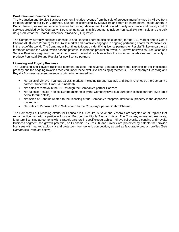#### **Production and Service Business**

The Production and Service Business segment includes revenue from the sale of products manufactured by Miravo from its manufacturing facility in Varennes, Québec or contracted by Miravo Ireland from its international headquarters in Dublin, Ireland, as well as service revenue for testing, development and related quality assurance and quality control services provided by the Company. Key revenue streams in this segment, include Pennsaid 2%, Pennsaid and the bulk drug product for the Heated Lidocaine/Tetracaine (HLT) Patch.

The Company currently supplies Pennsaid 2% to Horizon Therapeutics plc (Horizon) for the U.S. market and to Gebro Pharma AG (Gebro Pharma) for the Swiss market and is actively engaged in ongoing partnering efforts for Pennsaid 2% in the rest of the world. The Company will continue to focus on identifying license partners for Resultz® in key unpartnered territories around the world, which has the potential to increase production revenue. Miravo believes its Production and Service Business segment has continued growth potential, as Miravo has the in-house capabilities and capacity to produce Pennsaid 2% and Resultz for new license partners.

#### **Licensing and Royalty Business**

The Licensing and Royalty Business segment includes the revenue generated from the licensing of the intellectual property and the ongoing royalties received under these exclusive licensing agreements. The Company's Licensing and Royalty Business segment revenue is primarily generated from:

- Net sales of Vimovo in various ex-U.S. markets, including Europe, Canada and South America by the Company's partner Grunenthal GmbH (Grunenthal);
- Net sales of Vimovo in the U.S. through the Company's partner Horizon;
- Net sales of Resultz in select European markets by the Company's various European license partners (See table below for full details);
- Net sales of Cabpirin related to the licensing of the Company's Yosprala intellectual property in the Japanese market; and
- Net sales of Pennsaid 2% in Swtizerland by the Company's partner Gebro Pharma.

The Company's out-licensing efforts for Pennsaid 2%, Resultz, Suvexx and Yosprala are targeted on all regions that remain unlicensed with a particular focus on Europe, the Middle East and Asia. The Company enters into exclusive, long-term licensing agreements with strategic partners in specific geographies. Miravo believes its Licensing and Royalty Business segment has growth potential, as Pennsaid 2%, Resultz and Suvexx are protected by patents that provide licensees with market exclusivity and protection from generic competition, as well as favourable product profiles (See *Commercial Products* below).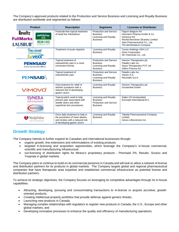The Company's approved products related to the Production and Service Business and Licensing and Royalty Business are distributed worldwide and segmented as follows:

|                                                                               | <b>Product</b>                                                                                                                 | <b>Description</b>                                                                                                                     | <b>Segments</b>                                                                              | <b>Licensee or Distributor</b>                                                                                                                                  |
|-------------------------------------------------------------------------------|--------------------------------------------------------------------------------------------------------------------------------|----------------------------------------------------------------------------------------------------------------------------------------|----------------------------------------------------------------------------------------------|-----------------------------------------------------------------------------------------------------------------------------------------------------------------|
|                                                                               | <b>Resultz</b><br><b>MENTHOLATUM®</b><br>KIDS<br><b>FullMarks</b><br><b>HEAD LICE</b><br><b>LAUSBUB®</b><br><b>REMOVAL KIT</b> | Pesticide-free topical treatment<br>of head lice infestations.                                                                         | <b>Production and Service</b><br><b>Business</b><br>Licensing and Royalty<br><b>Business</b> | Fagron Belgium NV<br>Heumann Pharma GmbH & Co.<br>Generica KG<br>Reckitt Benckiser (Brands) Limited<br>Sato Pharmaceutical Co., Ltd.<br>The Mentholatum Company |
|                                                                               | <b>Treximet</b><br><b>Suvexx</b>                                                                                               | Treatment of acute migraine                                                                                                            | Licensing and Royalty<br><b>Business</b>                                                     | <b>Currax Holdings USA LLC</b><br><b>Orion Corporation</b><br>SK Chemicals Co., Ltd.                                                                            |
|                                                                               | <b>PENNSAID®</b><br>(diclofenac sodium topical solution) 2% w/w                                                                | Topical treatment of<br>osteoarthritic pain in a more<br>convenient format.                                                            | <b>Production and Service</b><br><b>Business</b><br>Licensing and Royalty<br><b>Business</b> | Horizon Therapeutics plc<br>Paladin Labs Inc.<br>Sayre Therapeutics PVT Ltd<br>Gebro Pharma AG                                                                  |
|                                                                               | <b>PENSAID</b>                                                                                                                 | Topical treatment of<br>osteoarthritic pain.                                                                                           | <b>Production and Service</b><br><b>Business</b><br>Licensing and Royalty<br><b>Business</b> | Paladin Labs Inc.<br>Vianex S.A.<br>Recordati S.p.A.                                                                                                            |
| VIMOVO<br><b>SYNERA</b><br>lidocaine and tetracaine) Topical Patch<br>RAPYDAN |                                                                                                                                | Oral treatment for relief of<br>arthritis symptoms with a<br>reduced risk of developing<br>gastric ulcers.                             | Licensing and Royalty<br><b>Business</b>                                                     | Horizon Therapeutics plc<br><b>Grunenthal GmbH</b>                                                                                                              |
|                                                                               |                                                                                                                                | Topical patch used to help<br>prevent pain associated with<br>needle sticks and other<br>superficial skin procedures.                  | Licensing and Royalty<br><b>Business</b><br><b>Production and Service</b><br><b>Business</b> | Galen US Incorporated<br>Eurocept International B.V.                                                                                                            |
|                                                                               | <b>rosprala</b><br>aspirin and omeprazole)                                                                                     | Once daily treatment to help in<br>the prevention of heart attacks<br>and strokes with a reduced risk<br>of developing gastric ulcers. | Licensing and Royalty<br><b>Business</b>                                                     | <b>Takeda Pharmaceutical Company</b><br>Limited<br>Genus Lifesciences Inc.                                                                                      |

# **Growth Strategy**

The Company intends to further expand its Canadian and international businesses through:

- organic growth, line extensions and reformulations of existing products
- targeted in-licensing and acquisition opportunities, which leverage the Company's in-house commercial, scientific and manufacturing infrastructure
- out-licensing of distribution rights for Miravo's proprietary products Pennsaid 2%, Resultz, Suvexx and Yosprala in global markets.

The Company plans to continue to build on its commercial presence in Canada and will look to utilize a network of license and distribution partners for its products in global markets. The Company targets global and regional pharmaceutical companies that have therapeutic area expertise and established commercial infrastructure as potential license and distribution partners.

To achieve its strategic objectives, the Company focuses on leveraging its competitive advantages through its in-house capabilities:

- Attracting, developing, pursuing and consummating transactions to in-license or acquire accretive, growthoriented products;
- Creating intellectual property portfolios that provide defense against generic threats;
- Launching new products in Canada;
- Managing complex relationships with regulators to register new products in Canada, the U.S., Europe and other global markets; and
- Developing innovative processes to enhance the quality and efficiency of manufacturing operations.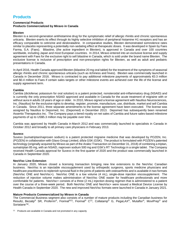# **Products**

#### **Commercial Products Products Commercialized by Miravo in Canada**

#### **Blexten**

Blexten is a second-generation antihistamine drug for the symptomatic relief of allergic rhinitis and chronic spontaneous urticaria. Blexten exerts its effect through its highly selective inhibition of peripheral histamine H1 receptors and has an efficacy comparable to cetirizine and desloratadine. In comparative studies, Blexten demonstrated somnolence rates similar to placebo representing a potentially non-sedating effect at therapeutic doses. It was developed in Spain by Faes Farma, S.A. (Faes). Bilastine, (the active ingredient in Blexten), is approved in Canada and over 100 countries worldwide, including Japan and most European countries. In 2014, Miravo entered into an exclusive license and supply agreement with Faes for the exclusive right to sell bilastine in Canada, which is sold under the brand name Blexten. The exclusive license is inclusive of prescription and non-prescription rights for Blexten, as well as adult and pediatric presentations in Canada.

In April 2016, Health Canada approved Blexten (bilastine 20 mg oral tablet) for the treatment of the symptoms of seasonal allergic rhinitis and chronic spontaneous urticaria (such as itchiness and hives). Blexten was commercially launched in Canada in December 2016. Miravo is contracted to pay additional milestone payments of approximately €0.3 million and \$0.4 million to Faes if certain sales targets or other milestone events are achieved over the life of the license and supply agreement term.

#### **Cambia**

Cambia (diclofenac potassium for oral solution) is a patent protected, nonsteroidal anti-inflammatory drug (NSAID) and is currently the only prescription NSAID approved and available in Canada for the acute treatment of migraine with or without aura in adults 18 years of age or older. In 2010, Miravo signed a license agreement with Nautilus Neurosciences, Inc. (Nautilus) for the exclusive rights to develop, register, promote, manufacture, use, distribute, market and sell Cambia in Canada. Since 2011, three separate amendments to the license agreement have been executed. The license was assigned by Nautilus to Depomed, Inc. (Depomed) in December 2013. Depomed has subsequently been renamed Assertio Therapeutics Inc. The Company pays a tiered royalty on net sales of Cambia and future sales-based milestone payments of up to US\$5.3 million may be payable over time.

Cambia was approved by Health Canada in March 2012 and was commercially launched to specialists in Canada in October 2012 and broadly to all primary care physicians in February 2013.

## **Suvexx**

Suvexx (sumatriptan/naproxen sodium) is a patent protected migraine medicine that was developed by POZEN, Inc. (POZEN) in collaboration with Glaxo Group Limited, d/b/a GSK (GSK). The product is formulated with POZEN's patented technology (originally acquired by Miravo as part of the Aralez Transaction on December 31, 2018) of combining a triptan, sumatriptan 85 mg, with an NSAID, naproxen sodium 500 mg and GSK's RT Technology in a single tablet. The Company received Health Canada approval for Suvexx in the first quarter of 2020 and the product was commercially launched in Canada in September 2020.

#### **NeoVisc Line Extension**

In January 2020, Miravo closed a licensing transaction bringing new line extensions to the NeoVisc Canadian business. NeoVisc is an injectable viscosupplement used by orthopedic surgeons, sports medicine physicians and healthcare practitioners to replenish synovial fluid in the joints of patients with osteoarthritis and is available in two formats (NeoVisc ONE and NeoVisc+). NeoVisc ONE is a low volume (4 mL), single-dose injection viscosupplement. The reduction of injection volume makes administration of NeoVisc ONE easier for healthcare professionals and more comfortable for patients. NeoVisc+ consists of a three (2 mL) injection dosing regimen that is administered to a patient over the course of a three-week period. Both NeoVisc ONE and NeoVisc+ were issued a Medical Device License by Health Canada in September 2020. The new and improved NeoVisc formats were launched in Canada in January 2021.

#### **Mature Products Commercialized by Miravo in Canada**

The Commercial Business segment also consists of a number of mature products including the Canadian business for Resultz, Bezalip<sup>®</sup> SR, Proferrin®, Fiorinal<sup>®(1)</sup>, Fiorinal<sup>®</sup> C<sup>(1)</sup>, Collatamp® G, PegaLAX®, Mutaflor®, MoviPrep® and Soriatane™.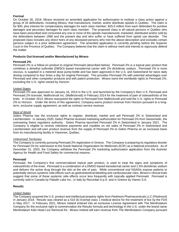## **Fiorinal**

On October 30, 2019, Miravo received an amended application for authorization to institute a class action against a group of 34 defendants, including Miravo, that manufacture, market, and/or distribute opioids in Québec. The claim is for \$30, plus interest for compensatory damages for each class member, \$25.0 million from each defendant for punitive damages and pecuniary damages for each class member. The proposed class is all natural persons in Québec who have been prescribed and consumed any one or more of the opioids manufactured, marketed, distributed and/or sold by the defendants between 1996 and the present day and who suffer or have suffered from opioid use disorder. The proposed class includes any direct heirs of any deceased persons who met the above-description and excludes certain persons subject to a prior settlement agreement. The amended application is currently pending before the Superior Court in the Province of Québec. The Company believes that the claim is without merit and intends to vigorously defend the matter.

#### **Products Out-licensed and/or Manufactured by Miravo**

#### **Pennsaid 2%**

Pennsaid 2% is a follow-on product to original Pennsaid (described below). Pennsaid 2% is a topical pain product that combines a dimethyl sulfoxide (DMSO) based transdermal carrier with 2% diclofenac sodium. Pennsaid 2% is more viscous, is supplied in a metered dose pump bottle and has been approved in the U.S. and Switzerland for twice daily dosing compared to four times a day for original Pennsaid. This provides Pennsaid 2% with potential advantages over Pennsaid and other competitor products and with patent protection. Miravo owns the worldwide rights to Pennsaid 2%, excluding the U.S. rights owned by Horizon.

#### *United States*

Pennsaid 2% was approved on January 16, 2014 in the U.S. and launched by the Company's then U.S. Pennsaid and Pennsaid 2% licensee, Mallinckrodt Inc. (Mallinckrodt) in February 2014 for the treatment of pain of osteoarthritis of the knee. In October 2014, Miravo reacquired the rights to Pennsaid from Mallinckrodt and sold the U.S. rights to Pennsaid 2% to Horizon. Under the terms of this agreement, Company earns product revenue from Horizon pursuant to a longterm, exclusive supply agreement, as well as contract service revenue.

#### *Rest of World*

Gebro Pharma has the exclusive rights to register, distribute, market and sell Pennsaid 2% in Switzerland and Liechtenstein. In January 2020, Gebro Pharma received marketing authorization for Pennsaid 2% from Swissmedic, the overseeing Swiss regulatory authority. Gebro Pharma launched Pennsaid 2% in Switzerland in January 2021. The Company is eligible to receive milestone payments and royalties on net sales of Pennsaid 2% in Switzerland and Liechtenstein and will earn product revenue from the supply of Pennsaid 2% to Gebro Pharma on an exclusive basis from its manufacturing facility in Varennes, Québec.

#### *Unlicensed Territories*

The Company is currently pursuing Pennsaid 2% registration in Greece. The Company is preparing its regulatory dossier for Pennsaid 2% for submission to the Greek National Organization for Medicines (EOF) as a National procedure. As of December 31, 2020, the Company withdrew the Pennsaid 2% marketing authorization application from the Austrian Agency for Health and Food Safety for commercial reasons.

#### **Pennsaid**

Pennsaid, the Company's first commercialized topical pain product, is used to treat the signs and symptoms of osteoarthritis of the knee. Pennsaid is a combination of a DMSO-based transdermal carrier and 1.5% diclofenac sodium and delivers the active drug through the skin at the site of pain. While conventional oral NSAIDs expose patients to potentially serious systemic side effects such as gastrointestinal bleeding and cardiovascular risks, Miravo's clinical trials suggest that some of these systemic side effects occur less frequently with topically applied Pennsaid. Pennsaid is currently sold in Canada by Paladin Labs Inc., in Italy by Recordati S.p.A. and in Greece by Vianex S.A.

#### **Resultz**

## *United States*

The Company acquired the U.S. product and intellectual property rights from Piedmont Pharmaceuticals LLC (Piedmont) in January 2018. Resultz was cleared as a 510 (k) Exempt class 1 medical device for the treatment of lice by the FDA in May 2017. In February 2021, Miravo Ireland entered into an exclusive License Agreement with The Mentholatum Company for the exclusive right to commercialize the Resultz formula and technology in the U.S. under the brand name Mentholatum Kids Head Lice Removal Kit. Miravo Ireland will earn revenue from The Mentholatum Company pursuant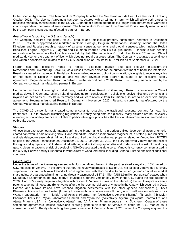to the License Agreement. The Mentholatum Company launched the Mentholatum Kids Head Lice Removal Kit during October 2021. The License Agreement has been structured with an 18-month term, which will allow both parties to reassess market dynamics related to the COVID-19 pandemic and to determine if a longer-term agreement is warranted in a post-pandemic commercial environment. The Mentholatum Kids Head Lice Removal Kit is currently manufactured by the Company's contract manufacturing partner in Europe.

#### *Rest of World (excluding the U.S. and Canada)*

The Company acquired the global, ex-U.S. product and intellectual property rights from Piedmont in December 2017. Resultz is approved and marketed in Spain, Portugal, Belgium, Netherlands, Germany, Ireland, the United Kingdom, and Russia through a network of existing license agreements and global licensees, which include Reckitt Benckiser, Fagron Belgium NV (Fagron) and Heumann Pharma GmbH & Co. (Heumann). Resultz is also pending registration in Japan, where the local license is held by Sato Pharmaceutical Co. Ltd. Resultz is a CE marked, Class I medical device for the treatment of lice, which does not require a prescription. The Company recognized a contingent and variable consideration related to the ex-U.S. acquisition of Resultz for \$0.7 million as at September 30, 2021.

Fagron has the exclusive rights to register, distribute, market and sell Resultz in Belgium, the Netherlands and Luxembourg (BeNeLux) as a Class I medical device for the human treatment of head lice infestation. Resultz is cleared for marketing in BeNeLux. Miravo Ireland received upfront consideration, is eligible to receive royalties on net sales of Resultz in BeNeLux and will earn revenue from Fagron pursuant to an exclusive supply agreement. Fagron launched Resultz in BeNeLux in the second half of 2018. Resultz is currently manufactured by the Company's contract manufacturing partner in Europe.

Heumann has the exclusive rights to distribute, market and sell Resultz in Germany. Resultz is considered a Class I medical device in Germany. Miravo Ireland received upfront consideration, is eligible to receive milestone payments and royalties on net sales of Resultz in Germany and will earn revenue from Heumann pursuant to an exclusive supply agreement. Heumann launched Resultz in Germany in November 2020. Resultz is currently manufactured by the Company's contract manufacturing partner in Europe.

The COVID-19 pandemic has created some uncertainty regarding the traditional seasonal demand for head lice treatments. Due to physical distancing regulations currently being enforced globally, many children are not physically attending school or daycare or are not able to participate in group activities, the traditional environments where head lice outbreaks occur.

#### **Vimovo**

Vimovo (naproxen/esomeprazole magnesium) is the brand name for a proprietary fixed-dose combination of entericcoated naproxen, a pain-relieving NSAID, and immediate-release esomeprazole magnesium, a proton pump inhibitor, in a single delayed-release tablet. Miravo Ireland acquired the global intellectual property related to Vimovo from POZEN as part of the Aralez Transaction on December 31, 2018. On April 30, 2010, the FDA approved Vimovo for the relief of the signs and symptoms of OA, rheumatoid arthritis, and ankylosing spondylitis and to decrease the risk of developing gastric ulcers in patients at risk of developing NSAID-associated gastric ulcers. Vimovo is currently commercialized in the U.S. by Horizon and by Grunenthal in various rest of world territories, including Canada, Europe and select additional countries.

## *United States*

Under the terms of the license agreement with Horizon, Miravo Ireland in the past received a royalty of 10% based on U.S. net sales of Vimovo. In the current quarter, this royalty decreased to 5% of U.S. net sales of Vimovo due a royalty step-down provision in Miravo Ireland's license agreement with Horizon due to continued generic competitor market share gains. A guaranteed minimum annual royalty payment of US\$7.5 million (US\$1.9 million per quarter) ceased when Dr. Reddy's Laboratories Inc. (Dr. Reddy's) launched a generic version of Vimovo in the U.S. during the first quarter of 2020. Horizon's royalty payment obligation with respect to Vimovo expires on the later of (a) the last to expire of certain patents covering Vimovo, and (b) ten years after the first commercial sale of Vimovo in the U.S., which occurred in 2010. Horizon and Miravo Ireland have reached litigation settlements with five other generic companies: (i) Teva Pharmaceuticals Industries Limited (formerly known as Actavis Laboratories FL, Inc., which itself was formerly known as Watson Laboratorie, Inc. - Florida) and Actavis Pharma, Inc. (collectively, Actavis Pharma); (ii) Lupin; (iii) Mylan Pharmaceuticals Inc., Mylan Laboratories Limited, and Mylan Inc. (collectively, Mylan); (iv) Ajanta Pharma Ltd. and Ajanta Pharma USA, Inc. (collectively, Ajanta); and (v) Anchen Pharmaceuticals, Inc. (Anchen). Certain of these settlement agreements include provisions allowing generic versions of Vimovo to enter the U.S. market as a consequence of Dr. Reddy's launching their generic version of Vimovo in March 2020. When the Company acquired the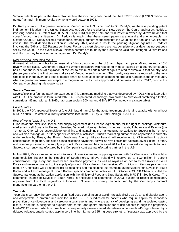Vimovo patents as part of the Aralez Transaction, the Company anticipated that the US\$7.5 million (US\$1.9 million per quarter) annual minimum royalty payments would cease in 2022.

Dr. Reddy's launch of a generic version of Vimovo in the U.S. is "at risk" to Dr. Reddy's, as there is pending patent infringement litigation in the United States District Court for the District of New Jersey (the Court) against Dr. Reddy's, involving issued U.S. Patent Nos. 8,858,996 and 9,161,920 (the '996 and '920 Patents) owned by Miravo Ireland that cover Vimovo. In this litigation, Dr. Reddy's is arguing that these issued patents are invalid and unenforceable. In October 2020, Dr. Reddy's filed a motion for summary judgment requesting that the Court find the '996 and '920 Patents invalid. The Court denied this motion in February 2021, and as a result, the pending litigation against Dr. Reddy's involving the '996 and '920 Patents continues. Fact and expert discovery are now complete. A trial date has not yet been set by the Court. In the event Miravo Ireland's patents are found by the Court to be valid and infringed, Miravo Ireland and Horizon may be entitled to damages from Dr. Reddy's.

#### *Rest of World (excluding the U.S.)*

Grunenthal holds the rights to commercialize Vimovo outside of the U.S. and Japan and pays Miravo Ireland a 10% royalty on net sales. Grunenthal's royalty payment obligation with respect to Vimovo expires on a country-by-country basis upon the later of (a) expiration of the last-to-expire of certain patent rights related to Vimovo in that country, and (b) ten years after the first commercial sale of Vimovo in such country. The royalty rate may be reduced to the midsingle digits in the event of a loss of market share as a result of certain competing products. Canada is the only country where a generic naproxen/esomeprazole magnesium product was approved and commercialized in 2017, prior to the Company purchasing this royalty stream.

#### **Suvexx/Treximet**

Suvexx/Treximet (sumatriptan/naproxen sodium) is a migraine medicine that was developed by POZEN in collaboration with GSK. The product is formulated with POZEN's patented technology (now owned by Miravo) of combining a triptan, sumatriptan 85 mg, with an NSAID, naproxen sodium 500 mg and GSK's RT Technology in a single tablet.

#### *United States*

In 2008, the FDA approved Treximet (the U.S. brand name) for the acute treatment of migraine attacks with or without aura in adults. Treximet is currently commercialized in the U.S. by Currax Holdings USA LLC.

#### *Rest of World (excluding the U.S.)*

Orion holds the exclusive license and supply agreement (the License Agreement) for the right to package, distribute, market and sell Suvexx in Finland, Sweden, Denmark, Norway, Poland, Hungary, Latvia, Lithuania and Estonia (the Territory). Orion will be responsible for obtaining and maintaining the marketing authorizations for Suvexx in the Territory and will also manage all Territory specific commercial activities. Orion's marketing authorization application is currently under review by Fimea, the Finnish Medicines Agency. Miravo Ireland will receive up to €1.6 million in upfront consideration, regulatory and sales-based milestone payments, as well as royalties on net sales of Suvexx in the Territory and revenue pursuant to the supply of product. Miravo Ireland has received €0.1 million in milestone payments to date. Suvexx is currently manufactured by the Company's contract manufacturing partner in the U.S.

In July 2021, Miravo Ireland entered into an exclusive license and supply agreement with SK Chemicals for the right to commercialize Suvexx in the Republic of South Korea. Miravo Ireland will receive up to €0.9 million in upfront consideration, regulatory and sales-based milestone payments, as well as royalties on net sales of Suvexx in South Korea and revenue pursuant to the supply of product. Miravo Ireland has received €0.1 million in milestone payments to date. SK Chemicals will be responsible for obtaining and maintaining the marketing authorizations for Suvexx in South Korea and will also manage all South Korean specific commercial activities. In October 2021, SK Chemicals filed the Suvexx marketing authorization application with the Ministry of Food and Drug Safety (the MFDS) in South Korea. The commercial launch of Suvexx in South Korea is anticipated to commence in 2023, subject to receipt of regulatory approval from the local regulatory authorities. Suvexx is currently manufactured by the Company's contract manufacturing partner in the U.S.

#### **Yosprala**

Yosprala is currently the only prescription fixed-dose combination of aspirin (acetylsalicylic acid), an anti-platelet agent, and omeprazole, a proton-pump inhibitor, in the U.S. It is indicated for patients who require aspirin for secondary prevention of cardiovascular and cerebrovascular events and who are at risk of developing aspirin associated gastric ulcers. Yosprala is designed to support both cardio- and gastro-protection for at-risk patients through the proprietary Intelli-COAT system, which is formulated to sequentially deliver immediate-release omeprazole (40 mg) followed by a delayed-release, enteric-coated aspirin core in either 81 mg or 325 mg dose strengths. Yosprala was approved by the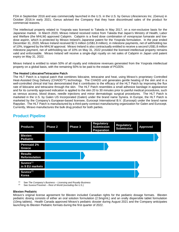FDA in September 2016 and was commercially launched in the U.S. in the U.S. by Genus Lifesciences Inc. (Genus) in October 2016.In early 2021, Genus advised the Company that they have discontinued sales of the product for commercial reasons.

The intellectual property related to Yosprala was licensed to Takeda in May 2017, on a non-exclusive basis for the Japanese market. In March 2020, Miravo Ireland received notice from Takeda that Japan's Ministry of Health, Labor and Welfare (the MHLW) approved Cabpirin. Cabpirin is a fixed dose combination of vonoprazan fumarate and lowdose aspirin, which is protected by Miravo Ireland's Japanese patent for the Yosprala formulation. In the year ended December 31, 2020, Miravo Ireland received \$2.5 million (US\$1.8 million), in milestone payments, net of withholding tax of 10%, triggered by the MHLW approval. Miravo Ireland is also contractually entitled to receive a second US\$1.8 million milestone payment, net of withholding tax of 10% on May 31, 2022 provided the licensed intellectual property remains valid and enforceable. Miravo Ireland will receive a single-digit royalty on net sales of Cabpirin in Japan until patent expiry on May 31, 2022.

Miravo Ireland is entitled to retain 50% of all royalty and milestone revenues generated from the Yosprala intellectual property on a global basis, with the remaining 50% to be paid to the estate of POZEN.

#### **The Heated Lidocaine/Tetracaine Patch**

The HLT Patch is a topical patch that combines lidocaine, tetracaine and heat, using Miravo's proprietary Controlled Heat-Assisted Drug Delivery (CHADD™) technology. The CHADD unit generates gentle heating of the skin and in a well-controlled clinical trial has demonstrated that it contributes to the efficacy of the HLT Patch by improving the flux rate of lidocaine and tetracaine through the skin. The HLT Patch resembles a small adhesive bandage in appearance and for its currently approved indication is applied to the skin 20 to 30 minutes prior to painful medical procedures, such as venous access, blood draws, needle injections and minor dermatologic surgical procedures. The HLT Patch is marketed in the U.S. by Galen US Incorporated (Galen) under the brand name Synera. In Europe, the HLT Patch is marketed by the Company's European-based licensee, Eurocept International B.V. (Eurocept) under the brand name Rapydan. The HLT Patch is manufactured by a third-party contract manufacturing organization for Galen and Eurocept. Currently, Miravo manufactures the bulk drug product for both parties.

#### **Products Phase 2 Phase 3 Regulatory Submission Preparation Regulatory Submission Approved Blexten Pediatric Pennsaid 2% Greece Resultz Reformulation Suvexx**(1) **in 9 EU markets Suvexx**(2) **Korea**

# **Product Pipeline**

(1) See *The Company's Business – Licensing and Royalty Business*

(2) See *Suvexx/Treximet – Rest of World (excluding the U.S.)*

## **Blexten Pediatric**

Miravo's original license agreement for Blexten included Canadian rights for the pediatric dosage formats. Blexten pediatric dosing consists of either an oral solution formulation (2.5mg/mL) and an orally dispersible tablet formulation (10mg tablets). Health Canada approved Miravo's pediatric dossier during August 2021 and the Company anticipates launching its Blexten Pediatric formats during the first quarter of 2022.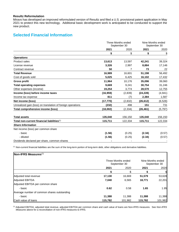## **Resultz Reformulation**

Miravo has developed an improved reformulated version of Resultz and filed a U.S. provisional patent application in May 2021 to protect this new technology. Additional basic development work is anticipated to be conducted to support the new product.

# **Selected Financial Information**

|                                                             | Three Months ended<br>September 30 |          |           | Nine Months ended<br>September 30 |
|-------------------------------------------------------------|------------------------------------|----------|-----------|-----------------------------------|
|                                                             | 2021                               | 2020     | 2021      | 2020                              |
|                                                             | \$                                 | \$       | \$        | \$                                |
| <b>Operations</b>                                           |                                    |          |           |                                   |
| <b>Product sales</b>                                        | 13,613                             | 13,597   | 42,241    | 39,324                            |
| License revenue                                             | 3,326                              | 2,997    | 8,884     | 17,146                            |
| Contract revenue                                            | 50                                 | 7        | 73        | 22                                |
| <b>Total Revenue</b>                                        | 16,989                             | 16,601   | 51,198    | 56,492                            |
| Cost of goods sold                                          | 5,025                              | 6,425    | 16,102    | 17,432                            |
| <b>Gross profit</b>                                         | 11,964                             | 10,176   | 35,096    | 39,060                            |
| <b>Total operating expenses</b>                             | 9,669                              | 9,241    | 30,754    | 31,246                            |
| Other expenses (income)                                     | 19,254                             | 3,774    | 28,570    | 12,755                            |
| Income (loss) before income taxes                           | (16, 959)                          | (2,839)  | (24, 228) | (4, 941)                          |
| Income tax expense                                          | 811                                | (7)      | 2,384     | 1,587                             |
| Net income (loss)                                           | (17, 770)                          | (2,832)  | (26, 612) | (6, 528)                          |
| Unrealized gain (loss) on translation of foreign operations | (232)                              | 498      | 151       | 731                               |
| Total comprehensive income (loss)                           | (18,002)                           | (2, 334) | (26, 461) | (5,797)                           |
| <b>Total assets</b>                                         | 135,040                            | 156,150  | 135,040   | 156,150                           |
| Total non-current financial liabilities(1)                  | 115,711                            | 122,334  | 115,711   | 122,334                           |
| <b>Share Information</b>                                    |                                    |          |           |                                   |
| Net income (loss) per common share                          |                                    |          |           |                                   |
| - basic                                                     | (1.56)                             | (0.25)   | (2.34)    | (0.57)                            |
| - diluted                                                   | (1.56)                             | (0.25)   | (2.34)    | (0.57)                            |
| Dividends declared per share, common shares                 |                                    |          |           |                                   |

(1) Non-current financial liabilities are the sum of the long-term portion of long-term debt, other obligations and derivative liabilities.

| Non-IFRS Measures $(1)$                     |                                    |         |                                   |         |
|---------------------------------------------|------------------------------------|---------|-----------------------------------|---------|
|                                             | Three Months ended<br>September 30 |         | Nine Months ended<br>September 30 |         |
|                                             | 2021                               | 2020    | 2021                              | 2020    |
|                                             | S                                  | \$      | S                                 | \$      |
| Adjusted total revenue                      | 17,130                             | 16,669  | 51,579                            | 53,628  |
| <b>Adjusted EBITDA</b>                      | 7,040                              | 6,565   | 18,771                            | 22,201  |
| Adjusted EBITDA per common share            |                                    |         |                                   |         |
| - basic                                     | 0.62                               | 0.58    | 1.65                              | 1.95    |
| Average number of common shares outstanding |                                    |         |                                   |         |
| - basic                                     | 11,388                             | 11,388  | 11,388                            | 11,388  |
| Cash value of loans                         | 115,782                            | 101,982 | 115,782                           | 101,982 |

(1) Adjusted EBITDA, adjusted total revenue, adjusted EBITDA per common share and cash value of loans are Non-IFRS measures. See *Non-IFRS Measures* above for a reconciliation of non-IFRS measures to IFRS.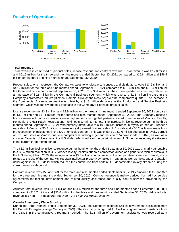# **Results of Operations**



#### **Total Revenue**

Total revenue is comprised of product sales, license revenue and contract revenue. Total revenue was \$17.0 million and \$51.2 million for the three and the nine months ended September 30, 2021 compared to \$16.6 million and \$56.5 million for the three and nine months ended September 30, 2020.

Product sales, which represent the Company's sales to wholesalers, licensees and distributors, were \$13.6 million and \$42.2 million for the three and nine months ended September 30, 2021 compared to \$13.6 million and \$39.3 million for the three and nine months ended September 30, 2020. The \$nil impact in the current quarter was primarily related to an increase of \$1.8 million in the Commercial Business segment, which was due to a \$1.8 million increase in the Company's promoted products (Blexten, Cambia, Suvexx and NeoVisc) over the comparative quarter. The increase in the Commercial Business segment was offset by a \$1.8 million decrease in the Production and Service Business segment, which was mainly due to a decrease in the Company's Pennsaid product sales.

License revenue was \$3.3 million and \$8.9 million for the three and nine months ended September 30, 2021 compared to \$3.0 million and \$17.1 million for the three and nine months ended September 30, 2020. The Company receives license revenue from its exclusive licensing agreements with global partners related to net sales of Vimovo, Resultz, Pennsaid, the HLT Patch, Yosprala and Treximet in certain territories. The increase in license revenue during the three months ended September 30, 2021 was primarily attributable to a \$0.5 million increase in royalty earned on European net sales of Vimovo, a \$0.2 million increase in royalty earned from net sales of Yosprala and a \$0.2 million increase from the recognition of milestones in the SK Chemicals contract. This was offset by a \$0.6 million decrease in royalty earned on U.S. net sales of Vimovo due to a competitor launching a generic version of Vimovo in March 2020, as well as a stronger Canadian dollar against the U.S. dollar, which reduced the contribution from U.S. denominated royalty streams in the current three-month period.

The \$8.3 million decline in license revenue during the nine months ended September 30, 2021 was primarily attributable to a \$3.4 million reduction in U.S. Vimovo royalty receipts due to a competitor launch of a generic version of Vimovo in the U.S. during March 2020, the recognition of a \$5.5 million contract asset in the comparative nine-month period, which related to the use of the Company's Yosprala intellectual property by Takeda in Japan, as well as the stronger Canadian dollar against the U.S. dollar which reduced the contribution from certain U.S. denominated royalty streams during the current nine-month period.

Contract revenue was \$50 and \$73 for the three and nine months ended September 30, 2021 compared to \$7 and \$22 for the three and nine months ended September 30, 2020. Contract revenue is mainly derived from ad hoc service agreements for testing, development and related quality assurance and quality control services provided by the Company.

Adjusted total revenue was \$17.1 million and \$51.6 million for the three and nine months ended September 30, 2021 compared to \$16.7 million and \$53.6 million for the three and nine months ended September 30, 2020. Adjusted total revenue is a non-IFRS measure (See *Non-IFRS Financial Measures* above).

#### **Canada Emergency Wage Subsidy**

During the three months ended September 30, 2021, the Company recorded \$nil in government assistance from the Canada Emergency Wage Subsidy (CEWS). The Company recognized \$1.1 million in government assistance from the CEWS in the comparative three-month period. The \$1.1 million of government assistance was recorded as a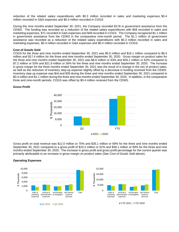reduction of the related salary expenditures with \$0.3 million recorded in sales and marketing expenses, \$0.4 million recorded in G&A expenses and \$0.4 million recorded in COGS

During the nine months ended September 30, 2021, the Company recorded \$178 in government assistance from the CEWS. The funding was recorded as a reduction of the related salary expenditures with \$58 recorded in sales and marketing expenses, \$71 recorded in G&A expenses and \$49 recorded in COGS. The Company recognized \$1.1 million in government assistance from the CEWS in the comparative nine-month period. The \$1.1 million of government assistance was recorded as a reduction of the related salary expenditures with \$0.3 million recorded in sales and marketing expenses, \$0.4 million recorded in G&A expenses and \$0.4 million recorded in COGS.

#### **Cost of Goods Sold**

COGS for the three and nine months ended September 30, 2021 was \$5.0 million and \$16.1 million compared to \$6.4 million and \$17.4 million for the three and nine months ended September 30, 2020. Gross margin on product sales for the three and nine months ended September 30, 2021 was \$8.6 million or 63% and \$26.1 million or 62% compared to \$7.2 million or 53% and \$21.9 million or 56% for the three and nine months ended September 30, 2020. The increase in gross margin for the three months ended September 30, 2021 was the result of a change in the mix of product sales, as well as the reduction of inventory step-up expense slightly offset by a decrease in funding received from the CEWS. Inventory step up expense was \$nil and \$35 during the three and nine months ended September 30, 2021 compared to \$0.4 million and \$1.1 million during the three and nine months ended September 30, 2020. In addition, in the comparative three and nine-month periods, COGS was offset by \$0.4 million received from the CEWS.

#### **Gross Profit**



Gross profit on total revenue was \$12.0 million or 70% and \$35.1 million or 69% for the three and nine months ended September 30, 2021 compared to a gross profit of \$10.2 million or 61% and \$39.1 million or 69% for the three and nine months ended September 30, 2020. The increase in gross profit and gross profit percentage for the current quarter was primarily attributable to an increase in gross margin on product sales (See *Cost of Goods Sold* above).



#### **Operating Expenses**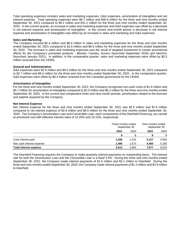Total operating expenses includes sales and marketing expenses, G&A expenses, amortization of intangibles and net interest expense. Total operating expenses were \$9.7 million and \$30.8 million for the three and nine months ended September 30, 2021 compared to \$9.2 million and \$31.2 million for the three and nine months ended September 30, 2020. In the current quarter, an increase in sales and marketing expenses and G&A expenses was offset by a decrease in net interest expense and amortization of intangibles. In the current nine-month period, a decrease in net interest expense and amortization of intangibles was offset by an increase in sales and marketing and G&A expenses.

#### **Sales and Marketing**

The Company incurred \$2.4 million and \$8.0 million in sales and marketing expenses for the three and nine months ended September 30, 2021 compared to \$1.6 million and \$6.6 million for the three and nine months ended September 30, 2020. The increase in sales and marketing expenses was the result of targeted investment in certain promotional efforts for the Company's promoted products - Blexten, Cambia, Suvexx (launched September 2020) and NeoVisc (launched January 2021). In addition, in the comparative quarter, sales and marketing expenses were offset by \$0.3 million received from the CEWS.

#### **General and Administrative**

G&A expenses were \$2.9 million and \$9.5 million for the three and nine months ended September 30, 2021 compared to \$2.7 million and \$9.4 million for the three and nine months ended September 30, 2020. In the comparative quarter, G&A expenses were offset by \$0.4 million received from the Canadian government for the CEWS.

#### **Amortization of Intangibles**

For the three and nine months ended September 30, 2021, the Company recognized non-cash costs of \$1.9 million and \$5.7 million for amortization of intangibles compared to \$2.0 million and \$6.2 million for the three and nine months ended September 30, 2020. In the current and comparative three and nine-month periods, amortization related to the licenses and patents acquired by the Company.

#### **Net Interest Expense**

Net interest expense for the three and nine months ended September 30, 2021 was \$2.5 million and \$7.6 million compared to net interest expense of \$2.9 million and \$9.0 million for the three and nine months ended September 30, 2020. The Company's Amortization Loan and Convertible Loan, each components of the Deerfield Financing, are carried at amortized cost with effective interest rates of 10.20% and 10.13%, respectively.

|                               |              | Three months ended<br>September 30 |       | Nine months ended<br>September 30 |  |
|-------------------------------|--------------|------------------------------------|-------|-----------------------------------|--|
|                               | 2021<br>2020 |                                    | 2021  | 2020                              |  |
|                               |              |                                    |       |                                   |  |
| Cash interest paid            | 1,046        | 1.231                              | 3,127 | 3,834                             |  |
| Non cash interest expense     | 1.466        | 1,673                              | 4,450 | 5,185                             |  |
| <b>Total interest expense</b> | 2,512        | 2,904                              | 7.577 | 9,019                             |  |

The Deerfield Financing requires the Company to make quarterly interest payments on outstanding loans. The interest rate for both the Amortization Loan and the Convertible Loan is a fixed 3.5%. During the three and nine months ended September 30, 2021, the Company made interest payments of \$1.0 million and \$3.1 million to Deerfield. During the three and nine months ended September 30, 2020, the Company made interest payments of \$1.2 million and \$3.9 million to Deerfield.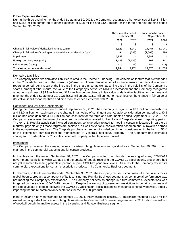#### **Other Expenses (Income)**

During the three and nine months ended September 30, 2021, the Company recognized other expenses of \$19.3 million and \$28.6 million compared to other expenses of \$3.8 million and \$12.8 million for the three and nine months ended September 30, 2020.

|                                                                      | Three months ended<br>September 30 |          | Nine months ended | September 30 |
|----------------------------------------------------------------------|------------------------------------|----------|-------------------|--------------|
|                                                                      | 2021                               | 2020     | 2021              | 2020         |
|                                                                      |                                    |          |                   | \$           |
| Change in fair value of derivative liabilities (gain)                | 2,929                              | 5,240    | 14.447            | 11,141       |
| Change in fair value of contingent and variable consideration (gain) | 94                                 | (289)    | (1,005)           | 1,586        |
| Impairment                                                           | 14,682                             |          | 14,682            |              |
| Foreign currency loss (gain)                                         | 1,439                              | (1, 146) | 162               | 1,441        |
| Other losses (gains)                                                 | 110                                | (31)     | 284               | (1, 413)     |
| Total other expenses (income)                                        | 19.254                             | 3.774    | 28,570            | 12,755       |

#### Derivative Liabilities

The Company holds two derivative liabilities related to the Deerfield Financing – the conversion feature that is embedded in the Convertible Loan and the warrants (Warrants). These derivative liabilities are measured at fair value at each reporting period. As a result of the increase in the share price, as well as an increase in the volatility of the Company's shares, amongst other inputs, the value of the Company's derivative liabilities increased and the Company recognized a net non-cash loss of \$2.9 million and \$14.4 million on the change in fair value of derivative liabilities for the three and nine months ended September 30, 2021 [\$5.2 million and \$11.1 million net non-cash loss on the change in fair value of derivative liabilities for the three and nine months ended September 30, 2020].

#### Contingent and Variable Consideration

During the three and nine months ended September 30, 2021, the Company recognized a \$0.1 million non-cash loss and \$1.0 million non-cash gain on the change in fair value of contingent and variable consideration compared to a \$0.3 million non-cash gain and a \$1.6 million non-cash loss for the three and nine months ended September 30, 2020. The Company reassesses the value of contingent consideration related to Resultz and Yosprala at each reporting period. The ex-U.S. Resultz acquisition included contingent consideration related to meeting certain milestones in partnered markets, payable only if those targets are achieved, as well as variable consideration based on annual royalties earned in the non-partnered markets. The Yosprala purchase agreement included contingent consideration in the form of 50% of the lifetime net earnings from the monetization of Yosprala intellectual property. The Company has estimated contingent consideration for Yosprala intellectual property in the Japanese market.

#### Impairment

The Company reviewed the carrying values of certain intangible assets and goodwill as at September 30, 2021 due to changes in the commercial expectations for certain products.

In the three months ended September 30, 2021, the Company noted that despite the easing of many COVID-19 government restrictions within Canada and the uptake of people receiving the COVID-19 vaccinations, prescribers had not yet resumed to seeing patients in person, at pre-COVID-19 pandemic levels. As a result, the Company revised its commercial expectations for certain prescription products in its Commercial Business segment.

Furthermore, in the three months ended September 30, 2021, the Company revised its commercial expectations for its global Resultz product, a component of its Licensing and Royalty Business segment, as commercial performance was not meeting the Company's expectations. The Company believes its change in future commercial expectations was triggered by the evolving-COVID-19 pandemic. Despite the easing of government restrictions in certain countries and the global uptake of people receiving the COVID-19 vaccination, social distancing measures continue worldwide, directly impacting the future commercial expectations for the Resultz product.

In the three and nine months ended September 30, 2021, the impairment loss of \$14.7 million represented a \$12.6 million write-down of goodwill and certain intangible assets in the Commercial Business segment and a \$2.1 million write-down of goodwill certain intangible assets in the Licensing and Royalty Business segment.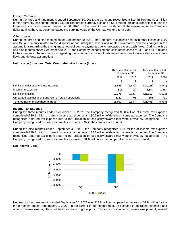#### Foreign Currency

During the three and nine months ended September 30, 2021, the Company recognized a \$1.4 million and \$0.2 million foreign currency loss compared to a \$1.1 million foreign currency gain and a \$1.4 million foreign currency loss during the three and nine months ended September 30, 2020. In the current three-month period, the weakening of the Canadian dollar against the U.S. dollar increased the carrying value of the Company's long-term debt.

#### Other Losses

During the three and nine months ended September 30, 2021, the Company recognized non-cash other losses of \$110 and \$284, primarily related to the disposal of two intangible assets and related inventories and the changes in the assumptions regarding the timing and amount of debt repayments due to forecasted excess cash flows. During the three and nine months ended September 30, 2021, the Company recognized non-cash other losses of \$110 and \$146 related to the changes in the assumptions regarding the timing and amount of debt repayments due to forecasted excess cash flows and deferral assumptions.

## **Net Income (Loss) and Total Comprehensive Income (Loss)**

|                                                             | Three months ended<br>September 30 |          | Nine months ended<br>September 30 |          |
|-------------------------------------------------------------|------------------------------------|----------|-----------------------------------|----------|
|                                                             | 2021                               | 2020     | 2021                              | 2020     |
|                                                             |                                    |          |                                   |          |
| Net income (loss) before income taxes                       | (16, 959)                          | (2,839)  | (24, 228)                         | (4, 941) |
| Income tax expense                                          | 811                                |          | 2.384                             | 1,587    |
| Net income (loss)                                           | (17, 770)                          | (2,832)  | (26, 612)                         | (6, 528) |
| Unrealized gain (loss) on translation of foreign operations | (232)                              | 498      | 151                               | 731      |
| Total comprehensive income (loss)                           | (18,002)                           | (2, 334) | (26, 461)                         | (5, 797) |

#### **Income Tax Expense**

During the three months ended September 30, 2021, the Company recognized \$0.8 million of income tax expense comprised of \$0.1 million of current income tax expense and \$0.7 million of deferred income tax expense. The Company recognized deferred tax expense due to the utilization of loss carryforwards that were previously recognized. The Company recognized a current income tax recovery of \$7 in the comparative quarter.

During the nine months ended September 30, 2021, the Company recognized \$2.4 million of income tax expense comprised of \$0.3 million of current income tax expense and \$2.1 million of deferred income tax expense. The Company recognized deferred tax expense due to the utilization of loss carryforwards that were previously recognized. The Company recognized a current income tax expense of \$1.6 million for the comparative nine-month period.

## **Net Income (Loss)**



Net loss for the three months ended September 30, 2021 was \$17.8 million compared to net loss of \$2.8 million for the three months ended September 30, 2020. In the current three-month period, an increase in operating expenses and other expenses was slightly offset by an increase in gross profit. The increase in other expenses was primarily related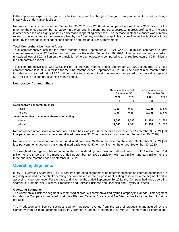to the impairment expense recognized by the Company and the change in foreign currency movements, offset by change in fair value of derivative liabilities.

Net loss for the nine months ended September 30, 2021 was \$26.6 million compared to a net loss of \$6.5 million for the nine months ended September 30, 2020. In the current nine-month period, a decrease in gross profit and an increase in other expenses was slightly offset by a decrease in operating expenses. The increase in other expenses was primarily related to the impairment expense recognized by the Company and the change in fair value of derivative liabilities, slightly offset by the change in contingent consideration and foreign currency movements.

#### **Total Comprehensive Income (Loss)**

Total comprehensive loss for the three months ended September 30, 2021 was \$18.0 million compared to total comprehensive loss of \$2.3 million for the three months ended September 30, 2020. The current quarter included an unrealized loss of \$0.2 million on the translation of foreign operations compared to an unrealized gain of \$0.5 million in the comparative quarter.

Total comprehensive loss was \$26.5 million for the nine months ended September 30, 2021 compared to a total comprehensive loss of \$5.8 million for the nine months ended September 30, 2020. The current nine-month period included an unrealized gain of \$0.2 million on the translation of foreign operations compared to an unrealized gain of \$0.7 million in the comparative nine-month period.

#### **Net Loss per Common Share**

|                                             |        | Three months ended<br>September 30 |        | Nine months ended<br>September 30 |  |
|---------------------------------------------|--------|------------------------------------|--------|-----------------------------------|--|
|                                             | 2021   | 2020                               | 2021   | 2020                              |  |
|                                             |        | ደ                                  |        | \$                                |  |
| Net loss from per common share              |        |                                    |        |                                   |  |
| - basic                                     | (1.56) | (0.25)                             | (2.34) | (0.57)                            |  |
| - diluted                                   | (1.56) | (0.25)                             | (2.34) | (0.57)                            |  |
| Average number of common shares outstanding |        |                                    |        |                                   |  |
| - basic                                     | 11.388 | 11,388                             | 11,388 | 11,388                            |  |
| - diluted                                   | 11,388 | 11,388                             | 11,388 | 11,388                            |  |

Net loss per common share on a basic and diluted basis was \$1.56 for the three months ended September 30, 2021 [net loss per common share on a basic and diluted basis was \$0.25 for the three months ended September 30, 2020].

Net loss per common share on a basic and diluted basis was \$2.34 for the nine months ended September 30, 2021 [net loss per common share on a basic and diluted basis was \$0.57 for the nine months ended September 30, 2020].

The weighted average number of common shares outstanding on a basic and diluted basis was 11.4 million and 11.4 million for the three and nine months ended September 30, 2021 consistent with 11.4 million and 11.4 million for the three and nine months ended September 30, 2020.

# **Operating Segments**

IFRS 8 – *Operating Segments* (IFRS 8) requires operating segments to be determined based on internal reports that are regularly reviewed by the chief operating decision maker for the purpose of allocating resources to the segment and to assessing its performance. For the three and nine months ended September 30, 2021, the Company had three operating segments: Commercial Business, Production and Service Business and Licensing and Royalty Business.

#### **Operating Segments**

The Commercial Business segment is comprised of products commercialized by the Company in Canada. This segment includes the Company's promoted products - Blexten, Cambia, Suvexx, and NeoVisc, as well as a number of mature products.

The Production and Service Business segment includes revenue from the sale of products manufactured by the Company from its manufacturing facility in Varennes, Québec or contracted by Miravo Ireland from its international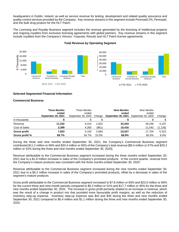headquarters in Dublin, Ireland, as well as service revenue for testing, development and related quality assurance and quality control services provided by the Company. Key revenue streams in this segment include Pennsaid 2%, Pennsaid, and the bulk drug product for the HLT Patch.

The Licensing and Royalty Business segment includes the revenue generated by the licensing of intellectual property and ongoing royalties from exclusive licensing agreements with global partners. Key revenue streams in this segment include royalties from the Company's Vimovo, Yosprala, Resultz and HLT Patch license agreements.



## **Total Revenue by Operating Segment**

## **Selected Segmented Financial Information**

#### **Commercial Business**

|                      | <b>Three Months</b>         | Three Months                |        | <b>Nine Months</b>          | Nine Months                 |          |
|----------------------|-----------------------------|-----------------------------|--------|-----------------------------|-----------------------------|----------|
|                      | ended<br>September 30, 2021 | ended<br>September 30, 2020 | Change | ended<br>September 30, 2021 | ended<br>September 30, 2020 | Change   |
| in thousands         |                             |                             |        |                             |                             | \$       |
| Revenue              | 11,232                      | 9.410                       | 1,822  | 33,443                      | 29.246                      | 4.197    |
| <b>Cost of Sales</b> | 3,399                       | 4,260                       | (861)  | 10.416                      | 11,542                      | (1, 126) |
| Gross profit         | 7,833                       | 5.150                       | 2,683  | 23,027                      | 17.704                      | 5,323    |
| Gross profit %       | 69.7%                       | 54.7%                       | 15.0%  | 68.9%                       | 60.5%                       | 8.4%     |

During the three and nine months ended September 30, 2021, the Company's Commercial Business segment contributed \$11.2 million or 66% and \$33.4 million or 65% of the Company's total revenue [\$9.4 million or 57% and \$29.2 million or 52% during the three and nine months ended September 30, 2020].

Revenue attributable to the Commercial Business segment increased during the three months ended September 30, 2021 due to a \$1.8 million increase in sales of the Company's promoted products. In the current quarter, revenue from the Company's mature products was consistent with the three months ended September 30, 2020.

Revenue attributable to the Commercial Business segment increased during the nine months ended September 30, 2021 due to a \$5.2 million increase in sales of the Company's promoted products, offset by a decrease in sales of the segment's mature products.

Gross profit attributable to the Commercial Business segment increased to \$7.8 million or 65% and \$23.0 million or 66% for the current three and nine-month periods compared to \$5.2 million or 51% and \$17.7 million or 45% for the three and nine months ended September 30, 2020. The increase in gross profit primarily related to an increase in revenue, which was the result of a change in product mix that provided more favourable profit margins, as well as the reduction of inventory step-up expense. Inventory step-up expense was \$nil and \$35 during the three and nine months ended September 30, 2021 compared to \$0.4 million and \$1.1 million during the three and nine months ended September 30, 2020.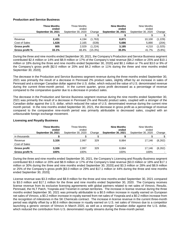#### **Production and Service Business**

|                | <b>Three Months</b><br>ended<br>September 30, 2021 | Three Months<br>ended<br>September 30, 2020 | Change  | <b>Nine Months</b><br>ended<br>September 30, 2021 | Nine Months<br>ended<br>September 30, 2020 | Change    |
|----------------|----------------------------------------------------|---------------------------------------------|---------|---------------------------------------------------|--------------------------------------------|-----------|
|                |                                                    |                                             |         |                                                   |                                            |           |
| Revenue        | 2,431                                              | 4,194                                       | (1,763) | 8,871                                             | 10.100                                     | (1,229)   |
| Cost of Sales  | 1,626                                              | 2,165                                       | (539)   | 5,686                                             | 5,890                                      | (204)     |
| Gross profit   | 805                                                | 2,029                                       | (1,224) | 3,185                                             | 4.210                                      | (1,025)   |
| Gross profit % | 33.1%                                              | 48.4%                                       | (15.3%) | 35.9%                                             | 41.7%                                      | $(5.8\%)$ |

During the three and nine months ended September 30, 2021, the Company's Production and Service Business segment contributed \$2.4 million or 14% and \$8.9 million or 17% of the Company's total revenue [\$4.2 million or 25% and \$10.1 million or 18% during the three and nine months ended September 30, 2020] and \$0.1 million or 7% and \$3.0 or 9% of the Company's gross profit [\$2.0 million or 20% and \$4.2 million or 11% during the three and nine months ended September 30, 2020].

The decrease in the Production and Service Business segment revenue during the three months ended September 30, 2021 was primarily the result of a decrease in Pennsaid 2% product sales, slightly offset by an increase in sales of Pennsaid and a stronger Canadian dollar against the U.S. dollar, which reduced the value of U.S. denominated revenue during the current three-month period. In the current quarter, gross profit decreased as a percentage of revenue compared to the comparative quarter due to a decrease in product sales.

The decrease in the Production and Service Business segment revenue during the nine months ended September 30, 2021 was primarily the result of a decrease in Pennsaid 2% and Resultz product sales, coupled with a stronger of the Canadian dollar against the U.S. dollar, which reduced the value of U.S. denominated revenue during the current nine month period. In the nine months ended September 30, 2021, the decrease in gross profit as a percentage of revenue compared to the comparative nine-month period was primarily attributable to decreased sales, coupled with an unfavourable foreign exchange movement.

|                | <b>Three Months</b><br>ended<br><b>September 30, 2021</b> | Three Months<br>ended<br>September 30, 2020 | Change | <b>Nine Months</b><br>ended<br><b>September 30, 2021</b> | Nine Months<br>ended<br>September 30, 2020 | Change   |
|----------------|-----------------------------------------------------------|---------------------------------------------|--------|----------------------------------------------------------|--------------------------------------------|----------|
| in thousands   |                                                           |                                             |        |                                                          |                                            |          |
| Revenue        | 3,326                                                     | 2.997                                       | 329    | 8,884                                                    | 17.146                                     | (8, 262) |
| Cost of Sales  |                                                           |                                             |        |                                                          |                                            |          |
| Gross profit   | 3,326                                                     | 2,997                                       | 329    | 8,884                                                    | 17.146                                     | (8,262)  |
| Gross profit % | 100%                                                      | 100%                                        | -      | 100%                                                     | 100%                                       |          |

## **Licensing and Royalty Business**

During the three and nine months ended September 30, 2021, the Company's Licensing and Royalty Business segment contributed \$3.3 million or 20% and \$8.9 million or 17% of the Company's total revenue [\$3.0 million or 18% and \$17.1 million or 30% during the three and nine months ended September 30, 2020] and \$3.3 million or 28% and \$8.9 million or 25% of the Company's gross profit [\$3.0 million or 29% and \$17.1 million or 44% during the three and nine months ended September 30, 2020].

License revenue was \$3.3 million and \$8.9 million for the three and nine months ended September 30, 2021 compared to \$3.0 million and \$17.1 million for the three and nine months ended September 30, 2020. The Company receives license revenue from its exclusive licensing agreements with global partners related to net sales of Vimovo, Resultz, Pennsaid, the HLT Patch, Yosprala and Treximet in certain territories. The increase in license revenue during the three months ended September 30, 2021 was primarily attributable to a \$0.5 million increase in royalty earned on European net sales of Vimovo, a \$0.2 million increase in royalty earned from net sales of Yosprala and a \$0.2 million increase from the recognition of milestones in the SK Chemicals contract. The increase in license revenue in the current three-month period was slightly offset by a \$0.6 million decrease in royalty earned on U.S. net sales of Vimovo due to a competitor launching a generic version of Vimovo in March 2020, as well as a stronger Canadian dollar against the U.S. dollar, which reduced the contribution from U.S. denominated royalty streams during the three-month period.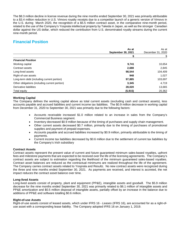The \$8.3 million decline in license revenue during the nine months ended September 30, 2021 was primarily attributable to a \$3.4 million reduction in U.S. Vimovo royalty receipts due to a competitor launch of a generic version of Vimovo in the U.S. during March 2020, the recognition of a \$5.5 million contract asset, in the comparative nine-month period, related to the use of the Company's Yosprala intellectual property by Takeda in Japan, as well as the stronger Canadian dollar against the US dollar, which reduced the contribution from U.S. denominated royalty streams during the current nine-month period.

# **Financial Position**

|                                               | As at                     | As at             |
|-----------------------------------------------|---------------------------|-------------------|
|                                               | <b>September 30, 2021</b> | December 31, 2020 |
|                                               |                           |                   |
| <b>Financial Position</b>                     |                           |                   |
| Working capital                               | 9,741                     | 10,654            |
| Contract assets                               | 2,688                     | 2,845             |
| Long-lived assets                             | 98,544                    | 104,409           |
| Right-of-use assets                           | 948                       | 1,027             |
| Long-term debt (including current portion)    | 97,885                    | 103,697           |
| Other obligations (including current portion) | 3,345                     | 4,719             |
| Derivative liabilities                        | 28,020                    | 13,665            |
| Total equity                                  | (5, 915)                  | 20,362            |

## **Working Capital**

The Company defines the working capital above as total current assets (excluding cash and contract assets), less accounts payable and accrued liabilities and current income tax liabilities. The \$0.9 million decrease in working capital from December 31, 2020 to September 30, 2021 was primarily due to the following factors:

- Accounts receivable increased \$1.0 million related to an increase in sales from the Company's Commercial Business segment.
- Inventory decreased \$0.9 million because of the timing of purchases and supply chain management.
- Other current assets decreased \$0.7 million, primarily due to the timing of purchases of promotional supplies and payment of prepaid expenses.
- Accounts payable and accrued liabilities increased by \$0.9 million, primarily attributable to the timing of payments.
- Current income tax liabilities decreased by \$0.6 million due to the settlement of current tax liabilities by the Company's Irish subsidiary

## **Contract Assets**

Contract assets represent the present value of current and future guaranteed minimum sales-based royalties, upfront fees and milestone payments that are expected to be received over the life of the licensing agreements. The Company's contract assets are subject to estimation regarding the likelihood of the minimum guaranteed sales-based royalties. Contract asset balances are reduced as the contractual minimums are realized throughout the life of the agreement. The Company carries contract assets related to Yosprala and Resultz. No new contract assets were recognized during the three and nine months ended September 30, 2021. As payments are received, and interest is accreted, the net impact reduces the contract asset balance over time.

## **Long-lived Assets**

Long-lived assets consist of property, plant and equipment (PP&E), intangible assets and goodwill. The \$5.9 million decrease for the nine months ended September 30, 2021 was primarily related to \$6.1 million of intangible assets and PP&E amortization and \$0.5 million disposal of intangible assets, partially offset by an increase in the balance due to additions of PP&E and software totalling \$0.6 million.

#### **Right-of-use Assets**

Right-of-use assets consist of leased assets, which under IFRS 16 - *Leases* (IFRS 16), are accounted for as a right-ofuse asset with a corresponding lease liability. The Company adopted IFRS 16 on January 1, 2019.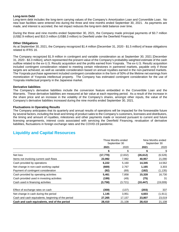#### **Long-term Debt**

Long-term debt includes the long-term carrying values of the Company's Amortization Loan and Convertible Loan. No new loan facilities were entered into during the three and nine months ended September 30, 2021. As payments are made, and interest is accreted, the net impact reduces the long-term debt balance over time.

During the three and nine months ended September 30, 2021, the Company made principal payments of \$3.7 million (US\$2.9 million) and \$10.3 million (US\$8.3 million) to Deerfield under the Deerfield Financing.

#### **Other Obligations**

As at September 30, 2021, the Company recognized \$1.4 million [December 31, 2020 - \$1.5 million] of lease obligations related to IFRS 16.

The Company recognized \$1.9 million in contingent and variable consideration as at September 30, 2021 [December 31, 2020 - \$3.3 million], which represented the present value of the Company's probability-weighted estimate of the cash outflow related to the ex-U.S. Resultz acquisition and the profits earned from Yosprala. The ex-U.S. Resultz acquisition included contingent consideration related to meeting certain milestones in partnered markets, payable only if those targets are achieved, as well as variable consideration based on annual royalties earned in the non-partnered markets. The Yosprala purchase agreement included contingent consideration in the form of 50% of the lifetime net earnings from monetization of Yosprala intellectual property. The Company has estimated contingent consideration for the use of Yosprala intellectual property in the Japanese market.

#### **Derivative liabilities**

The Company's derivative liabilities include the conversion feature embedded in the Convertible Loan and the Warrants. These derivative liabilities are measured at fair value at each reporting period. As a result of the increase in the share price and an increase in the volatility of the Company's shares, amongst other inputs, the value of the Company's derivative liabilities increased during the nine months ended September 30, 2021.

#### **Fluctuations in Operating Results**

The Company anticipates that its quarterly and annual results of operations will be impacted for the foreseeable future by several factors, including the level and timing of product sales to the Company's customers, licensees and distributors, the timing and amount of royalties, milestones and other payments made or received pursuant to current and future licensing arrangements, interest costs associated with servicing the Deerfield Financing, revaluation of derivative liabilities, fluctuations in foreign exchange rates and the COVID-19 pandemic.

# **Liquidity and Capital Resources**

|                                                    |           | Three Months ended<br>September 30 |           | Nine Months ended<br>September 30 |  |
|----------------------------------------------------|-----------|------------------------------------|-----------|-----------------------------------|--|
|                                                    | 2021      | 2020                               | 2021      | 2020                              |  |
|                                                    | \$        | \$                                 | \$        | \$                                |  |
| Net loss                                           | (17, 770) | (2,832)                            | (26, 612) | (6, 528)                          |  |
| Items not involving current cash flows             | 23,992    | 7,992                              | 40,957    | 21,090                            |  |
| Cash provided by operations                        | 6,222     | 5,160                              | 14,345    | 14,562                            |  |
| Net change in non-cash working capital             | (669)     | 2,767                              | 1,165     | 3,303                             |  |
| Payment of contingent consideration                | (92)      | (69)                               | (182)     | (1, 135)                          |  |
| Cash provided by operating activities              | 5,461     | 7,858                              | 15,328    | 16,730                            |  |
| Cash provided used in investing activities         | (199)     | (49)                               | (75)      | 31                                |  |
| Cash used in financing activities                  | (3,758)   | (3, 721)                           | (10, 447) | (19,009)                          |  |
| Effect of exchange rates on cash                   | (359)     | (137)                              | (203)     | 337                               |  |
| Net change in cash during the period               | 1,145     | 3,951                              | 4,603     | (1, 911)                          |  |
| Cash and cash equivalents, beginning of the period | 27,265    | 17,157                             | 23,807    | 23,019                            |  |
| Cash and cash equivalents, end of the period       | 28,410    | 21,108                             | 28,410    | 21,108                            |  |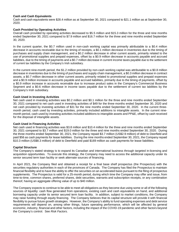#### **Cash and Cash Equivalents**

Cash and cash equivalents were \$28.4 million as at September 30, 2021 compared to \$21.1 million as at September 30, 2020.

#### **Cash Provided by Operating Activities**

Overall cash provided by operating activities decreased to \$5.5 million and \$15.3 million for the three and nine months ended September 30, 2021 compared to \$7.9 million and \$16.7 million for the three and nine months ended September 30, 2020.

In the current quarter, the \$0.7 million used in non-cash working capital was primarily attributable to a \$0.4 million decrease in accounts receivable due to the timing of receipts, a \$0.1 million decrease in inventories due to the timing of purchases and supply chain management, and a \$0.2 million decrease in other current assets, primarily related to the use of promotional supplies and prepaid expenses, offset by a \$0.9 million decrease in accounts payable and accrued liabilities, due to the timing of payments and a \$0.7 million decrease in current income taxes payable due to the settlement of current tax liabilities by the Company's Irish subsidiary.

In the current nine-month period, the \$1.2 million provided by non-cash working capital was attributable to a \$0.8 million decrease in inventories due to the timing of purchases and supply chain management, a \$0.3 million decrease in contract assets, a \$0.7 million decrease in other current assets, primarily related to promotional supplies and prepaid expenses and a \$0.9 million increase in accounts payable and accrued liabilities, primarily due to the timing of payments, offset by a \$0.9 million increase in accounts receivable due to increase product sales in the Company's Commercial Business Segment and a \$0.6 million decrease in income taxes payable due to the settlement of current tax labilities by the Company's Irish subsidiary.

#### **Cash Used in Investing Activities**

Net cash used in investing activities was \$0.2 million and \$0.1 million for the three and nine months ended September 30, 2021 compared to net cash used in investing activities of \$49 for the three months ended September 30, 2020 and net cash provided by investing activities of \$31 for the nine months ended September 30, 2020. In the current threemonth period, cash used by investing activities, primarily included additions to intangible assets. In the current ninemonth period, cash used by investing activities included additions to intangible assets and PP&E, offset by cash received for the disposal of intangible assets.

#### **Cash Used in Financing Activities**

Net cash used in financing activities was \$3.8 million and \$10.4 million for the three and nine months ended September 30, 2021 compared to \$3.7 million and \$19.0 million for the three and nine months ended September 30, 2020. During the three months ended September 30, 2021, the Company repaid \$3.7 million (US\$2.9 million) of debt to Deerfield and paid \$56 as cash payments for lease liabilities. During the nine months ended September 30, 2021, the Company repaid \$10.3 million (US\$8.3 million) of debt to Deerfield and paid \$169 million as cash payments for lease liabilities.

## **Capital Structure**

The Company's stated strategy is to expand its Canadian and international business through targeted in-licensing and acquisition opportunities. To execute this strategy, the Company may need to access the additional capacity under its senior secured term loan facility or seek alternate sources of financing.

In April 2021, the Company filed and obtained a receipt for a final base shelf prospectus (the Prospectus) with the securities regulatory authorities in each of the provinces of Canada. The Company has filed the Prospectus to maintain financial flexibility and to have the ability to offer the securities on an accelerated basis pursuant to the filing of prospectus supplements. The Prospectus is valid for a 25-month period, during which time the Company may offer and issue, from time-to-time, common shares, preferred shares, debt securities, warrants and subscription receipts, or any combination thereof, having an aggregate offering value of up to \$40 million.

The Company expects to continue to be able to meet all obligations as they become due using some or all of the following sources of liquidity: cash flow generated from operations, existing cash and cash equivalents on hand, and additional borrowing capacity under its senior secured term loan facility. In addition, subject to market conditions, the Company may raise funding through equity financing. The Company believes that its capital structure will provide it with financial flexibility to pursue future growth strategies. However, the Company's ability to fund operating expenses and debt service requirements will depend on, among other things, future operating performance, which will be affected by general economic, industry, financial and other factors, including the impact of the COVID-19 pandemic and other factors beyond the Company's control. See *Risk Factors*.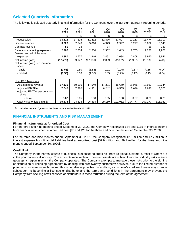# **Selected Quarterly Information**

The following is selected quarterly financial information for the Company over the last eight quarterly reporting periods.

|                              | Q <sub>3</sub> | Q2     | Q1        | Q4     | Q <sub>3</sub> | Q <sub>2</sub> | Q <sub>1</sub> | Q4      |
|------------------------------|----------------|--------|-----------|--------|----------------|----------------|----------------|---------|
|                              | 2021           | 2021   | 2021      | 2020   | 2020           | 2020           | $2020^{(1)}$   | 2019    |
|                              | \$             | \$     | \$        | \$     | \$             | \$             | \$             | \$      |
| Product sales                | 13,613         | 17,216 | 11,412    | 12,876 | 13,597         | 12,253         | 13,474         | 13,317  |
| License revenue              | 3,326          | 2,548  | 3,010     | 4,373  | 2,997          | 3,277          | 10,872         | 6,043   |
| Contract revenue             | 50             | 23     |           | 34     |                |                | 15             | 233     |
| Sales and marketing expenses | 2,405          | 2,654  | 2,930     | 2,352  | 1,643          | 2,703          | 2,230          | 1,968   |
| General and administrative   |                |        |           |        |                |                |                |         |
| expenses                     | 2,880          | 3,707  | 2,946     | 3,461  | 2,684          | 2,808          | 3,940          | 3,941   |
| Net income (loss)            | (17, 770)      | 9,147  | (17, 989) | 2,399  | (2,832)        | (1,967)        | (1,729)        | (418)   |
| Net income (loss) per common |                |        |           |        |                |                |                |         |
| share                        |                |        |           |        |                |                |                |         |
| - basic                      | (1.56)         | 0.80   | (1.58)    | 0.21   | (0.25)         | (0.17)         | (0.15)         | (0.04)  |
| - diluted                    | (1.56)         | 0.10   | (1.58)    | 0.05   | (0.25)         | (0.17)         | (0.15)         | (0.04)  |
|                              |                |        |           |        |                |                |                |         |
| Non-IFRS Measures            |                |        |           |        |                |                |                |         |
| Adjusted total revenue       | 17,130         | 19,900 | 14,549    | 17,331 | 16,669         | 18,046         | 18,913         | 19,644  |
| <b>Adjusted EBITDA</b>       | 7,040          | 7,380  | 4,351     | 6,242  | 6,565          | 7,646          | 7,990          | 8,570   |
| Adjusted EBITDA per common   |                |        |           |        |                |                |                |         |
| share                        |                |        |           |        |                |                |                |         |
| - basic                      | 0.62           | 0.65   | 0.38      | 0.55   | 0.58           | 0.67           | 0.70           | 0.75    |
| Cash value of loans (US\$)   | 90,874         | 93,818 | 96,318    | 99,180 | 101,982        | 104,777        | 107,277        | 115,952 |

(1) Includes restated figures for the three months ended March 31, 2020.

## **FINANCIAL INSTRUMENTS AND RISK MANAGEMENT**

#### **Financial Instruments at Amortized Cost**

For the three and nine months ended September 30, 2021, the Company recognized \$34 and \$115 in interest income from financial assets held at amortized cost [\$5 and \$25 for the three and nine months ended September 30, 2020].

For the three and nine months ended September 30, 2021, the Company recognized \$2.6 million and \$7.7 million in interest expense from financial liabilities held at amortized cost [\$2.9 million and \$9.1 million for the three and nine months ended September 30, 2020].

#### **Credit Risk**

The Company, in the normal course of business, is exposed to credit risk from its global customers, most of whom are in the pharmaceutical industry. The accounts receivable and contract assets are subject to normal industry risks in each geographic region in which the Company operates. The Company attempts to manage these risks prior to the signing of distribution or licensing agreements by dealing with creditworthy customers; however, due to the limited number of potential customers in each market, this is not always possible. In addition, a customer's creditworthiness may change subsequent to becoming a licensee or distributor and the terms and conditions in the agreement may prevent the Company from seeking new licensees or distributors in these territories during the term of the agreement.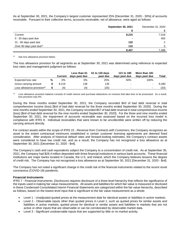As at September 30, 2021, the Company's largest customer represented 25% [December 31, 2020 - 30%] of accounts receivable. Pursuant to their collective terms, accounts receivable, net of allowance, were aged as follows:

|                                      | <b>September 30, 2021</b> | December 31, 2020 |
|--------------------------------------|---------------------------|-------------------|
|                                      |                           |                   |
| Current                              | 8,215                     | 7,018             |
| 0 - 30 days past due                 |                           | 463               |
| 31 - 60 days past due                | 132                       | $\mathcal{P}$     |
| Over 60 days past due <sup>(i)</sup> | 110                       | 5                 |
|                                      | 8,457                     | 7,488             |

(1) See *loss allowance provision* below.

The loss allowance provision for all segments as at September 30, 2021 was determined using reference to expected loss rates and management judgment as follows:

|                                         |   | <b>Current</b> | Less than 61<br>days past due | 61 to 120 days<br>past due | 121 to 180<br>days past due | More than 181<br>days past due | Total |
|-----------------------------------------|---|----------------|-------------------------------|----------------------------|-----------------------------|--------------------------------|-------|
| Expected loss rate                      | % | 0%             | 0%                            | 25%                        | 50%                         | 100%                           |       |
| Gross carrying amount                   |   | 8.219          | 136                           | 135                        | $\overline{\phantom{0}}$    |                                | 8.490 |
| Loss allowance provision <sup>(i)</sup> |   | (4             | (4)                           | $^{\prime}25)$             | $\overline{\phantom{0}}$    | -                              | (33)  |

 $<sup>(1)</sup>$  Loss allowance provision balance consists of credit memos and purchase deductions on invoices that take time to be processed. As a result,</sup> loss provision was 0%.

During the three months ended September 30, 2021, the Company recorded \$43 of bad debt reversal in total comprehensive income (loss) [\$nil of bad debt reversal for the three months ended September 30, 2020]. During the nine months ended September 30, 2021, the Company recorded \$57 of bad debt reversal in total comprehensive income (loss) [\$nil of bad debt reversal for the nine months ended September 30, 2020]. For the three and nine months ended September 30, 2021, the impairment of accounts receivable was assessed based on the incurred loss model in compliance with IFRS 9. Individual receivables that were known to be uncollectible were written off by reducing the carrying amount directly.

For contract assets within the scope of IFRS 15 - *Revenue from Contracts with Customers*, the Company recognizes an asset to the extent contractual minimums established in certain customer licensing agreements are deemed fixed consideration. After analysis of historical default rates and forward-looking estimates, the Company's contract assets were considered to have low credit risk, and as a result, the Company has not recognized a loss allowance as at September 30, 2021 [December 31, 2020 - \$nil].

The Company's cash and cash equivalents subject the Company to a concentration of credit risk. As at September 30, 2021, the Company had \$28.4 million deposited with three financial institutions in various bank accounts. These financial institutions are major banks located in Canada, the U.S. and Ireland, which the Company believes lessens the degree of credit risk. The Company has not recognized a loss allowance as at September 30, 2021 [December 31, 2020 - \$nil].

The Company has not noted a significant change in the credit risk of the financial instruments related to the recent novel coronavirus (COVID-19) pandemic.

#### **Financial Instruments**

IFRS 7 - *Financial Instruments, Disclosures* requires disclosure of a three-level hierarchy that reflects the significance of the inputs used in making fair value measurements. All assets and liabilities for which fair value is measured or disclosed in these Condensed Consolidated Interim Financial Statements are categorized within the fair value hierarchy, described as follows, based on the lowest level input that is significant to the fair value measurement as a whole:

- Level 1 Unadjusted quoted prices at the measurement date for identical assets or liabilities in active markets.
- Level 2 Observable inputs other than quoted prices in Level 1, such as quoted prices for similar assets and liabilities in active markets; quoted prices for identical or similar assets and liabilities in markets that are not active or other inputs that are observable or can be corroborated by observable market data.
- Level 3 Significant unobservable inputs that are supported by little or no market activity.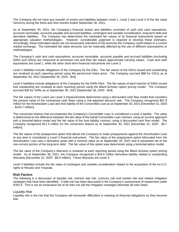The Company did not have any transfer of assets and liabilities between Level 1, Level 2 and Level 3 of the fair value hierarchy during the three and nine months ended September 30, 2021.

As at September 30, 2021, the Company's financial assets and liabilities consisted of cash and cash equivalents, accounts receivable, accounts payable and accrued liabilities, contingent and variable consideration, long-term debt and derivative liabilities. The Company has determined the estimated fair values of its financial instruments based on appropriate valuation methodologies. However, considerable judgment is required to develop these estimates. Accordingly, these estimated values are not necessarily indicative of the amounts the Company could realize in a current market exchange. The estimated fair value amounts can be materially affected by the use of different assumptions or methodologies.

The Company's cash and cash equivalents, accounts receivable, accounts payable and accrued liabilities (excluding SARs and DSUs) are measured at amortized cost and their fair values approximate carrying values. Cash and cash equivalents are Level 1, while the other short-term financial instruments are Level 3.

Level 1 liabilities include obligations of the Company for the DSU. The fair values of the DSUs issued and outstanding are revalued at each reporting period using the period-end share price. The Company accrued \$88 for DSUs as at September 30, 2021 [September 30, 2020 - \$nil].

Level 2 liabilities include obligations of the Company for the SARs Plan. The fair values of each tranche of SARs issued and outstanding are revalued at each reporting period using the Black-Scholes option pricing model. The Company accrued \$39 for SARs as at September 30, 2021 [September 30, 2020 - \$nil].

The fair values of the Loans are Level 3 measurements determined using a discounted cash flow model that considers the present value of the contractual cash flows using a risk-adjusted discount rate. The Company recognized \$97.9 million for the Amortization Loan and host liability of the Convertible Loan as at September 30, 2021 [December 31, 2020 - \$103.7 million].

The conversion feature that accompanies the Company's Convertible Loan is considered a Level 3 liability. The value is determined as the difference between the fair value of the hybrid Convertible Loan contract, using an income approach with a binomial-lattice model and the fair value of the host liability contract, using a discounted cash flow model. The Company recognized \$11.5 million for the conversion feature as at September 30, 2021 [December 31, 2020 - \$5.7 million].

The fair values of the prepayment option that allows the Company to make prepayments against the Amortization Loan at any time is considered a Level 3 financial instrument. The fair value of the prepayment option bifurcated from the Amortization Loan was a derivative asset with a nominal value as at September 30, 2021 and is presented net of the non-current portion of the long-term debt. The fair value of this option was determined using a binomial-lattice model.

The fair value of the Company's Warrants is revalued at each reporting period using the Black-Scholes option pricing model. As at September 30, 2021, the Company recognized a \$16.5 million derivative liability related to outstanding Warrants [December 31, 2020 - \$8.0 million]. These Warrants are Level 3.

Level 3 liabilities include the fair value of contingent and variable consideration related to the acquisition of the ex-U.S. rights to Resultz and Yosprala.

#### **Risk Factors**

The following is a discussion of liquidity risk, interest rate risk, currency risk and market risk and related mitigation strategies that have been identified. Credit risk has been discussed in the Company's assessment of impairment under IFRS 9. This is not an exhaustive list of all risks nor will the mitigation strategies eliminate all risks listed.

#### *Liquidity Risk*

Liquidity risk is the risk that the Company will encounter difficulties in meeting its financial obligations as they become due.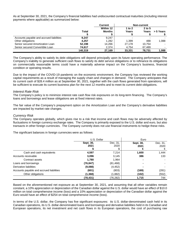As at September 30, 2021, the Company's financial liabilities had undiscounted contractual maturities (including interest payments where applicable) as summarized below:

|                                          |              | <b>Current</b>      |                 | Non-current       |           |
|------------------------------------------|--------------|---------------------|-----------------|-------------------|-----------|
|                                          | <b>Total</b> | Within 12<br>Months | 1 to 2<br>Years | $2$ to 5<br>Years | > 5 Years |
| Accounts payable and accrued liabilities | 9,247        | 9.247               |                 | ۰                 |           |
| Other obligations                        | 4.257        | 1,282               | 1.399           | 488               | 1.088     |
| Senior secured Amortization Loan         | 52.198       | 14.266              | 27.178          | 10.754            |           |
| Senior secured Convertible Loan          | 74.617       | 2,374               | 4.754           | 67.489            |           |
|                                          | 140.319      | 27,169              | 33,331          | 78.731            | 1,088     |

The Company's ability to satisfy its debt obligations will depend principally upon its future operating performance. The Company's inability to generate sufficient cash flows to satisfy its debt service obligations or to refinance its obligations on commercially reasonable terms could have a materially adverse impact on the Company's business, financial condition or operating results.

Due to the impact of the COVID-19 pandemic on the economic environment, the Company has reviewed the working capital requirements as a result of managing the supply chain and changes in demand. The Company anticipates that its current cash of \$28.4 million as at September 30, 2021, together with the cash flows generated from operations, will be sufficient to execute its current business plan for the next 12 months and to meet its current debt obligations.

#### *Interest Rate Risk*

The Company's policy is to minimize interest rate cash flow risk exposures on its long-term financing. The Company's loans and borrowings and lease obligations are at fixed interest rates.

The fair value of the Company's prepayment option on the Amortization Loan and the Company's derivative liabilities are impacted by market rate changes.

#### *Currency Risk*

The Company operates globally, which gives rise to a risk that income and cash flows may be adversely affected by fluctuations in foreign currency exchange rates. The Company is primarily exposed to the U.S. dollar and euro, but also transacts in other foreign currencies. The Company currently does not use financial instruments to hedge these risks.

The significant balances in foreign currencies were as follows:

|                                          | U.S. Dollar |           | Euro      |          |
|------------------------------------------|-------------|-----------|-----------|----------|
|                                          | Sept. 30,   | Dec. 31,  | Sept. 30, | Dec. 31, |
|                                          | 2021        | 2020      | 2021      | 2020     |
|                                          |             |           | €         | €        |
| Cash and cash equivalents                | 4,597       | 7,214     | 1,600     | 1,444    |
| Accounts receivable                      | 3,096       | 3,145     | 386       | 133      |
| Contract assets                          | 1,780       | 1,964     |           |          |
| Loans and borrowings                     | (76, 847)   | (81, 468) |           |          |
| Derivative liabilities                   | (9,088)     | (4, 452)  |           |          |
| Accounts payable and accrued liabilities | (601)       | (803)     | (169)     | (281)    |
| Other obligations                        | (1,368)     | (1,882)   | (102)     | (552)    |
|                                          | (78,431)    | (76,282)  | 1,715     | 744      |

Based on the aforementioned net exposure as at September 30, 2021, and assuming that all other variables remain constant, a 10% appreciation or depreciation of the Canadian dollar against the U.S. dollar would have an effect of \$10.0 million on total comprehensive income (loss) and a 10% appreciation or depreciation of the Canadian dollar against the Euro would have an effect of \$254 on total comprehensive income (loss).

In terms of the U.S. dollar, the Company has five significant exposures: its U.S. dollar-denominated cash held in its Canadian operations, its U.S. dollar-denominated loans and borrowings and derivative liabilities held in its Canadian and European operations, its net investment and net cash flows in its European operations, the cost of purchasing raw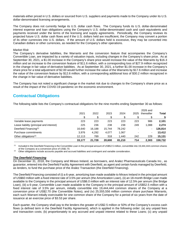materials either priced in U.S. dollars or sourced from U.S. suppliers and payments made to the Company under its U.S. dollar-denominated licensing arrangements.

The Company does not currently hedge its U.S. dollar cash flows. The Company funds its U.S. dollar-denominated interest expense and loan obligations using the Company's U.S. dollar-denominated cash and cash equivalents and payments received under the terms of the licensing and supply agreements. Periodically, the Company reviews its projected future U.S. dollar cash flows and if the U.S. dollars held are insufficient, the Company may convert a portion of its other currencies into U.S. dollars. If the amount of U.S. dollars held is excessive, they may be converted into Canadian dollars or other currencies, as needed for the Company's other operations.

#### *Market Risk*

The Company's derivative liabilities, the Warrants and the conversion feature that accompanies the Company's Convertible Loan, are impacted by a variety of valuation inputs, including changes in the Company's share price. As at September 30, 2021, a \$1.00 increase in the Company's share price would increase the value of the Warrants by \$16.3 million and an increase to the conversion feature of \$11.6 million, with a corresponding loss of \$27.9 million recognized in the change in fair value of derivative liabilities. As at September 30, 2021, a further \$1.00 increase in the Company's share price for a total adjustment of \$2.00 would further increase the value of the Warrants by \$17.6 million and increase the value of the conversion feature by \$12.6 million, with a corresponding additional loss of \$30.2 million recognized in the change in fair value of derivative liabilities.

The Company has not noted a significant change in the market risk due to changes to the Company's share price as a result of the impact of the COVID-19 pandemic on the economic environment.

# **Contractual Obligations**

The following table lists the Company's contractual obligations for the nine months ending September 30 as follows:

|                                               | 2021   | 2022   | 2023   | 2024   | 2025 | 2026 and<br>thereafter | <b>Total</b> |
|-----------------------------------------------|--------|--------|--------|--------|------|------------------------|--------------|
|                                               |        |        |        |        |      |                        |              |
| Variable lease payments                       | 223    | 223    | 223    | 223    | 223  | 986                    | 2,101        |
| Lease liability (principal and interest)      | 225    | 236    | 238    | 238    | 249  | 1,088                  | 2,274        |
| Deerfield Financing <sup>(1)</sup>            | 16,640 | 16,188 | 15.744 | 78,242 |      |                        | 126,814      |
| Purchase commitments                          | 3.976  | 4,292  | 4,077  | 1.067  |      | ۰.                     | 13,412       |
| Other obligations <sup><math>(2)</math></sup> | 12,113 | 789    | 318    | 1,440  | 242  | 229                    | 15,131       |
|                                               | 33.177 | 21.728 | 20,600 | 81.210 | 714  | 2.303                  | 159,732      |

 $<sup>(1)</sup>$  Included in the Deerfield Financing is the Convertible Loan in the principal amount of US\$52.5 million, convertible into 19,444,444 common shares</sup> of the Company at a conversion price of US\$2.70.

<sup>(2)</sup> Other obligations include accounts payable and accrued liabilities and contingent and variable consideration.

## *The Deerfield Financing*

On December 31, 2018, the Company and Miravo Ireland, as borrowers, and Aralez Pharmaceuticals Canada Inc., as guarantor, entered into the Deerfield Facility Agreement with Deerfield, as agent and certain funds managed by Deerfield, as lenders, to fund the purchase price of the Aralez Transaction (the Deerfield Financing).

The Deerfield Financing consisted of (i) a 6-year, amortizing loan made available to Miravo Ireland in the principal amount of US\$60 million with a fixed interest rate of 3.5% per annum (the Amortization Loan), (ii) an 18-month Bridge Loan made available to the Company in the principal amount of US\$6.0 million with an interest rate of 12.5% per annum (the Bridge Loan), (iii) a 6-year, Convertible Loan made available to the Company in the principal amount of US\$52.5 million with a fixed interest rate of 3.5% per annum, initially convertible into 19,444,444 common shares of the Company at a conversion price of US\$2.70 (the Convertible Notes), and (iv) 25,555,556 million common share purchase Warrants, each such Warrant initially exercisable for one common share of the Company for a period of six years from the date of issuance at an exercise price of \$3.53 per share.

Each quarter, the Company shall pay to the lenders the greater of US\$2.5 million or 50% of the Company's excess cash flows (a defined term in the Deerfield Facility Agreement), which is applied in the following order: (a) any unpaid fees and transaction costs; (b) proportionately to any accrued and unpaid interest related to these Loans; (c) any unpaid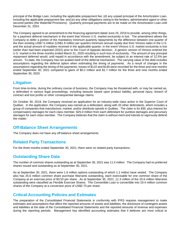principal of the Bridge Loan, including the applicable prepayment fee; (d) any unpaid principal of the Amortization Loan, including the applicable prepayment fee; and (e) any other obligations owing to the lenders, administrative agent or other secured parties (the Waterfall Provisions). Quarterly principal payments are to be made on the Amortization Loan until December 31, 2024.

The Company agreed to an amendment to the financing agreement dated June 25, 2019 to provide, among other things, for a payment deferral mechanism in the event that Vimovo U.S. market exclusivity is lost. The amendment allows the Company to defer a portion of the mandatory minimum quarterly repayments by the difference between one quarter of the then existing US\$7.5 million (US\$1.9 million per quarter) minimum annual royalty due from Vimovo sales in the U.S. and the actual amount of royalties received in the applicable quarter, in the event Vimovo U.S. market exclusivity is lost earlier than had been expected (2022) prior to the Court of Appeals decision. A generic version of Vimovo entered the U.S. market in the three months ended March 31, 2020 resulting in such loss of exclusivity. The amount of any principal repayment deferred would, until repaid in accordance with the amendment, be subject to an interest rate of 12.5% per annum. To-date, the Company has not availed itself of the deferral mechanism. The carrying value of the debt includes assumptions regarding the deferral option when estimating the timing of payments. As a result of changes in the assumptions regarding the timing of the payments, losses of \$110 and \$146 were recorded for the three and nine months ended September 30, 2021 compared to gains of \$0.2 million and \$1.7 million for the three and nine months ended September 30, 2020.

# **Litigation**

From time-to-time, during the ordinary course of business, the Company may be threatened with, or may be named as, a defendant in various legal proceedings, including lawsuits based upon product liability, personal injury, breach of contract and lost profits or other consequential damage claims.

On October 30, 2019, the Company received an application for an industry-wide class action in the Superior Court of Québec. In the application, the Company was named as a defendant, along with 33 other defendants, which includes a group of companies that manufacture, market, and/or distribute opioids in Québec. The claim is for \$30, plus interest for compensatory damages for each class member, \$25.0 million from each defendant for punitive damages and pecuniary damages for each class member. The Company believes that the claim is without merit and intends to vigorously defend the matter.

# **Off-Balance Sheet Arrangements**

The Company does not have any off-balance sheet arrangements.

# **Related Party Transactions**

For the three months ended September 30, 2021, there were no related party transactions.

# **Outstanding Share Data**

The number of common shares outstanding as at September 30, 2021 was 11.4 million. The Company had no preferred shares issued and outstanding as at September 30, 2021.

As at September 30, 2021, there were 1.6 million options outstanding of which 1.2 million have vested. The Company also has 25.6 million common share purchase Warrants outstanding, each exercisable for one common share of the Company at an exercise price of \$3.53 per share. As at September 30, 2021, 11.3 million of the 25.6 million Warrants outstanding were classified as Flexible Exercise Shares. The Convertible Loan is convertible into 19.4 million common shares of the Company at a conversion price of US\$2.70 per share.

# **Critical Accounting Policies and Estimates**

The preparation of the Consolidated Financial Statements in conformity with IFRS requires management to make estimates and assumptions that affect the reported amounts of assets and liabilities, the disclosure of contingent assets and liabilities at the date of the Consolidated Financial Statements and the reported amounts of revenue and expenses during the reporting periods. Management has identified accounting estimates that it believes are most critical to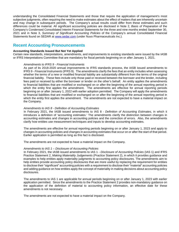understanding the Consolidated Financial Statements and those that require the application of management's most subjective judgments, often requiring the need to make estimates about the effect of matters that are inherently uncertain and may change in subsequent periods. The Company's actual results could differ from these estimates and such differences could be material. All significant accounting policies are disclosed in Note 2, *Basis of Preparation* of the Company's Condensed Consolidated Interim Financial Statements for the three and nine months ended September 30, 2021 and in Note 3, *Summary of Significant Accounting Policies* of the Company's annual Consolidated Financial Statements found on SEDAR at [www.sedar.com](http://www.sedar.com/) (under Nuvo Pharmaceuticals Inc.).

# **Recent Accounting Pronouncements**

#### **Accounting Standards Issued But Not Yet Applied**

Certain new standards, interpretations, amendments, and improvements to existing standards were issued by the IASB or IFRS Interpretations Committee that are mandatory for fiscal periods beginning on or after January 1, 2021.

#### *Amendments to IFRS 9 - Financial Instruments*

As part of its 2018-2020 annual improvements to IFRS standards process, the IASB issued amendments to IFRS 9 - *Financial Instruments* (IFRS 9). The amendments clarify the fees that an entity includes when assessing whether the terms of a new or modified financial liability are substantially different from the terms of the original financial liability. These fees include only those paid or received between the borrower and the lender, including fees paid or received by either the borrower or lender on the other's behalf. An entity applies the amendments to financial liabilities that are modified or exchanged on or after the beginning of the annual reporting period in which the entity first applies the amendment. The amendments are effective for annual reporting periods beginning on or after January 1, 2022 with earlier adoption permitted. The Company will apply the amendments to financial liabilities that are modified or exchanged on or after the beginning of the annual reporting period in which the entity first applies the amendment. The amendments are not expected to have a material impact on the Company.

#### *Amendments to IAS 8 - Definition of Accounting Estimates*

In February 2021, the IASB issued amendments to IAS 8 - *Definition of Accounting Estimates*, in which it introduces a definition of 'accounting estimates.' The amendments clarify the distinction between changes in accounting estimates and changes in accounting policies and the correction of errors. Also, the amendments clarify how entities use measurement techniques and inputs to develop accounting estimates.

The amendments are effective for annual reporting periods beginning on or after January 1, 2023 and apply to changes in accounting policies and changes in accounting estimates that occur on or after the start of that period. Earlier application is permitted as long as this fact is disclosed.

The amendments are not expected to have a material impact on the Company.

#### *Amendments to IAS 1 – Disclosure of Accounting Policies*

In February 2021, the IASB issued amendments to IAS 1 - *Disclosure of Accounting Policies* (IAS 1) and IFRS Practice Statement 2, *Making Materiality Judgements* (Practice Statement 2), in which it provides guidance and examples to help entities apply materiality judgments to accounting policy disclosures. The amendments aim to help entities provide accounting policy disclosures that are more useful by replacing the requirement for entities to disclose their "significant" accounting policies with a requirement to disclose their "material" accounting policies and adding guidance on how entities apply the concept of materiality in making decisions about accounting policy disclosures.

The amendments to IAS 1 are applicable for annual periods beginning on or after January 1, 2023 with earlier application permitted. Since the amendments to the Practice Statement 2 provides non-mandatory guidance on the application of the definition of material to accounting policy information, an effective date for these amendments is not necessary.

The amendments are not expected to have a material impact on the Company.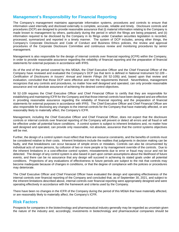# **Management's Responsibility for Financial Reporting**

The Company's management maintains appropriate information systems, procedures and controls to ensure that information used internally and disclosed externally is complete, accurate, reliable and timely. Disclosure controls and procedures (DCP) are designed to provide reasonable assurance that (i) material information relating to the Company is made known to management by others, particularly during the period in which the filings are being prepared, and (ii) information required to be disclosed by the Company in its filings under Canadian securities legislation is recorded, processed, summarized and reported in a timely manner. The system of DCP includes, among other things, the Company's Corporate Disclosure and Code of Conduct and Business Ethics policies, the review and approval procedures of the Corporate Disclosure Committee and continuous review and monitoring procedures by senior management.

Management is also responsible for the design of internal controls over financial reporting (ICFR) within the Company, in order to provide reasonable assurance regarding the reliability of financial reporting and the preparation of financial statements for external purposes in accordance with IFRS.

As of the end of the period covered by this MD&A, the Chief Executive Officer and the Chief Financial Officer of the Company have reviewed and evaluated the Company's DCP (as that term is defined in National Instrument 52-109 – *Certification of Disclosures in Issuers' Annual and Interim Filings* (NI 52-109)) and, based upon that review and evaluation, concluded that those DCP were effective and met the requirements thereof. Nevertheless, management recognizes that any controls and procedures, no matter how well designed and operated, can only provide reasonable assurance and not absolute assurance of achieving the desired control objectives.

NI 52-109 requires the Chief Executive Officer and Chief Financial Officer to certify that they are responsible for establishing and maintaining ICFR for the Company and that those internal controls have been designed and are effective in providing reasonable assurance regarding the reliability of financial reporting and the preparation of financial statements for external purposes in accordance with IFRS. The Chief Executive Officer and Chief Financial Officer are also responsible for disclosing any changes to the internal controls for the Company that have materially affected, or are reasonably likely to materially affect, the Company's ICFR.

Management, including the Chief Executive Officer and Chief Financial Officer, does not expect that the disclosure controls or internal controls over financial reporting of the Company will prevent or detect all errors and all fraud or will be effective under all potential future conditions. A control system is subject to inherent limitations and, no matter how well designed and operated, can provide only reasonable, not absolute, assurance that the control systems objectives will be met.

Further, the design of a control system must reflect that there are resource constraints, and the benefits of controls must be considered relative to their costs. Inherent limitations include the realities that judgments in decision making can be faulty, and that breakdowns can occur because of simple errors or mistakes. Controls can also be circumvented by individual acts of some persons, by collusion of two or more people or by management override of the controls. Due to the inherent limitations in a cost-effective control system, misstatements due to error or fraud may occur and not be detected. The design of any control system is also based in part upon certain assumptions about the likelihood of future events, and there can be no assurance that any design will succeed in achieving its stated goals under all potential conditions. Projections of any evaluations of effectiveness to future periods are subject to the risk that controls may become inadequate because of changes in conditions, or that the degree of compliance with the policies or procedures may deteriorate.

The Chief Executive Officer and Chief Financial Officer have evaluated the design and operating effectiveness of the internal controls over financial reporting of the Company and concluded that, as of September 30, 2021, and subject to the inherent limitations described above, internal controls over financial reporting were appropriately designed and were operating effectively in accordance with the framework and criteria used by the Company.

There have been no changes in the ICFR of the Company during the period of this MD&A that have materially affected, or are reasonably likely to materially affect, the Company's ICFR.

# **Risk Factors**

Prospects for companies in the biotechnology and pharmaceutical industry generally may be regarded as uncertain given the nature of the industry and, accordingly, investments in biotechnology and pharmaceutical companies should be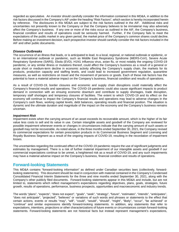regarded as speculative. An investor should carefully consider the information contained in this MD&A, in addition to the risk factors discussed in the Company's AIF under the heading "Risk Factors", which section is hereby incorporated herein by reference. The disclosures in this MD&A are subject to the risk factors outlined in the AIF. Additional risks and uncertainties not presently known to the Company or that the Company believes to be immaterial may also adversely affect the Company's business. If any one or more of the risks occur as outlined in the AIF, the Company's business, financial condition and results of operations could be seriously harmed. Further, if the Company fails to meet the expectations of the public market in any given period, the market price of the Company's common shares could decline. Before making an investment decision, each prospective investor should carefully consider the risk factors included in the AIF and other public documents.

## *Disease Outbreaks*

The occurrence of an illness that leads, or is anticipated to lead, to a local, regional, or national outbreak or epidemic, or to an international outbreak or pandemic, such as Middle East Respiratory Syndrome (MERS-CoV), Severe Acute Respiratory Syndrome (SARS), Ebola (EVD), H1N1 influenza virus, avian flu, or most notably the ongoing COVID-19 pandemic, or any similar illness or mutations thereof, could affect the Company's business as a result of a general or acute short or medium-term decline in economic activity affecting the Company's supply chain, the markets for its products, production capacity and staffing levels, and could lead to increased government regulation, quarantine measures, as well as restrictions on travel and the movement of persons or goods. Each of these risk factors has the potential to have a material adverse impact on the Company's business, financial condition and results of operations.

As a result of COVID-19, border closures and economic and supply chain disruptions could materially affect the Company's financial results and operations. The COVID-19 pandemic could also cause significant impacts to product demand in connection with an ensuing economic downturn and contribute to supply shortages, trade disruption, temporary staff shortages and temporary closures of facilities. The extent to which COVID-19 and its effect on the economy will continue to impact the Company's financial results and operations may lead to adverse changes in the Company's cash flows, working capital levels, debt balances, operating results and financial position. The situation is dynamic and the ultimate duration and magnitude of the impact on the economy and the Company's business remains uncertain.

#### *Impairment Risk*

Impairment exists when the carrying amount of an asset exceeds its recoverable amount, which is the higher of its fair value less costs to sell and its value in use. Certain intangible assets and goodwill of the Company are reviewed for possible impairment whenever events or changes in circumstances indicate that the carrying amount of such assets or goodwill may not be recoverable. As noted above, in the three months ended September 30, 2021, the Company revised its commercial expectations for certain prescription products in its Commercial Business Segment and Licensing and Royalty Business Segment as a result of the ongoing impacts of COVID-19, resulting in the recordation of impairment losses.

The uncertainties regarding the continued effect of the COVID-19 pandemic require the use of significant judgments and estimates by management. There is a risk of further material impairment of our intangible assets and goodwill if our commercial expectations continue to be unmet, a heightened risk as a result of COVID-19, and any such impairments may have a material adverse impact on the Company's business, financial condition and results of operations.

# **Forward-looking Statements**

This MD&A contains "forward-looking information" as defined under Canadian securities laws (collectively, forwardlooking statements). This document should be read in conjunction with material contained in the Company's Condensed Consolidated Financial Interim Statements for the three and nine months ended September 30, 2021, along with the Company's other publicly filed documents. Forward-looking statements appear in this MD&A and include, but are not limited to, statements which reflect management's expectations regarding objectives, plans, goals, strategies, future growth, results of operations, performance, business prospects, opportunities and macroeconomic and industry trends.

The words "plans", "expects", "does not expect", "goals", "seek", "strategy", "future", "estimates", "intends", "anticipates", "does not anticipate", "projected", "believes" or variations of such words and phrases or statements to the effect that certain actions, events or results "may", "will", "could", "would", "should", "might", "likely", "occur", "be achieved" or "continue" and similar expressions identify forward-looking statements. In addition, any statements that refer to expectations, intentions, projections or other characterizations of future events or circumstances contain forward-looking statements. Forward-looking statements are not historical facts but instead represent management's expectations,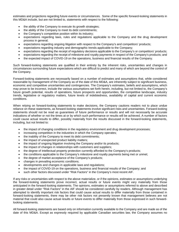estimates and projections regarding future events or circumstances. Some of the specific forward-looking statements in this MD&A include, but are not limited to, statements with respect to the following:

- the ability of the Company to execute its growth strategies;
- the ability of the Company to meet its debt commitments;
- the Company's competitive position within its industry;
- expectations regarding laws, rules and regulations applicable to the Company and the drug development process in general;
- expectations regarding ongoing litigation with respect to the Company's and competitors' products;
- expectations regarding industry and demographic trends applicable to the Company;
- expectations regarding the receipt of regulatory decisions applicable to the Company's or competitors' products;
- expectations regarding the receipt of milestone and royalty payments in respect of the Company's products; and
- the expected impact of COVID-19 on the operations, business and financial results of the Company.

Such forward-looking statements are qualified in their entirety by the inherent risks, uncertainties and changes in circumstances surrounding future expectations which are difficult to predict and many of which are beyond the control of the Company.

Forward-looking statements are necessarily based on a number of estimates and assumptions that, while considered reasonable by management of the Company as of the date of this MD&A, are inherently subject to significant business, economic and competitive uncertainties and contingencies. The Company's estimates, beliefs and assumptions, which may prove to be incorrect, include the various assumptions set forth herein, including, but not limited to, the Company's future growth potential, results of operations, future prospects and opportunities, the competitive landscape, industry trends, legislative or regulatory matters, future levels of indebtedness, availability of capital and current economic conditions.

When relying on forward-looking statements to make decisions, the Company cautions readers not to place undue reliance on these statements, as forward-looking statements involve significant risks and uncertainties. Forward-looking statements should not be read as guarantees of future performance or results and will not necessarily be accurate indications of whether or not the times at or by which such performance or results will be achieved. A number of factors could cause actual results to differ, possibly materially from the results discussed in the forward-looking statements, including, but not limited to:

- the impact of changing conditions in the regulatory environment and drug development processes;
- increasing competition in the industries in which the Company operates;
- the inability of the Company to meet its debt commitments;
- the impact of unexpected product liability matters;
- the impact of ongoing litigation involving the Company and/or its products;
- the impact of changes in relationships with customers and suppliers;
- the degree of intellectual property protection currently afforded to the Company's products;
- the conditions applicable to the Company's milestone and royalty payments being met or unmet;
- the degree of market acceptance of the Company's products;
- changes in prevailing economic conditions;
- developments and changes in applicable laws and regulations;
- the impact of COVID-19 on the operations, business and financial results of the Company; and
- such other factors discussed under "Risk Factors" in the Company's most recent AIF.

If any risks or uncertainties with respect to the above materialize, or if the opinions, estimates or assumptions underlying the forward-looking statements prove incorrect, actual results or future events might vary materially from those anticipated in the forward-looking statements. The opinions, estimates or assumptions referred to above and described in greater detail under "Risk Factors" in the AIF should be considered carefully by readers. Although management has attempted to identify important risk factors that could cause actual results to differ materially from those contained in forward-looking statements, there may be other risk factors not presently known that management believes are not material that could also cause actual results or future events to differ materially from those expressed in such forwardlooking statements.

All forward-looking statements are based only on information currently available to the Company and are made as of the date of this MD&A. Except as expressly required by applicable Canadian securities law, the Company assumes no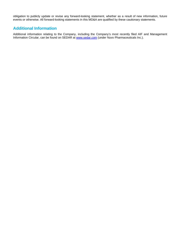obligation to publicly update or revise any forward-looking statement, whether as a result of new information, future events or otherwise. All forward-looking statements in this MD&A are qualified by these cautionary statements.

# **Additional Information**

Additional information relating to the Company, including the Company's most recently filed AIF and Management Information Circular, can be found on SEDAR at [www.sedar.com](http://www.sedar.com/) (under Nuvo Pharmaceuticals Inc.).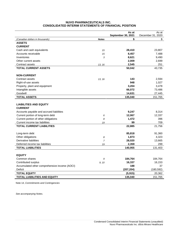## **NUVO PHARMACEUTICALS INC. CONSOLIDATED INTERIM STATEMENTS OF FINANCIAL POSITION**

|                                                 |              | As at<br>September 30, 2021 | As at<br>December 31, 2020 |
|-------------------------------------------------|--------------|-----------------------------|----------------------------|
| (Canadian dollars in thousands)                 | <b>Notes</b> | \$                          | \$                         |
| <b>ASSETS</b>                                   |              |                             |                            |
| <b>CURRENT</b>                                  |              |                             |                            |
| Cash and cash equivalents                       | 15           | 28,410                      | 23,807                     |
| Accounts receivable                             | 15           | 8,457                       | 7,488                      |
| Inventories                                     | 3            | 8,621                       | 9,490                      |
| Other current assets                            |              | 2,009                       | 2,699                      |
| Contract assets                                 | 13, 16       | 2,545                       | 251                        |
| <b>TOTAL CURRENT ASSETS</b>                     |              | 50,042                      | 43,735                     |
| <b>NON-CURRENT</b>                              |              |                             |                            |
| Contract assets                                 | 13, 16       | 143                         | 2,594                      |
| Right-of-use assets                             |              | 948                         | 1,027                      |
| Property, plant and equipment                   |              | 3,204                       | 3,478                      |
| Intangible assets                               |              | 66,072                      | 73,486                     |
| Goodwill                                        |              | 14,631                      | 27,445                     |
| <b>TOTAL ASSETS</b>                             |              | 135,040                     | 151,765                    |
| <b>LIABILITIES AND EQUITY</b><br><b>CURRENT</b> |              |                             |                            |
| Accounts payable and accrued liabilities        |              | 9,247                       | 8,314                      |
| Current portion of long-term debt               | 6            | 12,067                      | 12,337                     |
| Current portion of other obligations            | 8            | 1,472                       | 396                        |
| Current income tax liabilities                  | 19           | 99                          | 709                        |
| <b>TOTAL CURRENT LIABILITIES</b>                |              | 22,885                      | 21,756                     |
| Long-term debt                                  |              | 85,818                      | 91,360                     |
| Other obligations                               | 8            | 1,873                       | 4,323                      |
| Derivative liabilities                          | 7            | 28,020                      | 13,665                     |
| Deferred income tax liabilities                 | 19           | 2,359                       | 299                        |
| <b>TOTAL LIABILITIES</b>                        |              | 140,955                     | 131,403                    |
| <b>EQUITY</b>                                   |              |                             |                            |
| Common shares                                   | 9            | 184,764                     | 184,764                    |
| Contributed surplus                             | 9, 10        | 16,337                      | 16,153                     |
| Accumulated other comprehensive income (AOCI)   |              | 188                         | 37                         |
| Deficit                                         |              | (207, 204)                  | (180, 592)                 |
| <b>TOTAL EQUITY</b>                             |              | (5, 915)                    | 20,362                     |
| <b>TOTAL LIABILITIES AND EQUITY</b>             |              | 135,040                     | 151,765                    |

Note 14, *Commitments and Contingencies*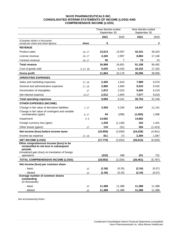#### **NUVO PHARMACEUTICALS INC. CONSOLIDATED INTERIM STATEMENTS OF INCOME (LOSS) AND COMPREHENSIVE INCOME (LOSS**)

|                                                                                                                                                                |              | <b>Three Months ended</b><br>September 30 |          | Nine Months ended<br>September 30 |          |
|----------------------------------------------------------------------------------------------------------------------------------------------------------------|--------------|-------------------------------------------|----------|-----------------------------------|----------|
|                                                                                                                                                                |              | 2021                                      | 2020     | 2021                              | 2020     |
| (Canadian dollars in thousands,<br>except per share and share figures)                                                                                         | <b>Notes</b> | \$                                        |          |                                   | \$       |
| <b>REVENUE</b>                                                                                                                                                 |              |                                           |          |                                   |          |
| Product sales                                                                                                                                                  | 16, 17       | 13,613                                    | 13,597   | 42,241                            | 39,324   |
| License revenue                                                                                                                                                | 16, 17       | 3,326                                     | 2,997    | 8,884                             | 17,146   |
| Contract revenue                                                                                                                                               | 16, 17       | 50                                        | 7        | 73                                | 22       |
| <b>Total revenue</b>                                                                                                                                           |              | 16,989                                    | 16,601   | 51,198                            | 56,492   |
| Cost of goods sold                                                                                                                                             | 3, 17, 18    | 5,025                                     | 6,425    | 16,102                            | 17,432   |
| <b>Gross profit</b>                                                                                                                                            |              | 11,964                                    | 10,176   | 35,096                            | 39,060   |
| <b>OPERATING EXPENSES</b>                                                                                                                                      |              |                                           |          |                                   |          |
| Sales and marketing expenses                                                                                                                                   | 17, 18       | 2,405                                     | 1,643    | 7,989                             | 6,576    |
| General and administrative expenses                                                                                                                            | 17, 18       | 2,880                                     | 2,684    | 9,533                             | 9,432    |
| Amortization of intangibles                                                                                                                                    | 17           | 1,872                                     | 2,010    | 5,655                             | 6,219    |
| Net interest expense                                                                                                                                           | 11,17        | 2,512                                     | 2,904    | 7,577                             | 9,019    |
| <b>Total operating expenses</b>                                                                                                                                |              | 9,669                                     | 9.241    | 30,754                            | 31,246   |
| <b>OTHER EXPENSES (INCOME)</b>                                                                                                                                 |              |                                           |          |                                   |          |
| Change in fair value of derivative liabilities                                                                                                                 | 7, 17        | 2,929                                     | 5,240    | 14,447                            | 11,141   |
| Change in fair value of contingent and variable<br>consideration (gain)                                                                                        | 6, 17        | 94                                        | (289)    | (1,005)                           | 1,586    |
| Impairment                                                                                                                                                     | 4, 5         | 14,682                                    |          | 14,682                            |          |
| Foreign currency loss (gain)                                                                                                                                   |              | 1,439                                     | (1, 146) | 162                               | 1,441    |
| Other losses (gains)                                                                                                                                           | 17           | 110                                       | (31)     | 284                               | (1, 413) |
| Net income (loss) before income taxes                                                                                                                          |              | (16, 959)                                 | (2,839)  | (24, 228)                         | (4, 941) |
| Income tax expense                                                                                                                                             | 17, 19       | 811                                       | (7)      | 2,384                             | 1,587    |
| <b>NET INCOME (LOSS)</b>                                                                                                                                       |              | (17, 770)                                 | (2,832)  | (26, 612)                         | (6, 528) |
| Other comprehensive income (loss) to be<br>reclassified to net loss in subsequent<br>periods<br>Unrealized gain (loss) on translation of foreign<br>operations |              | (232)                                     | 498      | 151                               | 731      |
| <b>TOTAL COMPREHENSIVE INCOME (LOSS)</b>                                                                                                                       |              | (18,002)                                  | (2, 334) | (26, 461)                         | (5,797)  |
| Net income (loss) per common share                                                                                                                             |              |                                           |          |                                   |          |
| - basic                                                                                                                                                        | 12           | (1.56)                                    | (0.25)   | (2.34)                            | (0.57)   |
| - diluted                                                                                                                                                      | 12           | (1.56)                                    | (0.25)   | (2.34)                            | (0.57)   |
| Average number of common shares<br>outstanding<br>(in thousands)                                                                                               |              |                                           |          |                                   |          |
| - basic                                                                                                                                                        | 12           | 11,388                                    | 11,388   | 11,388                            | 11,388   |
| - diluted                                                                                                                                                      | 12           | 11,388                                    | 11,388   | 11,388                            | 11,388   |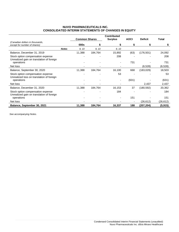## **NUVO PHARMACEUTICALS INC. CONSOLIDATED INTERIM STATEMENTS OF CHANGES IN EQUITY**

|                                                                                |              | <b>Common Shares</b> |         | <b>Contributed</b><br><b>Surplus</b> | <b>AOCI</b> | <b>Deficit</b> | Total    |
|--------------------------------------------------------------------------------|--------------|----------------------|---------|--------------------------------------|-------------|----------------|----------|
| (Canadian dollars in thousands,<br>except for number of shares)                |              | 000s                 | S       |                                      | \$          |                |          |
|                                                                                | <b>Notes</b> | 9, 10                | 9, 10   | 9, 10                                |             |                |          |
| Balance, December 31, 2019                                                     |              | 11,388               | 184,764 | 15,892                               | (63)        | (176, 501)     | 24,092   |
| Stock option compensation expense<br>Unrealized gain on translation of foreign |              |                      |         | 208                                  |             |                | 208      |
| operations                                                                     |              |                      |         |                                      | 731         |                | 731      |
| Net loss                                                                       |              |                      |         |                                      |             | (6,528)        | (6, 528) |
| Balance, September 30, 2020                                                    |              | 11,388               | 184,764 | 16,100                               | 668         | (183, 029)     | 18,503   |
| Stock option compensation expense<br>Unrealized loss on translation of foreign |              |                      |         | 53                                   |             |                | 53       |
| operations                                                                     |              |                      |         |                                      | (631)       |                | (631)    |
| Net loss                                                                       |              |                      |         |                                      |             | 2,437          | 2,437    |
| Balance, December 31, 2020                                                     |              | 11,388               | 184,764 | 16,153                               | 37          | (180, 592)     | 20,362   |
| Stock option compensation expense<br>Unrealized gain on translation of foreign |              |                      |         | 184                                  |             |                | 184      |
| operations                                                                     |              |                      |         |                                      | 151         |                | 151      |
| Net loss                                                                       |              |                      |         |                                      |             | (26, 612)      | (26,612) |
| Balance, September 30, 2021                                                    |              | 11,388               | 184,764 | 16,337                               | 188         | (207, 204)     | (5, 915) |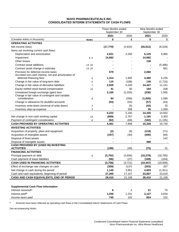#### **NUVO PHARMACEUTICALS INC. CONSOLIDATED INTERIM STATEMENTS OF CASH FLOWS**

|                                                                  |              | <b>Three Months ended</b><br>September 30 |          | Nine Months ended<br>September 30 |           |
|------------------------------------------------------------------|--------------|-------------------------------------------|----------|-----------------------------------|-----------|
|                                                                  |              | 2021                                      | 2020     | 2021                              | 2020      |
| (Canadian dollars in thousands)                                  | <b>Notes</b> | \$                                        | \$       | \$                                | \$        |
| <b>OPERATING ACTIVITIES</b>                                      |              |                                           |          |                                   |           |
| Net income (loss)                                                |              | (17, 770)                                 | (2,832)  | (26, 612)                         | (6, 528)  |
| Items not involving current cash flows:                          |              |                                           |          |                                   |           |
| Depreciation and amortization                                    |              | 2,021                                     | 2,250    | 6,125                             | 6,965     |
| Impairment                                                       | 4, 5         | 14,682                                    |          | 14,682                            |           |
| Other losses                                                     |              |                                           |          | 138                               |           |
| Contract asset additions                                         | 13, 16       |                                           |          |                                   | (5, 496)  |
| Contract asset change in estimate                                | 13, 16       |                                           |          |                                   | 561       |
| Provision for deferred income taxes                              |              | 679                                       |          | 2,060                             |           |
| Accreted non-cash interest, net and amortization of              |              |                                           |          |                                   |           |
| deferred financing fees                                          | 6            | 1,314                                     | 1,655    | 4,480                             | 5,235     |
| Change in fair value of long-term debt                           | 6            | 110                                       | (188)    | 146                               | (1,716)   |
| Change in fair value of derivative liabilities                   | 7            | 2,929                                     | 5,240    | 14,447                            | 11,141    |
| Equity-settled stock-based compensation                          | 10           | 41                                        | 50       | 184                               | 208       |
| Unrealized foreign exchange (gain) loss                          |              | 2,165                                     | (1,025)  | (236)                             | 1,565     |
| Change in fair value of contingent and variable                  |              |                                           |          |                                   |           |
| consideration                                                    | 8            | 94                                        | (289)    | (1,005)                           | 1,586     |
| Change in allowance for doubtful accounts                        |              | (43)                                      | (54)     | (57)                              | (43)      |
| Inventory write-down (reversal of write-down)                    | 3            |                                           | (5)      | (42)                              | 25        |
| Inventory step-up expense                                        | 3            |                                           | 358      | 35                                | 1,059     |
|                                                                  |              | 6,222                                     | 5,160    | 14,345                            | 14,562    |
| Net change in non-cash working capital                           | 13           | (669)                                     | 2,767    | 1,165                             | 3,303     |
| Payment of contingent consideration                              | 8            | (92)                                      | (69)     | (182)                             | (1, 135)  |
| <b>CASH PROVIDED BY OPERATING ACTIVITIES</b>                     |              | 5,461                                     | 7,858    | 15,328                            | 16,730    |
| <b>INVESTING ACTIVITIES</b>                                      |              |                                           |          |                                   |           |
| Acquisition of property, plant and equipment                     |              | (2)                                       | (9)      | (118)                             | (71)      |
| Acquisition of intangible assets                                 |              | (197)                                     | (40)     | (445)                             | (40)      |
| Disposal of fixed assets                                         |              |                                           |          |                                   | 142       |
| Disposal of intangible assets                                    |              |                                           |          | 488                               |           |
| <b>CASH PROVIDED BY (USED IN) INVESTING</b><br><b>ACTIVITIES</b> |              | (199)                                     | (49)     | (75)                              | 31        |
| <b>FINANCING ACTIVITIES</b>                                      |              |                                           |          |                                   |           |
| Principal payment on debt                                        | 6            | (3,702)                                   | (3,694)  | (10, 278)                         | (18, 765) |
| Cash payment of lease liabilities                                |              | (56)                                      | (27)     | (169)                             | (244)     |
| <b>CASH USED IN FINANCING ACTIVITIES</b>                         |              | (3,758)                                   | (3, 721) | (10, 447)                         | (19,009)  |
| Effect of exchange rate changes on cash                          |              |                                           | (137)    | (203)                             | 337       |
| Net change in cash during the period                             |              | (359)                                     | 3,951    | 4,603                             |           |
|                                                                  |              | 1,145                                     |          |                                   | (1, 911)  |
| Cash and cash equivalents, beginning of period                   |              | 27,265                                    | 17,157   | 23,807                            | 23,019    |
| CASH AND CASH EQUIVALENTS, END OF PERIOD                         |              | 28,410                                    | 21,108   | 28,410                            | 21,108    |
|                                                                  |              |                                           |          |                                   |           |
| <b>Supplemental Cash Flow Information</b>                        |              |                                           |          |                                   |           |
| Interest received <sup>(i)</sup>                                 |              | 8                                         | 2        | 21                                | 70        |
| Interest paid <sup>(i)</sup>                                     |              | 1,046                                     | 1,231    | 3,127                             | 3,834     |
| Income taxes paid                                                |              | 745                                       | 102      | 824                               | 102       |

 $(i)$  Amounts have been reflected as operating cash flows in the Consolidated Interim Statements of Cash Flows.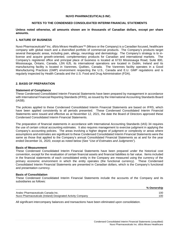#### **NUVO PHARMACEUTICALS INC.**

#### **NOTES TO THE CONDENSED CONSOLIDATED INTERIM FINANCIAL STATEMENTS**

**Unless noted otherwise, all amounts shown are in thousands of Canadian dollars, except per share amounts.**

#### **1. NATURE OF BUSINESS**

Nuvo Pharmaceuticals® Inc. d/b/a Miravo Healthcare™ (Miravo or the Company) is a Canadian focused, healthcare company with global reach and a diversified portfolio of commercial products. The Company's products target several therapeutic areas, including pain, allergy, neurology and dermatology. The Company's strategy is to inlicense and acquire growth-oriented, complementary products for Canadian and international markets. The Company's registered office and principal place of business is located at 6733 Mississauga Road, Suite 800, Mississauga, Ontario, Canada, L5N 6J5, its international operations are located in Dublin, Ireland and its manufacturing facility is located in Varennes, Québec, Canada. The Varennes facility operates in a Good Manufacturing Practices (GMP) environment respecting the U.S., Canada and E.U. GMP regulations and is regularly inspected by Health Canada and the U.S. Food and Drug Administration (FDA).

#### **2. BASIS OF PREPARATION**

#### **Statement of Compliance**

These Condensed Consolidated Interim Financial Statements have been prepared by management in accordance with International Financial Reporting Standards (IFRS), as issued by the International Accounting Standards Board (IASB).

The policies applied to these Condensed Consolidated Interim Financial Statements are based on IFRS, which have been applied consistently to all periods presented. These Condensed Consolidated Interim Financial Statements were issued and effective as at November 12, 2021, the date the Board of Directors approved these Condensed Consolidated Interim Financial Statements.

The preparation of financial statements in accordance with International Accounting Standards (IAS) 34 requires the use of certain critical accounting estimates. It also requires management to exercise judgment in applying the Company's accounting policies. The areas involving a higher degree of judgment or complexity or areas where assumptions and estimates are significant to these Condensed Consolidated Interim Financial Statements were the same as those that applied to the Company's annual Consolidated Financial Statements as at and for the year ended December 31, 2020, except as noted below (See "*Use of Estimates and Judgments*").

#### **Basis of Measurement**

These Condensed Consolidated Interim Financial Statements have been prepared under the historical cost convention, except for the revaluation of certain financial assets and financial liabilities to fair value. Items included in the financial statements of each consolidated entity in the Company are measured using the currency of the primary economic environment in which the entity operates (the functional currency). These Condensed Consolidated Interim Financial Statements are presented in Canadian dollars, which is the Company's functional and presentation currency.

#### **Basis of Consolidation**

These Condensed Consolidated Interim Financial Statements include the accounts of the Company and its subsidiaries as follows:

|                                                            | % Ownership |
|------------------------------------------------------------|-------------|
| Aralez Pharmaceuticals Canada Inc.                         | 100         |
| Nuvo Pharmaceuticals (Ireland) Designated Activity Company | 100         |
|                                                            |             |

All significant intercompany balances and transactions have been eliminated upon consolidation.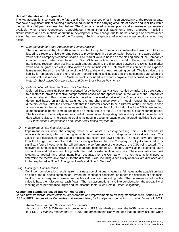#### **Use of Estimates and Judgments**

The key assumptions concerning the future and other key sources of estimation uncertainty at the reporting date, that have a significant risk of causing a material adjustment to the carrying amounts of assets and liabilities within the next financial year, are described below. The Company based its assumptions and estimates on parameters available when these Condensed Consolidated Interim Financial Statements were prepared. Existing circumstances and assumptions about future developments may change due to market changes or circumstances arising that are beyond the control of the Company. Such changes are reflected in the assumptions when they occur.

*(i) Determination of Share Appreciation Rights Liabilities*

Share Appreciation Rights (SARs) are accounted for by the Company as cash-settled awards. SARs are issued to directors, officers or employees to provide incentive compensation based on the appreciation in value of the Company's common shares. Fair market value is based on the closing price of the Company's common share, determined based on Black-Scholes option pricing model. Under the SARs Plan, participants receive, upon vesting, a cash amount equal to the difference between the SARs' fair market value and the grant price value, also known as the intrinsic value. Until SARs vest, compensation expense is measured based on the fair value of the SARs at the end of each reporting period. The fair value of the liability is remeasured at the end of each reporting date and adjusted at the settlement date when the intrinsic value is realized. The SARs accrual is included in accounts payable and accrued liabilities (See Note 10, *Stock-based Compensation and Other Stock-based Payments*).

#### *(ii) Determination of Deferred Share Units Liabilities*

Deferred Share Units (DSUs) are accounted for by the Company as cash-settled awards. DSUs are issued to directors to provide incentive compensation based on the appreciation in the value of the Company's common shares. Fair market value is based on the market price of the Company's common share, determined based on a volume weighted average share price (VWAP) model. Under the DSU Plan, directors receive, after the effective date that the Director ceases to be a Director of the Company, a cash amount equal to the fair market value multiplied by the number of units held. Until the DSUs are settled, compensation expense is measured based on the fair value of the DSUs at the end of each reporting period. The fair value of the liability is remeasured at the end of each reporting date and adjusted at the settlement date when realized. The DSUs accrual is included in accounts payable and accrued liabilities (See Note 10, *Stock-based Compensation and Other Stock-based Payments*).

#### *(iii) Impairment of Non-financial Assets*

Impairment exists when the carrying value of an asset or cash-generating unit (CGU) exceeds its recoverable amount, which is the higher of its fair value less costs of disposal and its value in use. The value in use calculations are based on discounted cash flow (DCF) models. The cash flows are derived from the budget and do not include restructuring activities that the Company is not yet committed to or significant future investments that will enhance the performance of the assets of the CGU being tested. The recoverable amount is sensitive to the discount rate used for the DCF model, as well as the expected future cash-inflows and outflows and the growth rate used for extrapolation purposes. These estimates are most relevant to goodwill and other intangibles recognized by the Company. The key assumptions used to determine the recoverable amount for the different CGUs, including a sensitivity analysis, are disclosed and further explained in Note 4, *Intangible Assets* and Note 5, *Goodwill*.

*(iv) Contingent Consideration*

Contingent consideration, resulting from business combinations, is valued at fair value at the acquisition date as part of the business combination. When the contingent consideration meets the definition of a financial liability, it is subsequently remeasured to fair value at each reporting date. The determination of the fair value is based on discounted cash flows. The key assumptions take into consideration the probability of meeting each performance target and the discount factor (See Note 8, *Other Obligations*).

## **Accounting Standards Issued But Not Yet Applied**

Certain new standards, interpretations, amendments and improvements to existing standards were issued by the IASB or IFRS Interpretations Committee that are mandatory for fiscal periods beginning on or after January 1, 2021.

#### *Amendments to IFRS 9 - Financial Instruments*

As part of its 2018-2020 annual improvements to IFRS standards process, the IASB issued amendments to IFRS 9 - *Financial Instruments* (IFRS 9). The amendments clarify the fees that an entity includes when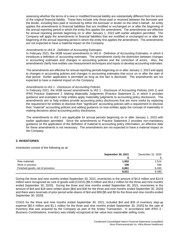assessing whether the terms of a new or modified financial liability are substantially different from the terms of the original financial liability. These fees include only those paid or received between the borrower and the lender, including fees paid or received by either the borrower or lender on the other's behalf. An entity applies the amendments to financial liabilities that are modified or exchanged on or after the beginning of the annual reporting period in which the entity first applies the amendment. The amendments are effective for annual reporting periods beginning on or after January 1, 2022 with earlier adoption permitted. The Company will apply the amendments to financial liabilities that are modified or exchanged on or after the beginning of the annual reporting period in which the entity first applies the amendment. The amendments are not expected to have a material impact on the Company.

#### *Amendments to IAS 8 - Definition of Accounting Estimates*

In February 2021, the IASB issued amendments to IAS 8 - *Definition of Accounting Estimates*, in which it introduces a definition of 'accounting estimates. The amendments clarify the distinction between changes in accounting estimates and changes in accounting policies and the correction of errors. Also, the amendments clarify how entities use measurement techniques and inputs to develop accounting estimates.

The amendments are effective for annual reporting periods beginning on or after January 1, 2023 and apply to changes in accounting policies and changes in accounting estimates that occur on or after the start of that period. Earlier application is permitted as long as this fact is disclosed. The amendments are not expected to have a material impact on the Company.

#### *Amendments to IAS 1 - Disclosure of Accounting Policies*

In February 2021, the IASB issued amendments to IAS 1 - *Disclosure of Accounting Policies* (IAS 1) and IFRS Practice Statement 2, *Making Materiality Judgments* (Practice Statement 2), in which it provides guidance and examples to help entities apply materiality judgments to accounting policy disclosures. The amendments aim to help entities provide accounting policy disclosures that are more useful by replacing the requirement for entities to disclose their "significant" accounting policies with a requirement to disclose their "material" accounting policies and adding guidance on how entities apply the concept of materiality in making decisions about accounting policy disclosures.

The amendments to IAS 1 are applicable for annual periods beginning on or after January 1, 2023 with earlier application permitted. Since the amendments to Practice Statement 2 provides non-mandatory guidance on the application of the definition of material to accounting policy information, an effective date for these amendments is not necessary. The amendments are not expected to have a material impact on the Company.

## **3. INVENTORIES**

Inventories consist of the following as at:

|                                  | <b>September 30, 2021</b> | December 31, 2020 |
|----------------------------------|---------------------------|-------------------|
|                                  |                           |                   |
| Raw materials                    | 1,652                     | 2,514             |
| Work in process                  | 108                       | 546               |
| Finished goods, net of provision | 6,861                     | 6,430             |
|                                  | 8,621                     | 9.490             |

During the three and nine months ended September 30, 2021, inventories in the amount of \$4.6 million and \$14.9 million were recognized as cost of goods sold (COGS) [\$5.5 million and \$14.2 million for the three and nine months ended September 30, 2020]. During the three and nine months ended September 30, 2021, inventories in the amount of \$nil and \$18 were written down [\$nil and \$30 for the three and nine months ended September 30, 2020] and there were reversals of prior period write-downs of \$nil and \$59 [\$5 and \$5 for the three and nine months ended September 30, 2020].

COGS for the three and nine months ended September 30, 2021, included \$nil and \$35 of inventory step-up expense [\$0.4 million and \$1.1 million for the three and nine months ended September 30, 2020] for the sale of inventory that was acquired by the Company as part of the Aralez Transaction. In accordance with IFRS 3 - *Business Combinations*, inventory was initially recognized at fair value less reasonable selling costs.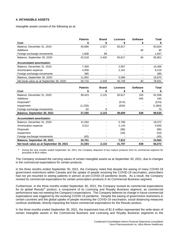## **4. INTANGIBLE ASSETS**

Intangible assets consist of the following as at:

|                                         | <b>Patents</b> | <b>Brand</b> | <b>Licenses</b> | <b>Software</b> | <b>Total</b> |
|-----------------------------------------|----------------|--------------|-----------------|-----------------|--------------|
| Cost                                    | \$             | \$           | \$              | \$              | \$           |
| Balance, December 31, 2019              | 40,680         | 2,327        | 50,817          |                 | 93,824       |
| Additions                               |                |              |                 | 40              | 40           |
| Foreign exchange movements              | 1.838          | 99           |                 |                 | 1,937        |
| Balance, September 30, 2020             | 42,518         | 2,426        | 50,817          | 40              | 95,801       |
| <b>Accumulated amortization</b>         |                |              |                 |                 |              |
| Balance, December 31, 2019              | 7,359          |              | 2,907           |                 | 10,266       |
| Amortization expense                    | 4,058          |              | 2,161           |                 | 6,219        |
| Foreign exchange movements              | 385            |              |                 |                 | 385          |
| Balance, September 30, 2020             | 11,802         |              | 5,068           |                 | 16,870       |
| Net book value as at September 30, 2020 | 30,716         | 2,426        | 45,749          | 40              | 78,931       |
|                                         |                |              |                 |                 |              |
|                                         | <b>Patents</b> | <b>Brand</b> | <b>Licenses</b> | <b>Software</b> | <b>Total</b> |
| Cost                                    | \$             | \$           | \$              | \$              | \$           |
| Balance, December 31, 2020              | 38,423         | 2,125        | 50,817          | 193             | 91,558       |
| Additions                               |                |              |                 | 445             | 445          |
| Disposals <sup>(i)</sup>                |                |              | (574)           |                 | (574)        |
| Impairment                              | (1, 230)       |              | (634)           |                 | (1,864)      |
| Foreign exchange movements              | 62             | 8            |                 |                 | 70           |
| Balance, September 30, 2021             | 37,255         | 2,133        | 49,609          | 638             | 89,635       |
| <b>Accumulated amortization</b>         |                |              |                 |                 |              |
| Balance, December 31, 2020              | 12,284         |              | 5,788           |                 | 18,072       |
| Amortization expense                    | 3,512          |              | 2,143           |                 | 5,655        |
| Disposals                               |                |              | (86)            |                 | (86)         |
| Impairment                              |                |              | (33)            |                 | (33)         |
| Foreign exchange movements              | (45)           |              |                 |                 | (45)         |
| Balance, September 30, 2021             | 15,751         |              | 7,812           |                 | 23,563       |
| Net book value as at September 30, 2021 | 21,504         | 2,133        | 41,797          | 638             | 66,072       |

<sup>(i)</sup> During the nine months ended September 30, 2021, the Company disposed of two mature products from its commercial segment for proceeds of \$0.6 million.

The Company reviewed the carrying values of certain intangible assets as at September 30, 2021, due to changes in the commercial expectations for certain products.

In the three months ended September 30, 2021, the Company noted that despite the easing of many COVID-19 government restrictions within Canada and the uptake of people receiving the COVID-19 vaccination, prescribers had not yet resumed to seeing patients in person at pre-COVID-19 pandemic levels. As a result, the Company revised its commercial expectations for certain prescription products in its Commercial Business segment.

Furthermore, in the three months ended September 30, 2021, the Company revised its commercial expectations for its global Resultz® product, a component of its Licensing and Royalty Business segment, as commercial performance was not meeting the Company's expectations. The Company believes its change in future commercial expectations was triggered by the evolving COVID-19 pandemic. Despite the easing of government restrictions in certain countries and the global uptake of people receiving the COVID-19 vaccination, social distancing measures continue worldwide, directly impacting the future commercial expectations for the Resultz product.

In the three months ended September 30, 2021, the impairment loss of \$1.8 million represented the write-down of certain intangible assets in the Commercial Business and Licensing and Royalty Business segments to the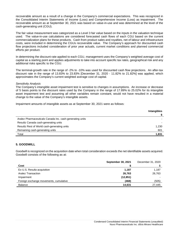recoverable amount as a result of a change in the Company's commercial expectations. This was recognized in the Consolidated Interim Statements of Income (Loss) and Comprehensive Income (Loss) as impairment. The recoverable amount as at September 30, 2021 was based on value-in-use and was determined at the level of the cash-generating unit (CGU).

The fair value measurement was categorized as a Level 3 fair value based on the inputs in the valuation technique used. The value-in-use calculations are considered forecasted cash flows of each CGU based on the current commercialization plans for these products. Cash from product sales and royalties, net of labour and infrastructure costs, were included in determining the CGUs recoverable value. The Company's approach for discounted cash flow projections included consideration of prior year actuals, current market conditions and planned commercial efforts per product.

In determining the discount rate applied to each CGU, management uses the Company's weighted average cost of capital as a starting point and applies adjustments to take into account specific tax rates, geographical risk and any additional risks specific to the CGU.

The terminal-growth rate in the range of -2% to -10% was used for discounted cash flow projections. An after-tax discount rate in the range of 13.83% to 23.83% [December 31, 2020 - 11.82% to 21.82%] was applied, which approximates the Company's current weighted average cost of capital.

#### *Sensitivity Analysis*

The Company's intangible asset impairment test is sensitive to changes in assumptions. An increase or decrease of 5 basis points to the discount rates used by the Company in the range of 17.89% to 25.02% for its intangible asset impairment test and assuming all other variables remain constant, would not have resulted in a material change to the value of the Company's intangible assets.

Impairment amounts of intangible assets as at September 30, 2021 were as follows:

|                                                          | <b>Intangibles</b> |
|----------------------------------------------------------|--------------------|
|                                                          |                    |
| Aralez Pharmaceuticals Canada Inc. cash-generating units |                    |
| Resultz Canada cash-generating units                     |                    |
| Resultz Rest of World cash-generating units              | 1,230              |
| Remaining cash-generating units                          | 601                |
| Total                                                    | 1,831              |

## **5. GOODWILL**

Goodwill is recognized on the acquisition date when total consideration exceeds the net identifiable assets acquired. Goodwill consists of the following as at:

|                                        | <b>September 30, 2021</b> | December 31, 2020 |
|----------------------------------------|---------------------------|-------------------|
| Cost                                   |                           |                   |
| Ex-U.S. Resultz acquisition            | 1.187                     | 1,187             |
| <b>Aralez Transaction</b>              | 26,763                    | 26,763            |
| Impairment                             | (12, 851)                 |                   |
| Foreign exchange movements, cumulative | (468)                     | (505)             |
| <b>Balance</b>                         | 14.631                    | 27,445            |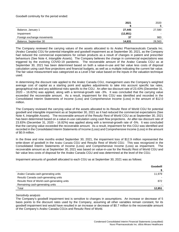Goodwill continuity for the period ended:

|                            | 2021      | 2020                     |
|----------------------------|-----------|--------------------------|
|                            |           |                          |
| Balance, January 1         | 27,445    | 27,580                   |
| Impairment                 | (12, 851) | $\overline{\phantom{0}}$ |
| Foreign exchange movements | 37        | 983                      |
| Balance, September 30      | 14,631    | 28.563                   |

The Company reviewed the carrying values of the assets allocated to its Aralez Pharmaceuticals Canada Inc. (Aralez Canada) CGU for potential intangible and goodwill impairment as at September 30, 2021, as the Company had reduced the commercial expectations for certain products as a result of changes in patient and prescriber behaviours (See Note 4, *Intangible Assets*). The Company believes the change in commercial expectations was triggered by the evolving COVID-19 pandemic. The recoverable amount of the Aralez Canada CGU as at September 30, 2021 has been determined based on both a value-in-use and fair value less costs of disposal calculation using cash flow projections and financial budgets, as well as a multiple indicating the current fair value. The fair value measurement was categorized as a Level 3 fair value based on the inputs in the valuation technique used.

In determining the discount rate applied to the Aralez Canada CGU, management uses the Company's weighted average cost of capital as a starting point and applies adjustments to take into account specific tax rates, geographical risk and any additional risks specific to the CGU. An after-tax discount rate of 23.43% (December 31, 2020 – 16.82%) was applied, along with a terminal-growth rate -3%. It was concluded that the carrying value exceeded the recoverable amount. As a result, impairment for this CGU was identified and recorded in the Consolidated Interim Statements of Income (Loss) and Comprehensive Income (Loss) in the amount of \$12.0 million.

The Company reviewed the carrying value of the assets allocated to its Resultz Rest of World CGU for potential goodwill and intangible impairment as at September 30, 2021 as it had reduced the commercial expectations (See Note 4, *Intangible Assets*). The recoverable amount of the Resultz Rest of World CGU as at September 30, 2021 has been determined based on a value-in-use calculation using cash flow projections. An after-tax discount rate of 23.83% (December 31, 2020 – 16.82%) was applied along with a terminal-growth rate of -5%. It was concluded that the carrying value exceeded the recoverable amount. As a result, impairment for this CGU was identified and recorded in the Consolidated Interim Statements of Income (Loss) and Comprehensive Income (Loss) in the amount of \$0.9 million.

In the three and nine months ended September 30, 2021, the impairment loss of \$12.9 million represented the write-down of goodwill in the Aralez Canada CGU and Resultz Rest of World CGU. This was recognized in the Consolidated Interim Statements of Income (Loss) and Comprehensive Income (Loss) as impairment. The recoverable amount as at September 30, 2021 was based on value-in-use for the Resultz Rest of World CGU and fair value less costs of disposal for the Aralez Canada CGU and was determined at the level of the CGU.

Impairment amounts of goodwill allocated to each CGU as at September 30, 2021 was as follows:

|                                             | Goodwill |
|---------------------------------------------|----------|
|                                             |          |
| Aralez Canada cash-generating units         | 11,979   |
| Resultz Canada cash-generating units        |          |
| Resultz Rest of World cash-generating units | 872      |
| Remaining cash-generating units             |          |
| Total                                       | 12.851   |

#### *Sensitivity analysis*

The Company's goodwill impairment test is sensitive to changes in assumptions. An increase or decrease of 5 basis points to the discount rates used by the Company, assuming all other variables remain constant, for its goodwill impairment test would have resulted in an increase or decrease of \$0.7 million to the recoverable amount of the Company's Aralez Canada CGUs and Resultz Rest of World.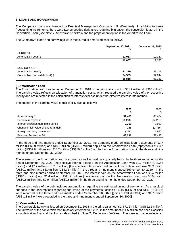## **6. LOANS AND BORROWINGS**

The Company's loans are financed by Deerfield Management Company, L.P. (Deerfield). In addition to these freestanding instruments, there were two embedded derivatives requiring bifurcation: the conversion feature in the Convertible Loan (See Note 7, *Derivative Liabilities*) and the prepayment option in the Amortization Loan.

The Company's loans and borrowings were measured at amortized cost as follows:

|                                  | September 30, 2021 | December 31, 2020 |
|----------------------------------|--------------------|-------------------|
| <b>CURRENT</b>                   |                    |                   |
| Amortization Loan(i)             | 12,067             | 12,337            |
|                                  | 12,067             | 12,337            |
|                                  |                    |                   |
| NON-CURRENT                      |                    |                   |
| Amortization Loan(i)             | 31,229             | 39,116            |
| Convertible Loan - debt host(ii) | 54,589             | 52,244            |
|                                  | 85,818             | 91,360            |

#### **(i) Amortization Loan**

The Amortization Loan was issued on December 31, 2018 in the principal amount of \$81.9 million (US\$60 million). The carrying value reflects an allocation of transaction costs, which reduced the carrying value of the respective liability and are reflected in the calculation of interest expense under the effective interest rate method.

The change in the carrying value of this liability was as follows:

|                                        | 2021      | 2020      |
|----------------------------------------|-----------|-----------|
| As at January 1                        | 51,453    | 68,464    |
| Principal repayment                    | (10, 278) | (14, 237) |
| Interest accretion during the period   | 2,219     | 2,987     |
| Change in fair value of long-term debt | 146       | (1,716)   |
| Foreign currency movement              | (244)     | 1,997     |
| Balance, September 30                  | 43,296    | 57,495    |

In the three and nine months ended September 30, 2021, the Company made principal loan repayments of \$3.7 million (US\$2.9 million) and \$10.3 million (US\$8.3 million) applied to the Amortization Loan [repayments of \$3.7 million (US\$2.8 million) and \$14.2 million (US\$10.5 million) applied to the Amortization Loan in the three and nine months ended September 30, 2020].

The interest on the Amortization Loan is accrued as well as paid on a quarterly basis. In the three and nine months ended September 30, 2021, the effective interest accrued on the Amortization Loan was \$0.7 million (US\$0.6 million) and \$2.2 million (US\$1.8 million) [the effective interest accrued on the Amortization Loan was \$0.9 million (US\$0.7 million) and \$3.0 million (US\$2.2 million) in the three and nine months ended September 30, 2020]. In the three and nine months ended September 30, 2021, the interest paid on the Amortization Loan was \$0.4 million (US\$0.4 million) and \$1.4 million (US\$1.2 million) [the interest paid on the Amortization Loan was \$0.6 million (US\$0.5 million) and \$2.0 million (US\$1.5 million) in the three and nine months ended September 30, 2020].

The carrying value of the debt includes assumptions regarding the estimated timing of payments. As a result of changes in the assumptions regarding the timing of the payments, losses of \$110 (US\$87) and \$146 (US\$116) were recorded in the three and nine months ended September 30, 2021 [gains of \$81 (US\$61) and \$1.7 million (US\$ 1.3 million) were recorded in the three and nine months ended September 30, 2020].

## **(ii) Convertible Loan**

The Convertible Loan was issued on December 31, 2018 in the principal amount of \$71.6 million (US\$52.5 million). The fair value of the conversion feature as at September 30, 2021 in the amount of \$11.5 million has been classified as a derivative financial liability, as described in Note 7, *Derivative Liabilities*. The carrying value reflects an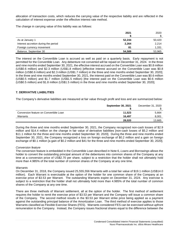allocation of transaction costs, which reduces the carrying value of the respective liability and are reflected in the calculation of interest expense under the effective interest rate method.

The change in carrying value of this liability was as follows:

|                                      | 2021   | 2020   |
|--------------------------------------|--------|--------|
| As at January 1                      | 52,244 | 50,420 |
| Interest accretion during the period | 2,264  | 2,214  |
| Foreign currency movement            | 81     | 1,331  |
| Balance, September 30                | 54,589 | 53,965 |

The interest on the Convertible Loan is accrued as well as paid on a quarterly basis. Early repayment is not permitted for the Convertible Loan. Any debenture not converted will be repaid on December 31, 2024. In the three and nine months ended September 30, 2021, the effective interest accrued on the Convertible Loan was \$0.8 million (US\$0.6 million) and \$2.3 million (US\$1.8 million) [effective interest accrued on the Convertible Loan was \$0.8 million (US\$0.6 million) and \$2.3 million (US\$1.7 million) in the three and nine months ended September 30, 2020]. In the three and nine months ended September 30, 2021, the interest paid on the Convertible Loan was \$0.6 million (US\$0.5 million) and \$1.7 million (US\$1.5 million) [the interest paid on the Convertible Loan was \$0.6 million (US\$0.5 million) and \$1.8 million (US\$1.5 million) in the three and nine months ended September 30, 2020].

## **7. DERIVATIVE LIABILITIES**

The Company's derivative liabilities are measured at fair value through profit and loss and are summarized below:

|                                        | <b>September 30, 2021</b> | December 31, 2020 |
|----------------------------------------|---------------------------|-------------------|
|                                        |                           |                   |
| Conversion feature on Convertible Loan | 11,523                    | 5,664             |
| Warrants                               | 16.497                    | 8,001             |
|                                        | 28,020                    | 13,665            |

During the three and nine months ended September 30, 2021, the Company recognized non-cash losses of \$2.9 million and \$14.4 million on the change in fair value of derivative liabilities [non-cash losses of \$5.2 million and \$11.1 million for the three and nine months ended September 30, 2020]. During the three and nine months ended September 30, 2021, the Company recognized a loss on foreign exchange of \$0.2 million and a gain on foreign exchange of \$0.1 million [a gain of \$0.2 million and \$41 for the three and nine months ended September 30, 2020].

#### *Conversion feature*

The conversion feature is embedded in the Convertible Loan described in Note 6, *Loans and Borrowings* allows the holder to convert the outstanding principal amount of the debentures into common shares of the Company at any time at a conversion price of US\$2.70 per share, subject to a restriction that the holder shall not ultimately hold more than 4.985% of the total number of common shares of the Company at any one time.

#### *Warrants*

On December 31, 2018, the Company issued 25,555,556 Warrants with a total fair value of \$19.1 million (US\$14.0 million). Each Warrant is exercisable at the option of the holder for one common share of the Company at an exercise price of \$3.53 per Warrant. The outstanding Warrants expire on December 31, 2024. Any exercise is subject to a restriction that the holder shall not ultimately hold more than 4.985% of the total number of common shares of the Company at any one time.

There are three methods of Warrant settlement, all at the option of the holder. The first method of settlement requires the holder to remit the exercise price of \$3.53 per Warrant and the Company will issue a common share of the Company. The second method results in the \$3.53 per Warrant strike price being applied as a payment against the outstanding principal balance of the Amortization Loan. The third method of exercise applies to those Warrants classified as Flexible Exercise Shares (FES). Warrants considered FES can be exercised without upfront remuneration to the Company. Instead, the Company issues fractional shares equal to the difference between the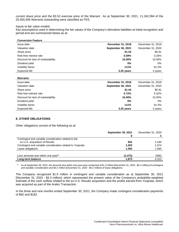current share price and the \$3.53 exercise price of the Warrant. As at September 30, 2021, 11,342,994 of the 25,555,556 Warrants outstanding were classified as FES.

#### *Inputs to fair value models*

Key assumptions used in determining the fair values of the Company's derivative liabilities at initial recognition and period-end are summarized below as at:

| <b>Conversion Feature</b>          |                    |                   |
|------------------------------------|--------------------|-------------------|
| Issue date                         | December 31, 2018  | December 31, 2018 |
| Valuation date                     | September 30, 2021 | December 31, 2020 |
| Share price                        | \$1.44             | \$0.91            |
| Risk-free interest rate            | 0.59%              | 0.26%             |
| Discount for lack of marketability | 16.00%             | 10.00%            |
| Dividend yield                     | $0\%$              | $0\%$             |
| Volatility factor                  | 111%               | 91.5%             |
| Expected life                      | 3.25 years         | 4 years           |

| <i>vvarrants</i>                   |                    |                   |
|------------------------------------|--------------------|-------------------|
| Issue date                         | December 31, 2018  | December 31, 2018 |
| Valuation date                     | September 30, 2021 | December 31, 2020 |
| Share price                        | \$1.44             | \$0.91            |
| Risk-free interest rate            | 0.72%              | 0.32%             |
| Discount for lack of marketability | 16.00%             | 10.00%            |
| Dividend yield                     | $0\%$              | 0%                |
| Volatility factor                  | 111%               | 91.5%             |
| Expected life                      | 3.25 years         | 4 years           |

#### **8. OTHER OBLIGATIONS**

**Warrants**

Other obligations consist of the following as at:

|                                                           | <b>September 30, 2021</b> | December 31, 2020 |
|-----------------------------------------------------------|---------------------------|-------------------|
| Contingent and variable consideration related to the      |                           |                   |
| ex-U.S. acquisition of Resultz                            | 691                       | 2,180             |
| Contingent and variable consideration related to Yosprala | 1,202                     | 1,074             |
| Lease obligations                                         | 1,452                     | 1,465             |
| Less amounts due within one year <sup>(i)</sup>           | (1, 472)                  | (396)             |
| Long-term balance                                         | 1,873                     | 4,323             |

 $^{(i)}$  As at September 30, 2021, the amounts due within one year were comprised of \$1.3 million [December 31, 2020 - \$0.2 million] of contingent and variable consideration and \$0.2 million [December 31, 2020 - \$0.2 million] of lease obligations.

The Company recognized \$1.9 million in contingent and variable consideration as at September 30, 2021 [December 31, 2020 - \$3.3 million], which represented the present value of the Company's probability-weighted estimate of the cash outflow related to the ex-U.S. Resultz acquisition and the profits earned from Yosprala, which was acquired as part of the Aralez Transaction.

In the three and nine months ended September 30, 2021, the Company made contingent consideration payments of \$92 and \$182.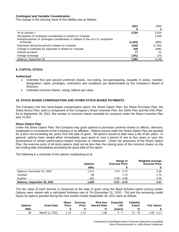#### **Contingent and Variable Consideration**

The change in the carrying value of this liability was as follows:

|                                                                                  | 2021    | 2020     |
|----------------------------------------------------------------------------------|---------|----------|
|                                                                                  |         |          |
| As at January 1                                                                  | 3,254   | 2,814    |
| Recognition of contingent consideration in relation to Yosprala                  |         | 2,548    |
| Remeasurement of contingent consideration in relation to the ex-U.S. acquisition |         |          |
| of Resultz                                                                       | (1,404) | (804)    |
| Payments during the period in relation to Yosprala                               | (182)   | (1, 135) |
| Change in estimates for payments in relation to Yosprala                         | 339     | (496)    |
| Interest accretion                                                               | 77      | 51       |
| Foreign exchange                                                                 | (191)   | 170      |
| Balance, September 30                                                            | 1,893   | 3,148    |

#### **9. CAPITAL STOCK**

#### **Authorized**

- Unlimited first and second preferred shares, non-voting, non-participating, issuable in series, number, designation, rights, privileges, restrictions and conditions are determinable by the Company's Board of Directors.
- Unlimited common shares, voting, without par value.

#### **10. STOCK-BASED COMPENSATION AND OTHER STOCK-BASED PAYMENTS**

The Company has five stock-based compensation plans: the Share Option Plan, the Share Purchase Plan, the Share Bonus Plan, each a component of the Company's Share Incentive Plan, the SARs Plan and the DSU Plan. As at September 30, 2021, the number of common shares available for issuance under the Share Incentive Plan was 72,003.

#### **Share Option Plan**

Under the Share Option Plan, the Company may grant options to purchase common shares to officers, directors, employees or consultants of the Company or its affiliates. Options issued under the Share Option Plan are granted for a term not exceeding ten years from the date of grant. All options issued to-date have a life of ten years. In general, options have vested either immediately upon grant or over a period of one to four years or upon the achievement of certain performance-related measures or milestones. Under the provisions of the Share Option Plan, the exercise price of all stock options shall not be less than the closing price of the common shares on the last trading date immediately preceding the grant date of the option.

The following is a schedule of the options outstanding as at:

|                             | <b>Options</b> | Range of<br><b>Exercise Price</b> | <b>Weighted Average</b><br><b>Exercise Price</b> |
|-----------------------------|----------------|-----------------------------------|--------------------------------------------------|
|                             | 000s           |                                   |                                                  |
| Balance, December 31, 2020  | 1,572          | $0.57 - 5.75$                     | 3.38                                             |
| Granted                     | 96             | 1.74                              | 1.74                                             |
| Expired                     | (32)           | $2.66 - 5.08$                     | 4.09                                             |
| Balance, September 30, 2021 | 1,636          | $0.57 - 5.75$                     | 3.27                                             |

The fair value of each tranche is measured at the date of grant using the Black-Scholes option pricing model. Options were valued with a calculated forfeiture rate of 7% [December 31, 2020 - 7%] and the remaining model inputs for options granted during the nine months ended September 30, 2021 were as follows:

| <b>Options</b> | <b>Grant Date</b> | <b>Share</b><br><b>Price</b> | <b>Exercise</b><br><b>Price</b> | <b>Risk-free</b><br><b>Interest Rate</b> | <b>Expected</b><br>∟ife⊹ | <b>Volatility</b><br>Factor | <b>Fair Values</b> |
|----------------|-------------------|------------------------------|---------------------------------|------------------------------------------|--------------------------|-----------------------------|--------------------|
| 000s           |                   |                              |                                 | %                                        | (vears)                  | %                           |                    |
| 96             | March 11, 2021    | .74                          | 1.74                            | 1.09                                     | 5 - 7                    | $72 - 73$                   | 1.06 - 1.17        |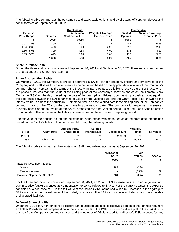The following table summarizes the outstanding and exercisable options held by directors, officers, employees and consultants as at September 30, 2021:

|                                       | Outstanding    |                                      |                                                  |                                 | <b>Exercisable</b>                               |
|---------------------------------------|----------------|--------------------------------------|--------------------------------------------------|---------------------------------|--------------------------------------------------|
| <b>Exercise</b><br><b>Price Range</b> | <b>Options</b> | Remaining<br><b>Contractual Life</b> | <b>Weighted Average</b><br><b>Exercise Price</b> | <b>Vested</b><br><b>Options</b> | <b>Weighted Average</b><br><b>Exercise Price</b> |
|                                       | 000s           | vears                                |                                                  | 000s                            |                                                  |
| $0.57 - 1.53$                         | 350            | 7.61                                 | 0.72                                             | 159                             | 0.88                                             |
| $1.54 - 2.65$                         | 498            | 6.40                                 | 2.28                                             | 312                             | 2.45                                             |
| $2.66 - 5.08$                         | 309            | 4.53                                 | 4.09                                             | 276                             | 4.17                                             |
| $5.09 - 5.75$                         | 479            | 5.10                                 | 5.63                                             | 478                             | 5.63                                             |
|                                       | 1,636          | 5.93                                 | 3.27                                             | 1,225                           | 3.88                                             |

#### **Share Purchase Plan**

During the three and nine months ended September 30, 2021 and September 30, 2020, there were no issuances of shares under the Share Purchase Plan.

#### **Share Appreciation Rights**

On March 5, 2021, the Company's directors approved a SARs Plan for directors, officers and employees of the Company and its affiliates to provide incentive compensation based on the appreciation in value of the Company's common shares. Pursuant to the terms of the SARs Plan, participants are eligible to receive a grant of SARs, which are priced at no less than the value of the closing price of the Company's common shares on the Toronto Stock Exchange (TSX) on the day preceding the date of the grant (Grant Price). Upon vesting, a cash amount equal to the difference between the SARs fair market value on the vesting date and the Grant Price, also known as the intrinsic value, is paid to the participant. Fair market value on the vesting date is the closing price of the Company's common share on the TSX on the day preceding the vesting date. The compensation expense is measured quarterly based on the fair value of the SARs, amortized over the vesting period, using the Black-Scholes option pricing model. The fair value of the liability is remeasured at the end of each reporting period.

The fair value of the tranche issued and outstanding in the period was measured as at the grant date, determined based on the Black-Scholes option pricing model, using the following inputs:

|             |                   | <b>Exercise Price</b> | Risk-free            |                      | <b>Volatility</b> |                    |
|-------------|-------------------|-----------------------|----------------------|----------------------|-------------------|--------------------|
| <b>SARs</b> | <b>Grant Date</b> | (Grant Price)         | <b>Interest Rate</b> | <b>Expected Life</b> | <b>Factor</b>     | <b>Fair Values</b> |
| (000s)      |                   |                       | %                    | (vears)              | %                 |                    |
| 284         | March 11, 2021    | . 74                  | 0.23                 |                      | 90.52             | 0.99               |

The following table summarizes the outstanding SARs and related accrual as at September 30, 2021:

|                             | Number of<br><b>SARs</b><br>000s | Fair<br><b>Values</b> | Accrual |
|-----------------------------|----------------------------------|-----------------------|---------|
| Balance, December 31, 2020  |                                  | -                     |         |
| Granted                     | 284                              | 0.99                  |         |
| Remeasurement               |                                  | (0.25)                | 39      |
| Balance, September 30, 2021 | 284                              | 0.74                  | 39      |

For the three and nine months ended September 30, 2021, a \$20 and \$39 expense was recorded in general and administrative (G&A) expenses as compensation expense related to SARs. For the current quarter, the expense consisted of a decrease of \$3 in the fair value of the issued SARs, combined with a \$23 increase in the aggregate SARs accrual to the market value of the underlying shares. The SARs accrual was included in accounts payable and accrued liabilities.

#### **Deferred Share Unit Plan**

Under the DSU Plan, non-employee directors can be allotted and elect to receive a portion of their annual retainers and other Board-related compensation in the form of DSUs. One DSU has a cash value equal to the market price of one of the Company's common shares and the number of DSUs issued to a director's DSU account for any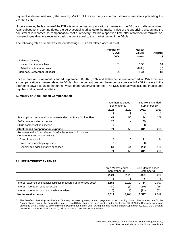payment is determined using the five-day VWAP of the Company's common shares immediately preceding the payment date.

Upon issuance, the fair value of the DSUs is recorded as compensation expense and the DSU accrual is recognized. At all subsequent reporting dates, the DSU accrual is adjusted to the market value of the underlying shares and the adjustment is recorded as compensation cost or recovery. Within a specified time after retirement or termination, non-employee directors receive a cash payment equal to the market value of the DSUs.

The following table summarizes the outstanding DSUs and related accrual as at:

|                             | Number of<br><b>DSUs</b> | <b>Market</b><br><b>Values</b> | <b>Accrual</b> |
|-----------------------------|--------------------------|--------------------------------|----------------|
|                             | 000s                     | \$/unit                        |                |
| Balance, January 1          |                          | -                              |                |
| Issued for directors' fees  | 61                       | 1.53                           | 94             |
| Adjustment to market value  |                          | (0.09)                         | (6)            |
| Balance, September 30, 2021 | 61                       | 1.44                           | 88             |

For the three and nine months ended September 30, 2021, a \$7 and \$88 expense was recorded in G&A expenses as compensation expense related to DSUs. For the current quarter, the expense consisted of a \$7 increase in the aggregate DSU accrual to the market value of the underlying shares. The DSU accrual was included in accounts payable and accrued liabilities.

#### **Summary of Stock-based Compensation**

|                                                                                               | Three Months ended<br>September 30 |      | Nine Months ended<br>September 30 |      |
|-----------------------------------------------------------------------------------------------|------------------------------------|------|-----------------------------------|------|
|                                                                                               | 2021                               | 2020 | 2021                              | 2020 |
|                                                                                               | S                                  | S    | S                                 | S    |
| Stock option compensation expense under the Share Option Plan                                 | 41                                 | 50   | 184                               | 208  |
| SARs compensation expense                                                                     | 23                                 |      | 39                                |      |
| DSUs compensation expense                                                                     |                                    |      | 88                                | 208  |
| Stock-based compensation expense                                                              | 71                                 | 50   | 311                               |      |
| Recorded in the Consolidated Interim Statements of Loss and<br>Comprehensive Loss as follows: |                                    |      |                                   |      |
| Cost of goods sold                                                                            | 5                                  | 6    | 21                                | 24   |
| Sales and marketing expenses                                                                  |                                    |      | 8                                 |      |
| General and administrative expenses                                                           | 64                                 | 44   | 282                               | 184  |
|                                                                                               | 71                                 | 50   | 311                               | 208  |

## **11. NET INTEREST EXPENSE**

|                                                                                     | Three Months ended<br>September 30 |       | Nine Months ended<br>September 30 |       |
|-------------------------------------------------------------------------------------|------------------------------------|-------|-----------------------------------|-------|
|                                                                                     | 2021<br>2020                       |       | 2021                              | 2020  |
|                                                                                     |                                    | \$    |                                   |       |
| Interest expense on financial liabilities measured at amortized cost <sup>(i)</sup> | 2,556                              | 2,920 | 7.714                             | 9,097 |
| Interest income on contract assets                                                  | (34)                               | (5)   | (115)                             | (25)  |
| Interest income on cash and cash equivalents                                        | (10)                               | (11)  | (22)                              | (53)  |
| Net interest expense                                                                | 2,512                              | 2.904 | 7.577                             | 9,019 |

 $<sup>(i)</sup>$  The Deerfield Financing requires the Company to make quarterly interest payments on outstanding loans. The interest rate for the</sup> Amortization Loan and the Convertible Loan is a fixed 3.5%. During the three months ended September 30, 2021, the Company made cash payments of \$1.0 million (US\$0.8 million) to Deerfield for interest due. During the nine months ended September 30, 2021, the Company made cash payments of \$3.1 million (US\$2.4 million) to Deerfield for interest due.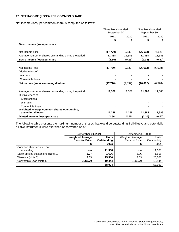## **12. NET INCOME (LOSS) PER COMMON SHARE**

Net income (loss) per common share is computed as follows:

|                                                        | Three Months ended<br>September 30 | Nine Months ended<br>September 30 |           |          |  |
|--------------------------------------------------------|------------------------------------|-----------------------------------|-----------|----------|--|
|                                                        | 2021                               | 2020                              | 2021      | 2020     |  |
|                                                        | \$                                 | \$                                | \$        | \$       |  |
| Basic income (loss) per share:                         |                                    |                                   |           |          |  |
|                                                        |                                    |                                   |           |          |  |
| Net income (loss)                                      | (17, 770)                          | (2,832)                           | (26, 612) | (6, 528) |  |
| Average number of shares outstanding during the period | 11,388                             | 11,388                            | 11,388    | 11,388   |  |
| Basic income (loss) per share                          | (1.56)                             | (0.25)                            | (2.34)    | (0.57)   |  |
|                                                        |                                    |                                   |           |          |  |
| Net income (loss)                                      | (17, 770)                          | (2,832)                           | (26, 612) | (6, 528) |  |
| Dilutive effect of:                                    |                                    |                                   |           |          |  |
| Warrants                                               |                                    |                                   |           |          |  |
| Convertible Loan                                       |                                    |                                   |           |          |  |
| Net income (loss), assuming dilution                   | (17, 770)                          | (2,832)                           | (26, 612) | (6, 528) |  |
|                                                        |                                    |                                   |           |          |  |
| Average number of shares outstanding during the period | 11,388                             | 11,388                            | 11,388    | 11,388   |  |
| Dilutive effect of:                                    |                                    |                                   |           |          |  |
| Stock options                                          |                                    |                                   |           |          |  |
| Warrants                                               |                                    |                                   |           |          |  |
| Convertible Loan                                       |                                    |                                   |           |          |  |
| Weighted average common shares outstanding,            |                                    |                                   |           |          |  |
| assuming dilution                                      | 11,388                             | 11,388                            | 11,388    | 11,388   |  |
| Diluted income (loss) per share                        | (1.56)                             | (0.25)                            | (2.34)    | (0.57)   |  |

The following table presents the maximum number of shares that would be outstanding if all dilutive and potentially dilutive instruments were exercised or converted as at:

|                                     | September 30, 2021                               |              | September 30, 2020                               |             |
|-------------------------------------|--------------------------------------------------|--------------|--------------------------------------------------|-------------|
|                                     | <b>Weighted Average</b><br><b>Exercise Price</b> | <b>Units</b> | <b>Weighted Average</b><br><b>Exercise Price</b> | Units       |
|                                     |                                                  | Outstanding  |                                                  | Outstanding |
|                                     |                                                  | 000s         |                                                  | 000s        |
| Common shares issued and            |                                                  |              |                                                  |             |
| outstanding                         | n/a                                              | 11,388       | n/a                                              | 11,388      |
| Stock options outstanding (Note 10) | 3.27                                             | 1,636        | 3.36                                             | 1,595       |
| Warrants (Note 7)                   | 3.53                                             | 25,556       | 3.53                                             | 25,556      |
| Convertible Loan (Note 6)           | <b>US\$2.70</b>                                  | 19,444       | US\$2.70                                         | 19,444      |
|                                     |                                                  | 58.024       |                                                  | 57,983      |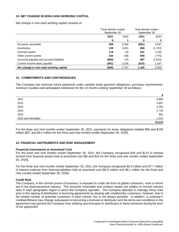## **13. NET CHANGE IN NON-CASH WORKING CAPITAL**

Net change in non-cash working capital consists of:

|                                          | Three Months ended<br>September 30 |       | Nine Months ended<br>September 30 |         |
|------------------------------------------|------------------------------------|-------|-----------------------------------|---------|
|                                          | 2021                               | 2020  | 2021                              | 2020    |
|                                          | S                                  | \$    | S                                 | \$      |
| Accounts receivable                      | 389                                | 2,356 | (881)                             | 4,937   |
| Inventories                              | 139                                | (145) | 808                               | (1,763) |
| Contract assets                          | 119                                | 60    | 261                               | 2,340   |
| Other current assets                     | 234                                | 436   | 690                               | (775)   |
| Accounts payable and accrued liabilities | (859)                              | 179   | 897                               | (2,623) |
| Current income taxes payable             | (691)                              | (119) | (610)                             | 1,187   |
| Net change in non-cash working capital   | (669)                              | 2,767 | 1,165                             | 3,303   |

#### **14**. **COMMITMENTS AND CONTINGENCIES**

The Company has minimum future payments under variable lease payment obligations, purchase commitments, minimum royalties and anticipated milestones for the 12 months ending September 30 as follows:

|                     | \$     |
|---------------------|--------|
| 2021                | 5,806  |
| 2022                | 4,607  |
| 2023                | 4,392  |
| 2024                | 2,730  |
| 2025                | 465    |
| 2026 and thereafter | 1,215  |
|                     | 19,215 |

For the three and nine months ended September 30, 2021, payments for lease obligations totalled \$56 and \$169 million [\$27 and \$0.2 million for the three and nine months ended September 30, 2020].

#### **15. FINANCIAL INSTRUMENTS AND RISK MANAGEMENT**

## **Financial Instruments at Amortized Cost**

For the three and nine months ended September 30, 2021, the Company recognized \$34 and \$115 in interest income from financial assets held at amortized cost [\$5 and \$25 for the three and nine months ended September 30, 2020].

For the three and nine months ended September 30, 2021, the Company recognized \$2.6 million and \$7.7 million in interest expense from financial liabilities held at amortized cost [\$2.9 million and \$9.1 million for the three and nine months ended September 30, 2020].

#### **Credit Risk**

The Company, in the normal course of business, is exposed to credit risk from its global customers, most of whom are in the pharmaceutical industry. The accounts receivable and contract assets are subject to normal industry risks in each geographic region in which the Company operates. The Company attempts to manage these risks prior to the signing of distribution or licensing agreements by dealing with creditworthy customers; however, due to the limited number of potential customers in each market, this is not always possible. In addition, a customer's creditworthiness may change subsequent to becoming a licensee or distributor and the terms and conditions in the agreement may prevent the Company from seeking new licensees or distributors in these territories during the term of the agreement.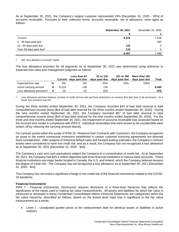As at September 30, 2021, the Company's largest customer represented 25% [December 31, 2020 - 30%] of accounts receivable. Pursuant to their collective terms, accounts receivable, net of allowance, were aged as follows:

|                          | <b>September 30, 2021</b> | December 31, 2020 |
|--------------------------|---------------------------|-------------------|
|                          |                           |                   |
| Current                  | 8,215                     | 7,018             |
| 0 - 30 days past due     |                           | 463               |
| 31 - 60 days past due    | 132                       | 2                 |
| Over 60 days past due(i) | 110                       | 5                 |
|                          | 8,457                     | 7,488             |

See "*loss allowance provision*" below.

The loss allowance provision for all segments as at September 30, 2021 was determined using reference to expected loss rates and management judgment as follows:

|                                         |   | Current | Less than 61<br>days past due | 61 to 120<br>days past due | 121 to 180<br>days past due | More than 181<br>davs past due | Total |
|-----------------------------------------|---|---------|-------------------------------|----------------------------|-----------------------------|--------------------------------|-------|
| Expected loss rate                      | % | 0%      | 0%                            | 25%                        | 50%                         | 100%                           |       |
| Gross carrying amount                   |   | 8.219   | 136                           | 135                        | $\overline{\phantom{a}}$    |                                | 8.490 |
| Loss allowance provision <sup>(i)</sup> |   | (4      | (4)                           | (25                        |                             |                                | (33)  |

Loss allowance provision balance consists of credit memos and purchase deductions on invoices that take time to be processed. As a result, loss provision was 0%.

During the three months ended September 30, 2021, the Company recorded \$43 of bad debt reversal in total comprehensive income (loss) [\$nil of bad debt reversal for the three months ended September 30, 2020]. During the nine months ended September 30, 2021, the Company recorded \$57 of bad debt reversal in total comprehensive income (loss) [\$nil of bad debt reversal for the nine months ended September 30, 2020]. For the three and nine months ended September 30, 2021, the impairment of accounts receivable was assessed based on the incurred loss model in compliance with IFRS 9. Individual receivables that were known to be uncollectible were written off by reducing the carrying amount directly.

For contract assets within the scope of IFRS 15 - *Revenue from Contracts with Customers*, the Company recognizes an asset to the extent contractual minimums established in certain customer licensing agreements are deemed fixed consideration. After analysis of historical default rates and forward-looking estimates, the Company's contract assets were considered to have low credit risk, and as a result, the Company has not recognized a loss allowance as at September 30, 2021 [December 31, 2020 - \$nil].

The Company's cash and cash equivalents subject the Company to a concentration of credit risk. As at September 30, 2021, the Company had \$28.4 million deposited with three financial institutions in various bank accounts. These financial institutions are major banks located in Canada, the U.S. and Ireland, which the Company believes lessens the degree of credit risk. The Company has not recognized a loss allowance as at September 30, 2021 [December 31, 2020 - \$nil].

The Company has not noted a significant change in the credit risk of the financial instruments related to the COVID-19 pandemic.

#### **Financial Instruments**

IFRS 7 - *Financial Instruments, Disclosures* requires disclosure of a three-level hierarchy that reflects the significance of the inputs used in making fair value measurements. All assets and liabilities for which fair value is measured or disclosed in these Condensed Consolidated Interim Financial Statements are categorized within the fair value hierarchy, described as follows, based on the lowest level input that is significant to the fair value measurement as a whole:

• Level 1 - Unadjusted quoted prices at the measurement date for identical assets or liabilities in active markets.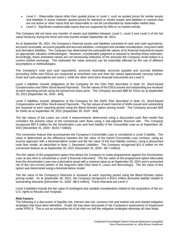- Level 2 Observable inputs other than quoted prices in Level 1, such as quoted prices for similar assets and liabilities in active markets; quoted prices for identical or similar assets and liabilities in markets that are not active or other inputs that are observable or can be corroborated by observable market data.
- Level 3 Significant unobservable inputs that are supported by little or no market activity.

The Company did not have any transfer of assets and liabilities between Level 1, Level 2 and Level 3 of the fair value hierarchy during the three and nine months ended September 30, 2021.

As at September 30, 2021, the Company's financial assets and liabilities consisted of cash and cash equivalents, accounts receivable, accounts payable and accrued liabilities, contingent and variable consideration, long-term debt and derivative liabilities. The Company has determined the estimated fair values of its financial instruments based on appropriate valuation methodologies. However, considerable judgment is required to develop these estimates. Accordingly, these estimated values are not necessarily indicative of the amounts the Company could realize in a current market exchange. The estimated fair value amounts can be materially affected by the use of different assumptions or methodologies.

The Company's cash and cash equivalents, accounts receivable, accounts payable and accrued liabilities (excluding SARs and DSUs) are measured at amortized cost and their fair values approximate carrying values. Cash and cash equivalents are Level 1, while the other short-term financial instruments are Level 3.

Level 1 liabilities include obligations of the Company for the DSU Plan described in Note 10, *Stock-based Compensation and Other Stock-based Payments*. The fair values of the DSUs issued and outstanding are revalued at each reporting period using the period-end share price. The Company accrued \$88 for DSUs as at September 30, 2021 [September 30, 2020 - \$nil].

Level 2 liabilities include obligations of the Company for the SARs Plan described in Note 10, *Stock-based Compensation and Other Stock-based Payments*. The fair values of each tranche of SARs issued and outstanding are revalued at each reporting period using the Black-Scholes option pricing model. The Company accrued \$39 for SARs as at September 30, 2021 [September 30, 2020 - \$nil].

The fair values of the Loans are Level 3 measurements determined using a discounted cash flow model that considers the present value of the contractual cash flows using a risk-adjusted discount rate. The Company recognized \$97.9 million for the Amortization Loan and host liability of the Convertible Loan as at September 30, 2021 [December 31, 2020 - \$103.7 million].

The conversion feature that accompanies the Company's Convertible Loan is considered a Level 3 liability. The value is determined as the difference between the fair value of the hybrid Convertible Loan contract, using an income approach with a binomial-lattice model and the fair value of the host liability contract, using a discounted cash flow model, as described in Note 7, *Derivative Liabilities*. The Company recognized \$11.5 million for the conversion feature as at September 30, 2021 [December 31, 2020 - \$5.7 million].

The fair values of the prepayment option that allows the Company to make prepayments against the Amortization Loan at any time is considered a Level 3 financial instrument. The fair value of the prepayment option bifurcated from the Amortization Loan was a derivative asset with a nominal value as at September 30, 2021 and is presented net of the non-current portion of the long-term debt (See Note 6, *Loans and Borrowings*). The fair value of this option was determined using a binomial-lattice model.

The fair value of the Company's Warrants is revalued at each reporting period using the Black-Scholes option pricing model. As at September 30, 2021, the Company recognized a \$16.5 million derivative liability related to outstanding Warrants [December 31, 2020 - \$8.0 million]. These Warrants are Level 3.

Level 3 liabilities include the fair value of contingent and variable consideration related to the acquisition of the ex-U.S. rights to Resultz and Yosprala.

#### **Risk Factors**

The following is a discussion of liquidity risk, interest rate risk, currency risk and market risk and related mitigation strategies that have been identified. Credit risk has been discussed in the Company's assessment of impairment under IFRS 9. This is not an exhaustive list of all risks nor will the mitigation strategies eliminate all risks listed.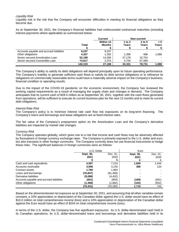#### *Liquidity Risk*

Liquidity risk is the risk that the Company will encounter difficulties in meeting its financial obligations as they become due.

As at September 30, 2021, the Company's financial liabilities had undiscounted contractual maturities (including interest payments where applicable) as summarized below:

|                                          |              | <b>Current</b> |          | Non-current |       |
|------------------------------------------|--------------|----------------|----------|-------------|-------|
|                                          |              | Within 12      | 1 to $2$ | $2$ to 5    | > 5   |
|                                          | <b>Total</b> | <b>Months</b>  | Years    | Years       | Years |
|                                          |              |                |          |             |       |
| Accounts payable and accrued liabilities | 9,247        | 9.247          |          |             |       |
| Other obligations                        | 4.257        | 1,282          | 1.399    | 488         | 1.088 |
| Senior secured Amortization Loan         | 52.198       | 14.266         | 27.178   | 10.754      |       |
| Senior secured Convertible Loan          | 74.617       | 2.374          | 4.754    | 67,489      |       |
|                                          | 140.319      | 27,169         | 33,331   | 78.731      | 1.088 |

The Company's ability to satisfy its debt obligations will depend principally upon its future operating performance. The Company's inability to generate sufficient cash flows to satisfy its debt service obligations or to refinance its obligations on commercially reasonable terms could have a materially adverse impact on the Company's business, financial condition or operating results.

Due to the impact of the COVID-19 pandemic on the economic environment, the Company has reviewed the working capital requirements as a result of managing the supply chain and changes in demand. The Company anticipates that its current cash of \$28.4 million as at September 30, 2021, together with the cash flows generated from operations, will be sufficient to execute its current business plan for the next 12 months and to meet its current debt obligations.

#### *Interest Rate Risk*

The Company's policy is to minimize interest rate cash flow risk exposures on its long-term financing. The Company's loans and borrowings and lease obligations are at fixed interest rates.

The fair value of the Company's prepayment option on the Amortization Loan and the Company's derivative liabilities are impacted by market rate changes.

#### *Currency Risk*

The Company operates globally, which gives rise to a risk that income and cash flows may be adversely affected by fluctuations in foreign currency exchange rates. The Company is primarily exposed to the U.S. dollar and euro, but also transacts in other foreign currencies. The Company currently does not use financial instruments to hedge these risks. The significant balances in foreign currencies were as follows:

|                                          | U.S. Dollar |           | Euro      |          |
|------------------------------------------|-------------|-----------|-----------|----------|
|                                          | Sept. 30,   | Dec. 31,  | Sept. 30, | Dec. 31, |
|                                          | 2021        | 2020      | 2021      | 2020     |
|                                          |             |           | €         | €        |
| Cash and cash equivalents                | 4,597       | 7,214     | 1,600     | 1,444    |
| Accounts receivable                      | 3,096       | 3,145     | 386       | 133      |
| Contract assets                          | 1.780       | 1.964     |           |          |
| Loans and borrowings                     | (76,847)    | (81, 468) |           |          |
| Derivative liabilities                   | (9,088)     | (4, 452)  |           |          |
| Accounts payable and accrued liabilities | (601)       | (803)     | (169)     | (281)    |
| Other obligations                        | (1, 368)    | (1,882)   | (102)     | (552)    |
|                                          | (78,431)    | (76,282)  | 1,715     | 744      |

Based on the aforementioned net exposure as at September 30, 2021, and assuming that all other variables remain constant, a 10% appreciation or depreciation of the Canadian dollar against the U.S. dollar would have an effect of \$10.0 million on total comprehensive income (loss) and a 10% appreciation or depreciation of the Canadian dollar against the Euro would have an effect of \$254 on total comprehensive income (loss).

In terms of the U.S. dollar, the Company has five significant exposures: its U.S. dollar-denominated cash held in its Canadian operations, its U.S. dollar-denominated loans and borrowings and derivative liabilities held in its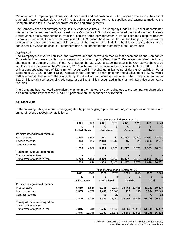Canadian and European operations, its net investment and net cash flows in its European operations, the cost of purchasing raw materials either priced in U.S. dollars or sourced from U.S. suppliers and payments made to the Company under its U.S. dollar-denominated licensing arrangements.

The Company does not currently hedge its U.S. dollar cash flows. The Company funds its U.S. dollar-denominated interest expense and loan obligations using the Company's U.S. dollar-denominated cash and cash equivalents and payments received under the terms of the licensing and supply agreements. Periodically, the Company reviews its projected future U.S. dollar cash flows and if the U.S. dollars held are insufficient, the Company may convert a portion of its other currencies into U.S. dollars. If the amount of U.S. dollars held is excessive, they may be converted into Canadian dollars or other currencies, as needed for the Company's other operations.

#### *Market Risk*

The Company's derivative liabilities, the Warrants and the conversion feature that accompanies the Company's Convertible Loan, are impacted by a variety of valuation inputs (See Note 7, *Derivative Liabilities*), including changes in the Company's share price. As at September 30, 2021, a \$1.00 increase in the Company's share price would increase the value of the Warrants by \$16.3 million and an increase to the conversion feature of \$11.6 million, with a corresponding loss of \$27.9 million recognized in the change in fair value of derivative liabilities. As at September 30, 2021, a further \$1.00 increase in the Company's share price for a total adjustment of \$2.00 would further increase the value of the Warrants by \$17.6 million and increase the value of the conversion feature by \$12.6 million, with a corresponding additional loss of \$30.2 million recognized in the change in fair value of derivative liabilities.

The Company has not noted a significant change in the market risk due to changes to the Company's share price as a result of the impact of the COVID-19 pandemic on the economic environment.

#### **16. REVENUE**

In the following table, revenue is disaggregated by primary geographic market, major categories of revenue and timing of revenue recognition as follows:

|                                |                      | Three Months ended September 30 |                |       |                |       |        |        |  |
|--------------------------------|----------------------|---------------------------------|----------------|-------|----------------|-------|--------|--------|--|
|                                | 2021                 | 2020                            | 2021           | 2020  | 2021           | 2020  | 2021   | 2020   |  |
|                                |                      |                                 |                | \$    |                | S     |        | \$     |  |
|                                | <b>United States</b> |                                 | International  |       | Canada         |       | Total  |        |  |
| Primary categories of revenue  |                      |                                 |                |       |                |       |        |        |  |
| <b>Product sales</b>           | 1.400                | 3.904                           | 981            | 47    | 11,232         | 9,646 | 13.613 | 13,597 |  |
| License revenue                | 333                  | 922                             | 2.948          | 2.046 | 45             | 29    | 3,326  | 2,997  |  |
| Contract revenue               |                      |                                 | 50             |       | $\blacksquare$ |       | 50     |        |  |
|                                | 1,733                | 4.826                           | 3,979          | 2.100 | 11,277         | 9,675 | 16.989 | 16,601 |  |
| Timing of revenue recognition  |                      |                                 |                |       |                |       |        |        |  |
| Transferred over time          |                      |                                 | $\blacksquare$ |       |                |       |        |        |  |
| Transferred at a point in time | 1.733                | 4,826                           | 3.979          | 2,100 | 11,277         | 9,675 | 16.989 | 16,601 |  |
|                                | 1.733                | 4.826                           | 3,979          | 2.100 | 11.277         | 9.675 | 16.989 | 16.601 |  |

|                                |                      |        | Nine Months ended September 30 |        |        |        |        |        |  |
|--------------------------------|----------------------|--------|--------------------------------|--------|--------|--------|--------|--------|--|
|                                | 2021                 | 2020   | 2021                           | 2020   | 2021   | 2020   | 2021   | 2020   |  |
|                                |                      |        |                                | \$     |        |        |        | \$     |  |
|                                | <b>United States</b> |        | International                  |        | Canada |        | Total  |        |  |
| Primary categories of revenue  |                      |        |                                |        |        |        |        |        |  |
| Product sales                  | 6,510                | 8.556  | 2,288                          | 1.284  | 33,443 | 29,485 | 42.241 | 39,325 |  |
| License revenue                | 1,335                | 4,792  | 7,431                          | 12,240 | 118    | 113    | 8,884  | 17,145 |  |
| Contract revenue               |                      |        | 68                             | 22     | 5      |        | 73     | 22     |  |
|                                | 7,845                | 13.348 | 9,787                          | 13.546 | 33.566 | 29,598 | 51,198 | 56,942 |  |
| Timing of revenue recognition  |                      |        |                                |        |        |        |        |        |  |
| Transferred over time          |                      |        |                                |        |        |        |        |        |  |
| Transferred at a point in time | 7.845                | 13.348 | 9.787                          | 13.546 | 33.566 | 29.598 | 51.198 | 56,492 |  |
|                                | 7,845                | 13.348 | 9,787                          | 13.546 | 33.566 | 29,598 | 51.198 | 56,492 |  |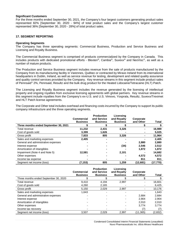#### **Significant Customers**

For the three months ended September 30, 2021, the Company's four largest customers generating product sales represented 82% [September 30, 2020 - 94%] of total product sales and the Company's largest customer represented 36% [September 30, 2020 - 28%] of total product sales.

#### **17. SEGMENT REPORTING**

#### **Operating Segments**

The Company has three operating segments: Commercial Business, Production and Service Business and Licensing and Royalty Business.

The Commercial Business segment is comprised of products commercialized by the Company in Canada. This includes products with dedicated promotional efforts - Blexten®, Cambia®, Suvexx® and NeoVisc®, as well as a number of mature products.

The Production and Service Business segment includes revenue from the sale of products manufactured by the Company from its manufacturing facility in Varennes, Québec or contracted by Miravo Ireland from its international headquarters in Dublin, Ireland, as well as service revenue for testing, development and related quality assurance and quality control services provided by the Company. Key revenue streams in this segment include product sales of Pennsaid® 2%, Pennsaid, Resultz and the bulk drug product for the Heated Lidocaine/Tetracaine (HLT) Patch.

The Licensing and Royalty Business segment includes the revenue generated by the licensing of intellectual property and ongoing royalties from exclusive licensing agreements with global partners. Key revenue streams in this segment include royalties from the Company's ex-U.S. and U.S. Vimovo, Yosprala, Resultz, Suvexx/Treximet and HLT Patch license agreements.

The Corporate and Other total includes overhead and financing costs incurred by the Company to support its public company infrastructure and the three operating segments.

|                                       | <b>Commercial</b><br><b>Business</b> | <b>Production</b><br>and Service<br><b>Business</b> | Licensina<br>and Royalty<br><b>Business</b> | Corporate<br>and Other | <b>Total</b> |
|---------------------------------------|--------------------------------------|-----------------------------------------------------|---------------------------------------------|------------------------|--------------|
| Three months ended September 30, 2021 |                                      |                                                     |                                             |                        |              |
| Total revenue                         | 11.232                               | 2.431                                               | 3,326                                       |                        | 16,989       |
| Cost of goods sold                    | 3,399                                | 1,626                                               |                                             |                        | 5,025        |
| Gross profit                          | 7,833                                | 805                                                 | 3.326                                       | -                      | 11,964       |
| Sales and marketing expenses          | 2,405                                |                                                     |                                             |                        | 2,405        |
| General and administrative expenses   |                                      |                                                     |                                             | 2.880                  | 2,880        |
| Interest expense                      |                                      |                                                     | (34)                                        | 2,546                  | 2,512        |
| Amortization of intangibles           |                                      |                                                     |                                             | 1,872                  | 1,872        |
| Impairment (Note 4 and Note 5)        | 12,581                               |                                                     | 2,101                                       |                        | 14,682       |
| Other expenses                        |                                      |                                                     |                                             | 4.572                  | 4.572        |
| Income tax expense                    |                                      |                                                     |                                             | 811                    | 811          |
| Segment net income (loss)             | (7, 153)                             | 805                                                 | 1,259                                       | (12,681)               | (17, 770)    |

|                                       | <b>Commercial</b><br><b>Business</b> | <b>Production</b><br>and Service<br><b>Business</b> | Licensing<br>and Royalty<br><b>Business</b> | Corporate<br>and Other | <b>Total</b> |
|---------------------------------------|--------------------------------------|-----------------------------------------------------|---------------------------------------------|------------------------|--------------|
| Three months ended September 30, 2020 |                                      |                                                     |                                             |                        |              |
| Total revenue                         | 9,410                                | 4,194                                               | 2,997                                       |                        | 16,601       |
| Cost of goods sold                    | 4,260                                | 2,165                                               |                                             |                        | 6,425        |
| Gross profit                          | 5,150                                | 2,029                                               | 2,997                                       |                        | 10,176       |
| Sales and marketing expenses          | 1.643                                |                                                     |                                             |                        | 1.643        |
| General and administrative expenses   |                                      |                                                     |                                             | 2,684                  | 2,684        |
| Interest expense                      |                                      |                                                     |                                             | 2.904                  | 2,904        |
| Amortization of intangibles           |                                      |                                                     |                                             | 2.010                  | 2,010        |
| Other expenses                        |                                      |                                                     |                                             | 3.774                  | 3,774        |
| Income tax recovery                   |                                      |                                                     |                                             |                        |              |
| Segment net income (loss)             | 3,507                                | 2,029                                               | 2,997                                       | (11, 365)              | (2,832)      |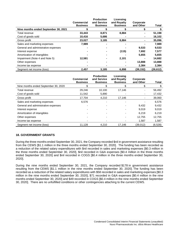|                                      |                   | <b>Production</b> | Licensing       |           |           |
|--------------------------------------|-------------------|-------------------|-----------------|-----------|-----------|
|                                      | <b>Commercial</b> | and Service       | and Royalty     | Corporate |           |
|                                      | <b>Business</b>   | <b>Business</b>   | <b>Business</b> | and Other | Total     |
| Nine months ended September 30, 2021 |                   |                   |                 |           |           |
| Total revenue                        | 33,443            | 8.871             | 8,884           | -         | 51,198    |
| Cost of goods sold                   | 10,416            | 5,686             |                 | ۰         | 16,102    |
| Gross profit                         | 23,027            | 3,185             | 8,884           | -         | 35,096    |
| Sales and marketing expenses         | 7,989             |                   |                 |           | 7,989     |
| General and administrative expenses  |                   |                   |                 | 9,533     | 9,533     |
| Interest expense                     |                   |                   | (115)           | 7,692     | 7,577     |
| Amortization of intangibles          |                   |                   |                 | 5,655     | 5,655     |
| Impairment (Note 4 and Note 5)       | 12,581            |                   | 2,101           | -         | 14,682    |
| Other expenses                       |                   |                   |                 | 13,888    | 13,888    |
| Income tax expense                   |                   |                   |                 | 2,384     | 2,384     |
| Segment net income (loss)            | 2,457             | 3,185             | 6,898           | (39, 152) | (26, 612) |

|                                      | <b>Commercial</b><br><b>Business</b> | <b>Production</b><br>and Service<br><b>Business</b> | Licensing<br>and Royalty<br><b>Business</b> | Corporate<br>and Other | <b>Total</b> |
|--------------------------------------|--------------------------------------|-----------------------------------------------------|---------------------------------------------|------------------------|--------------|
| Nine months ended September 30, 2020 |                                      |                                                     |                                             |                        |              |
| Total revenue                        | 29,246                               | 10.100                                              | 17,146                                      | ٠                      | 56,492       |
| Cost of goods sold                   | 11,542                               | 5,890                                               |                                             | ٠                      | 17,432       |
| Gross profit                         | 17.704                               | 4,210                                               | 17,146                                      | -                      | 39,060       |
| Sales and marketing expenses         | 6,576                                |                                                     |                                             |                        | 6,576        |
| General and administrative expenses  |                                      |                                                     |                                             | 9,432                  | 9,432        |
| Interest expense                     |                                      |                                                     |                                             | 9.019                  | 9,019        |
| Amortization of intangibles          |                                      |                                                     |                                             | 6.219                  | 6,219        |
| Other expenses                       |                                      |                                                     |                                             | 12,755                 | 12,755       |
| Income tax expense                   |                                      |                                                     |                                             | 1,587                  | 1,587        |
| Segment net income (loss)            | 11,128                               | 4,210                                               | 17.146                                      | (39,012)               | (6,528)      |

## **18. GOVERNMENT GRANTS**

During the three months ended September 30, 2021, the Company recorded \$nil in government assistance resulting from the CEWS [\$1.1 million in the three months ended September 30, 2020]. The funding has been recorded as a reduction of the related salary expenditures with \$nil recorded in sales and marketing expenses [\$0.3 million in the three months ended September 30, 2020], \$nil recorded in G&A expenses [\$0.4 million in the three months ended September 30, 2020] and \$nil recorded in COGS [\$0.4 million in the three months ended September 30, 2020].

During the nine months ended September 30, 2021, the Company recorded \$178 in government assistance resulting from the CEWS [\$1.1 million in the nine months ended September 30, 2020]. The funding has been recorded as a reduction of the related salary expenditures with \$58 recorded in sales and marketing expenses [\$0.3 million in the nine months ended September 30, 2020], \$71 recorded in G&A expenses [\$0.4 million in the nine months ended September 30, 2020] and \$49 recorded in COGS [\$0.4 million in the nine months ended September 30, 2020]. There are no unfulfilled conditions or other contingencies attaching to the current CEWS.